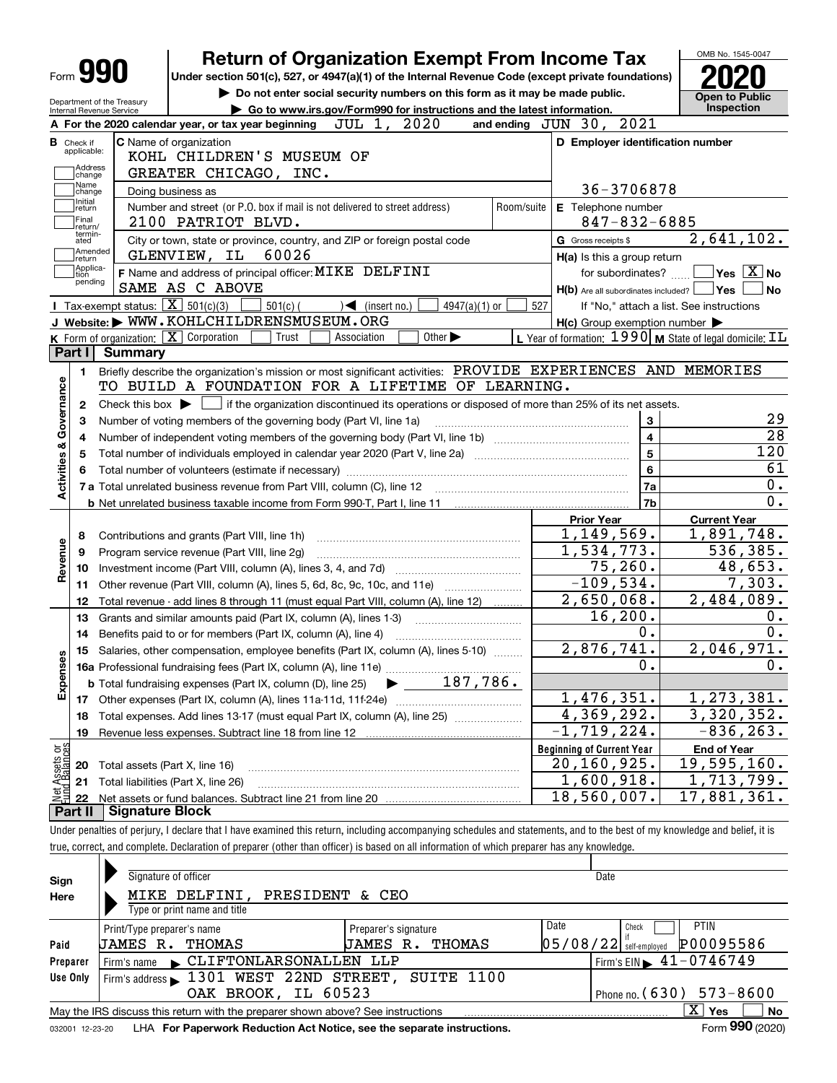| Form <b>990</b>                                         | <b>Return of Organization Exempt From Income Tax</b>                                                                                                |                                                                             |                                                                    | OMB No. 1545-0047                                                                                                                                                                                   |  |  |  |  |  |  |
|---------------------------------------------------------|-----------------------------------------------------------------------------------------------------------------------------------------------------|-----------------------------------------------------------------------------|--------------------------------------------------------------------|-----------------------------------------------------------------------------------------------------------------------------------------------------------------------------------------------------|--|--|--|--|--|--|
|                                                         | Under section 501(c), 527, or 4947(a)(1) of the Internal Revenue Code (except private foundations)                                                  |                                                                             |                                                                    |                                                                                                                                                                                                     |  |  |  |  |  |  |
|                                                         |                                                                                                                                                     | Do not enter social security numbers on this form as it may be made public. |                                                                    |                                                                                                                                                                                                     |  |  |  |  |  |  |
| Department of the Treasury<br>Internal Revenue Service  |                                                                                                                                                     | Go to www.irs.gov/Form990 for instructions and the latest information.      |                                                                    |                                                                                                                                                                                                     |  |  |  |  |  |  |
|                                                         | JUL 1, 2020<br>A For the 2020 calendar year, or tax year beginning                                                                                  |                                                                             | and ending JUN 30, 2021                                            |                                                                                                                                                                                                     |  |  |  |  |  |  |
| <b>B</b> Check if                                       | <b>C</b> Name of organization                                                                                                                       |                                                                             | D Employer identification number                                   |                                                                                                                                                                                                     |  |  |  |  |  |  |
| applicable:                                             | KOHL CHILDREN'S MUSEUM OF                                                                                                                           |                                                                             |                                                                    |                                                                                                                                                                                                     |  |  |  |  |  |  |
| <b>Address</b><br>change                                | GREATER CHICAGO, INC.                                                                                                                               |                                                                             |                                                                    |                                                                                                                                                                                                     |  |  |  |  |  |  |
| Name<br>change                                          | Doing business as                                                                                                                                   |                                                                             | 36-3706878                                                         |                                                                                                                                                                                                     |  |  |  |  |  |  |
| Initial<br>return                                       | Number and street (or P.O. box if mail is not delivered to street address)                                                                          | Room/suite                                                                  | E Telephone number                                                 |                                                                                                                                                                                                     |  |  |  |  |  |  |
| Final<br>return/                                        | 2100 PATRIOT BLVD.                                                                                                                                  |                                                                             | $847 - 832 - 6885$                                                 |                                                                                                                                                                                                     |  |  |  |  |  |  |
| termin-<br>ated                                         | City or town, state or province, country, and ZIP or foreign postal code                                                                            |                                                                             | G Gross receipts \$                                                | 2,641,102.                                                                                                                                                                                          |  |  |  |  |  |  |
| Amended<br> return                                      | 60026<br>GLENVIEW, IL                                                                                                                               |                                                                             | H(a) Is this a group return                                        |                                                                                                                                                                                                     |  |  |  |  |  |  |
| Applica-<br>tion                                        | F Name and address of principal officer: MIKE DELFINI                                                                                               |                                                                             | for subordinates? $\frac{\Box}{\Box}$                              | $\overline{\ }$ Yes $\overline{\phantom{a}X}$ No                                                                                                                                                    |  |  |  |  |  |  |
| pending                                                 | SAME AS C ABOVE                                                                                                                                     |                                                                             | H(b) Are all subordinates included?   Yes                          | l No                                                                                                                                                                                                |  |  |  |  |  |  |
|                                                         | Tax-exempt status: $\boxed{\mathbf{X}}$ 501(c)(3)<br>$501(c)$ (<br>4947(a)(1) or<br>$\sqrt{\frac{1}{1}}$ (insert no.)                               | 527                                                                         |                                                                    | If "No," attach a list. See instructions                                                                                                                                                            |  |  |  |  |  |  |
|                                                         | J Website: WWW.KOHLCHILDRENSMUSEUM.ORG                                                                                                              |                                                                             | $H(c)$ Group exemption number $\blacktriangleright$                |                                                                                                                                                                                                     |  |  |  |  |  |  |
|                                                         | K Form of organization: $\boxed{\mathbf{X}}$ Corporation<br>Other $\blacktriangleright$<br>Trust<br>Association                                     |                                                                             | L Year of formation: $1990$ M State of legal domicile: $\text{IL}$ |                                                                                                                                                                                                     |  |  |  |  |  |  |
| Part I                                                  | <b>Summary</b>                                                                                                                                      |                                                                             |                                                                    |                                                                                                                                                                                                     |  |  |  |  |  |  |
|                                                         | Briefly describe the organization's mission or most significant activities: PROVIDE EXPERIENCES AND MEMORIES                                        |                                                                             |                                                                    |                                                                                                                                                                                                     |  |  |  |  |  |  |
| 1.                                                      |                                                                                                                                                     |                                                                             |                                                                    |                                                                                                                                                                                                     |  |  |  |  |  |  |
|                                                         | TO BUILD A FOUNDATION FOR A LIFETIME OF LEARNING.                                                                                                   |                                                                             |                                                                    |                                                                                                                                                                                                     |  |  |  |  |  |  |
| 2                                                       | Check this box $\blacktriangleright$ $\blacksquare$ if the organization discontinued its operations or disposed of more than 25% of its net assets. |                                                                             |                                                                    |                                                                                                                                                                                                     |  |  |  |  |  |  |
| з                                                       | Number of voting members of the governing body (Part VI, line 1a)                                                                                   |                                                                             | $\mathbf{3}$                                                       | 29                                                                                                                                                                                                  |  |  |  |  |  |  |
| 4                                                       |                                                                                                                                                     |                                                                             | $\overline{4}$                                                     | $\overline{28}$                                                                                                                                                                                     |  |  |  |  |  |  |
| 5                                                       |                                                                                                                                                     |                                                                             | $\overline{5}$                                                     | 120                                                                                                                                                                                                 |  |  |  |  |  |  |
| 6                                                       |                                                                                                                                                     |                                                                             | $6\phantom{a}$                                                     |                                                                                                                                                                                                     |  |  |  |  |  |  |
|                                                         |                                                                                                                                                     |                                                                             |                                                                    |                                                                                                                                                                                                     |  |  |  |  |  |  |
|                                                         |                                                                                                                                                     |                                                                             | 7a                                                                 |                                                                                                                                                                                                     |  |  |  |  |  |  |
|                                                         |                                                                                                                                                     |                                                                             | 7b                                                                 |                                                                                                                                                                                                     |  |  |  |  |  |  |
|                                                         |                                                                                                                                                     |                                                                             | <b>Prior Year</b>                                                  | <b>Current Year</b>                                                                                                                                                                                 |  |  |  |  |  |  |
| 8                                                       | Contributions and grants (Part VIII, line 1h)                                                                                                       |                                                                             | 1,149,569.                                                         |                                                                                                                                                                                                     |  |  |  |  |  |  |
| 9                                                       | Program service revenue (Part VIII, line 2g)                                                                                                        |                                                                             | 1,534,773.                                                         |                                                                                                                                                                                                     |  |  |  |  |  |  |
| 10                                                      |                                                                                                                                                     |                                                                             | 75, 260.                                                           |                                                                                                                                                                                                     |  |  |  |  |  |  |
| 11                                                      | Other revenue (Part VIII, column (A), lines 5, 6d, 8c, 9c, 10c, and 11e)                                                                            |                                                                             | $-109,534.$                                                        |                                                                                                                                                                                                     |  |  |  |  |  |  |
| 12                                                      | Total revenue - add lines 8 through 11 (must equal Part VIII, column (A), line 12)                                                                  |                                                                             | $\overline{2}$ , 650, 068.                                         |                                                                                                                                                                                                     |  |  |  |  |  |  |
| 13                                                      |                                                                                                                                                     |                                                                             | 16, 200.                                                           |                                                                                                                                                                                                     |  |  |  |  |  |  |
| 14                                                      | Grants and similar amounts paid (Part IX, column (A), lines 1-3)<br>Benefits paid to or for members (Part IX, column (A), line 4)                   |                                                                             | $0$ .                                                              |                                                                                                                                                                                                     |  |  |  |  |  |  |
|                                                         |                                                                                                                                                     |                                                                             | 2,876,741.                                                         |                                                                                                                                                                                                     |  |  |  |  |  |  |
|                                                         | 15 Salaries, other compensation, employee benefits (Part IX, column (A), lines 5-10)                                                                |                                                                             |                                                                    |                                                                                                                                                                                                     |  |  |  |  |  |  |
|                                                         |                                                                                                                                                     |                                                                             | 0.                                                                 |                                                                                                                                                                                                     |  |  |  |  |  |  |
|                                                         | $\blacktriangleright$ 187,786.<br><b>b</b> Total fundraising expenses (Part IX, column (D), line 25)                                                |                                                                             |                                                                    |                                                                                                                                                                                                     |  |  |  |  |  |  |
|                                                         |                                                                                                                                                     |                                                                             | 1,476,351.                                                         |                                                                                                                                                                                                     |  |  |  |  |  |  |
| 18                                                      | Total expenses. Add lines 13-17 (must equal Part IX, column (A), line 25)                                                                           |                                                                             | 4,369,292.                                                         |                                                                                                                                                                                                     |  |  |  |  |  |  |
| 19                                                      |                                                                                                                                                     |                                                                             | $-1,719,224.$                                                      |                                                                                                                                                                                                     |  |  |  |  |  |  |
|                                                         |                                                                                                                                                     |                                                                             | <b>Beginning of Current Year</b>                                   | <b>End of Year</b>                                                                                                                                                                                  |  |  |  |  |  |  |
| Activities & Governance<br>Revenue<br>8<br>Expens<br>20 | Total assets (Part X, line 16)                                                                                                                      |                                                                             | 20,160,925.                                                        |                                                                                                                                                                                                     |  |  |  |  |  |  |
| Net Assets or<br>Eund Balances<br>21<br>22              | Total liabilities (Part X, line 26)                                                                                                                 |                                                                             | 1,600,918.<br>18,560,007.                                          | 61<br>0.<br>0.<br>1,891,748.<br>536,385.<br>48,653.<br>7,303.<br>2,484,089.<br>0.<br>0.<br>2,046,971.<br>υ.<br>1,273,381.<br>3,320,352.<br>$-836, 263.$<br>19,595,160.<br>1,713,799.<br>17,881,361. |  |  |  |  |  |  |

true, correct, and complete. Declaration of preparer (other than officer) is based on all information of which preparer has any knowledge.

| Sign     | Signature of officer                                                                                         |                       | Date                                        |  |  |  |  |  |  |  |  |
|----------|--------------------------------------------------------------------------------------------------------------|-----------------------|---------------------------------------------|--|--|--|--|--|--|--|--|
| Here     | MIKE DELFINI.<br>PRESIDENT                                                                                   |                       |                                             |  |  |  |  |  |  |  |  |
|          | Type or print name and title                                                                                 |                       |                                             |  |  |  |  |  |  |  |  |
|          | Print/Type preparer's name                                                                                   | Preparer's signature  | Date<br><b>PTIN</b><br>Check                |  |  |  |  |  |  |  |  |
| Paid     | THOMAS<br>JAMES R.                                                                                           | THOMAS<br>JAMES<br>R. | P00095586<br> 05/08/22 <br>self-emploved    |  |  |  |  |  |  |  |  |
| Preparer | CLIFTONLARSONALLEN LLP<br>Firm's name                                                                        |                       | Firm's EIN $\blacktriangleright$ 41-0746749 |  |  |  |  |  |  |  |  |
| Use Only | Firm's address 1301 WEST 22ND STREET, SUITE 1100                                                             |                       |                                             |  |  |  |  |  |  |  |  |
|          | OAK BROOK, IL 60523<br>Phone no. $(630)$ 573-8600                                                            |                       |                                             |  |  |  |  |  |  |  |  |
|          | x<br><b>No</b><br>Yes<br>May the IRS discuss this return with the preparer shown above? See instructions     |                       |                                             |  |  |  |  |  |  |  |  |
|          | Form 990 (2020)<br>LHA For Paperwork Reduction Act Notice, see the separate instructions.<br>032001 12-23-20 |                       |                                             |  |  |  |  |  |  |  |  |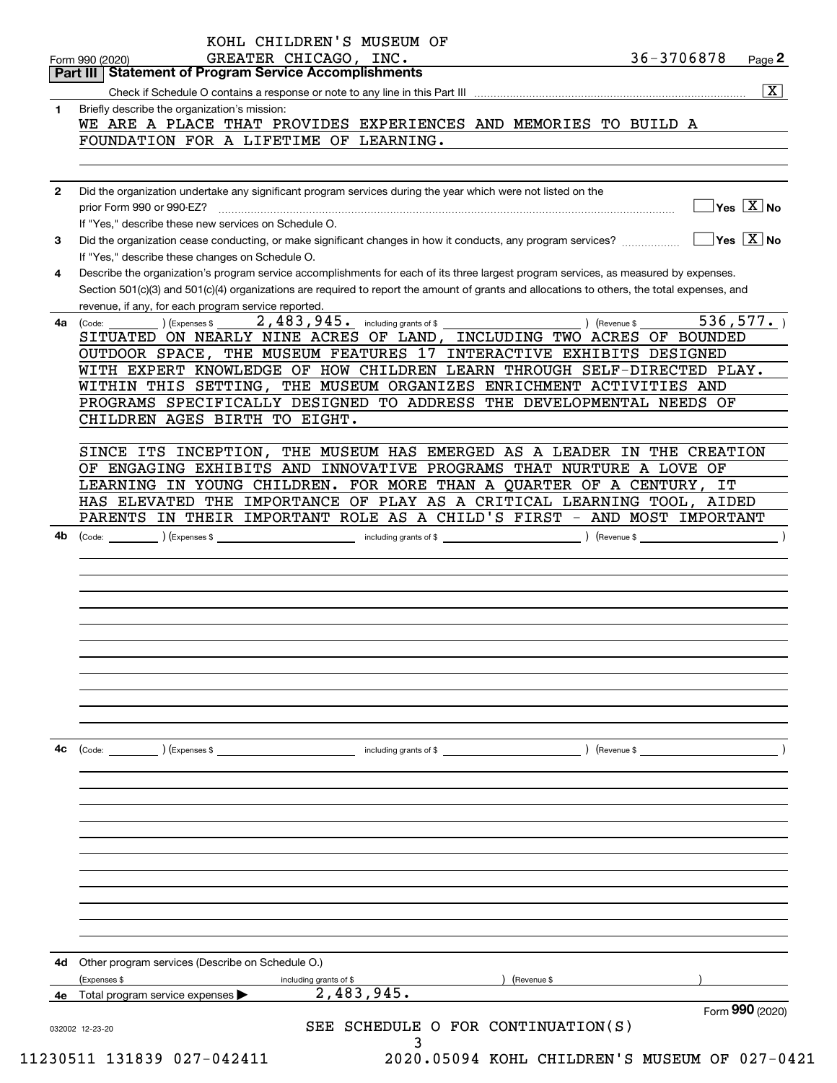| 1            | $\overline{\mathbf{x}}$                                                                                                                                                                                                                                                                                                                     |
|--------------|---------------------------------------------------------------------------------------------------------------------------------------------------------------------------------------------------------------------------------------------------------------------------------------------------------------------------------------------|
|              | Briefly describe the organization's mission:<br>WE ARE A PLACE THAT PROVIDES EXPERIENCES AND MEMORIES TO BUILD A                                                                                                                                                                                                                            |
|              | FOUNDATION FOR A LIFETIME OF LEARNING.                                                                                                                                                                                                                                                                                                      |
|              |                                                                                                                                                                                                                                                                                                                                             |
| $\mathbf{2}$ | Did the organization undertake any significant program services during the year which were not listed on the                                                                                                                                                                                                                                |
|              | $\sqrt{}$ Yes $\sqrt{X}$ No<br>If "Yes," describe these new services on Schedule O.                                                                                                                                                                                                                                                         |
| 3            | $\overline{\ }$ Yes $\overline{\phantom{X}}$ No<br>Did the organization cease conducting, or make significant changes in how it conducts, any program services?<br>If "Yes," describe these changes on Schedule O.                                                                                                                          |
| 4            | Describe the organization's program service accomplishments for each of its three largest program services, as measured by expenses.<br>Section 501(c)(3) and 501(c)(4) organizations are required to report the amount of grants and allocations to others, the total expenses, and<br>revenue, if any, for each program service reported. |
| 4a           | 2,483,945. including grants of \$<br>536, 577.<br>) (Revenue \$<br>(Expenses \$<br>(Code:                                                                                                                                                                                                                                                   |
|              | SITUATED ON NEARLY NINE ACRES OF LAND, INCLUDING TWO ACRES OF BOUNDED                                                                                                                                                                                                                                                                       |
|              | OUTDOOR SPACE, THE MUSEUM FEATURES 17 INTERACTIVE EXHIBITS DESIGNED                                                                                                                                                                                                                                                                         |
|              | WITH EXPERT KNOWLEDGE OF HOW CHILDREN LEARN THROUGH SELF-DIRECTED PLAY.                                                                                                                                                                                                                                                                     |
|              | WITHIN THIS SETTING, THE MUSEUM ORGANIZES ENRICHMENT ACTIVITIES AND                                                                                                                                                                                                                                                                         |
|              | PROGRAMS SPECIFICALLY DESIGNED TO ADDRESS THE DEVELOPMENTAL NEEDS OF<br>CHILDREN AGES BIRTH TO EIGHT.                                                                                                                                                                                                                                       |
|              | SINCE ITS INCEPTION,<br>THE MUSEUM HAS EMERGED AS A LEADER IN THE CREATION                                                                                                                                                                                                                                                                  |
|              | OF ENGAGING EXHIBITS AND INNOVATIVE PROGRAMS THAT NURTURE A LOVE OF                                                                                                                                                                                                                                                                         |
|              | LEARNING IN YOUNG CHILDREN. FOR MORE THAN A QUARTER OF A CENTURY, IT                                                                                                                                                                                                                                                                        |
|              | HAS ELEVATED THE IMPORTANCE OF PLAY AS A CRITICAL LEARNING TOOL, AIDED                                                                                                                                                                                                                                                                      |
|              | PARENTS IN THEIR IMPORTANT ROLE AS A CHILD'S FIRST - AND MOST IMPORTANT                                                                                                                                                                                                                                                                     |
| 4b           | (Code: <u>Code:</u> etc. Code: etc. Code: etc. Code: etc. Code: etc. Code: etc. Code: etc. Code: etc. Code: etc. Code: etc. Code: etc. Code: etc. Code: etc. Code: etc. Code: etc. Code: etc. Code: etc. Code: etc. Code: etc. Code                                                                                                         |
|              |                                                                                                                                                                                                                                                                                                                                             |
|              |                                                                                                                                                                                                                                                                                                                                             |
|              |                                                                                                                                                                                                                                                                                                                                             |
|              |                                                                                                                                                                                                                                                                                                                                             |
|              |                                                                                                                                                                                                                                                                                                                                             |
|              |                                                                                                                                                                                                                                                                                                                                             |
|              |                                                                                                                                                                                                                                                                                                                                             |
|              |                                                                                                                                                                                                                                                                                                                                             |
|              |                                                                                                                                                                                                                                                                                                                                             |
|              |                                                                                                                                                                                                                                                                                                                                             |
|              |                                                                                                                                                                                                                                                                                                                                             |
| 4с           | $($ Revenue \$<br>$\left(\text{Code:}\right)$ $\left(\text{Expenses $}\right)$<br>including grants of \$                                                                                                                                                                                                                                    |
|              |                                                                                                                                                                                                                                                                                                                                             |
|              |                                                                                                                                                                                                                                                                                                                                             |
|              |                                                                                                                                                                                                                                                                                                                                             |
|              |                                                                                                                                                                                                                                                                                                                                             |
|              |                                                                                                                                                                                                                                                                                                                                             |
|              |                                                                                                                                                                                                                                                                                                                                             |
| 4d           | Other program services (Describe on Schedule O.)<br>(Expenses \$<br>(Revenue \$<br>including grants of \$<br>2,483,945.<br>4e Total program service expenses                                                                                                                                                                                |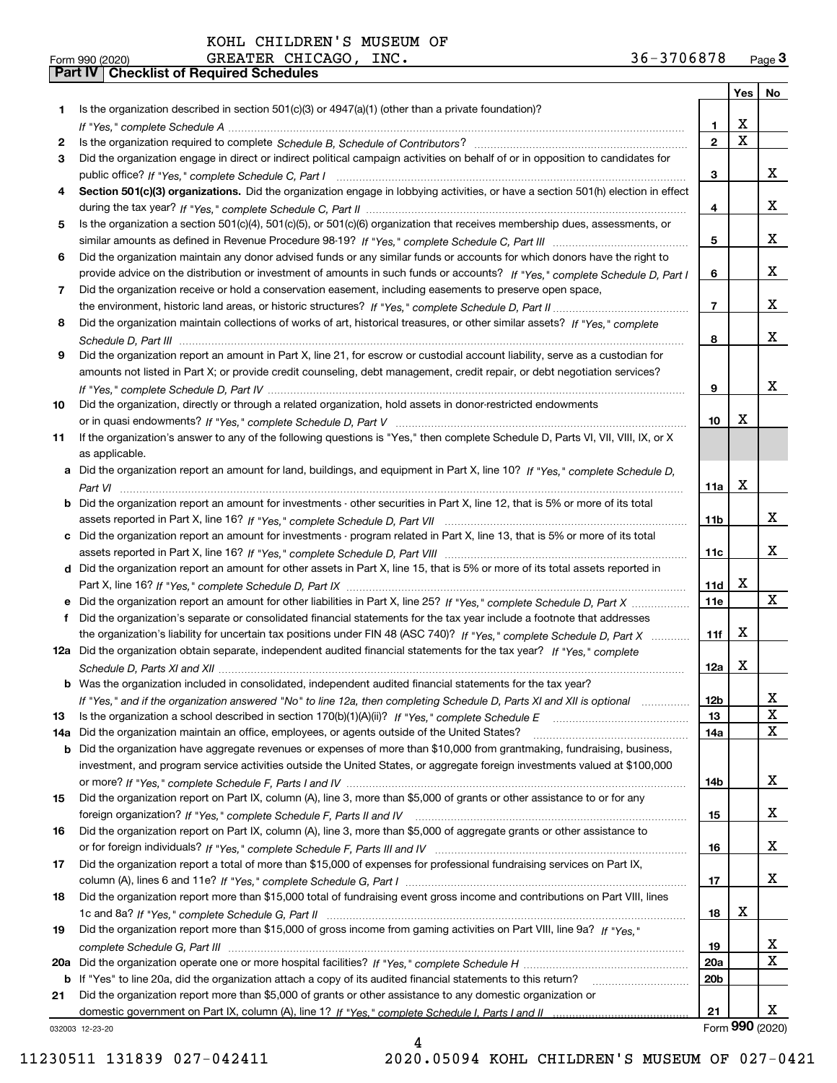**Form 990 (2020)**<br>**Part IV | Checklist of Required Schedules** KOHL CHILDREN'S MUSEUM OF

| Form 990 (2020) | <b>GREATER</b><br>CHICAGO<br>INC. | 3706878<br>$36 -$ | Page <b>J</b> |
|-----------------|-----------------------------------|-------------------|---------------|
|-----------------|-----------------------------------|-------------------|---------------|

|     |                                                                                                                                                    |                | Yes                   | No                      |
|-----|----------------------------------------------------------------------------------------------------------------------------------------------------|----------------|-----------------------|-------------------------|
| 1   | Is the organization described in section $501(c)(3)$ or $4947(a)(1)$ (other than a private foundation)?                                            |                |                       |                         |
|     |                                                                                                                                                    | 1              | х                     |                         |
| 2   |                                                                                                                                                    | $\overline{2}$ | $\overline{\text{x}}$ |                         |
| 3   | Did the organization engage in direct or indirect political campaign activities on behalf of or in opposition to candidates for                    |                |                       |                         |
|     |                                                                                                                                                    | 3              |                       | x                       |
| 4   | Section 501(c)(3) organizations. Did the organization engage in lobbying activities, or have a section 501(h) election in effect                   |                |                       |                         |
|     |                                                                                                                                                    | 4              |                       | x                       |
| 5   | Is the organization a section 501(c)(4), 501(c)(5), or 501(c)(6) organization that receives membership dues, assessments, or                       |                |                       |                         |
|     |                                                                                                                                                    | 5              |                       | x                       |
| 6   | Did the organization maintain any donor advised funds or any similar funds or accounts for which donors have the right to                          |                |                       |                         |
|     | provide advice on the distribution or investment of amounts in such funds or accounts? If "Yes," complete Schedule D, Part I                       | 6              |                       | x                       |
| 7   | Did the organization receive or hold a conservation easement, including easements to preserve open space,                                          |                |                       |                         |
|     |                                                                                                                                                    | $\overline{7}$ |                       | x                       |
| 8   | Did the organization maintain collections of works of art, historical treasures, or other similar assets? If "Yes," complete                       |                |                       |                         |
|     |                                                                                                                                                    | 8              |                       | x                       |
| 9   | Did the organization report an amount in Part X, line 21, for escrow or custodial account liability, serve as a custodian for                      |                |                       |                         |
|     | amounts not listed in Part X; or provide credit counseling, debt management, credit repair, or debt negotiation services?                          |                |                       | x                       |
|     |                                                                                                                                                    | 9              |                       |                         |
| 10  | Did the organization, directly or through a related organization, hold assets in donor-restricted endowments                                       |                | x                     |                         |
|     |                                                                                                                                                    | 10             |                       |                         |
| 11  | If the organization's answer to any of the following questions is "Yes," then complete Schedule D, Parts VI, VII, VIII, IX, or X<br>as applicable. |                |                       |                         |
|     | a Did the organization report an amount for land, buildings, and equipment in Part X, line 10? If "Yes," complete Schedule D,                      |                |                       |                         |
|     |                                                                                                                                                    | 11a            | X                     |                         |
| b   | Did the organization report an amount for investments - other securities in Part X, line 12, that is 5% or more of its total                       |                |                       |                         |
|     |                                                                                                                                                    | 11b            |                       | x                       |
| c   | Did the organization report an amount for investments - program related in Part X, line 13, that is 5% or more of its total                        |                |                       |                         |
|     |                                                                                                                                                    | 11c            |                       | x                       |
|     | d Did the organization report an amount for other assets in Part X, line 15, that is 5% or more of its total assets reported in                    |                |                       |                         |
|     |                                                                                                                                                    | 11d            | Х                     |                         |
|     | e Did the organization report an amount for other liabilities in Part X, line 25? If "Yes," complete Schedule D, Part X                            | <b>11e</b>     |                       | X                       |
| f   | Did the organization's separate or consolidated financial statements for the tax year include a footnote that addresses                            |                |                       |                         |
|     | the organization's liability for uncertain tax positions under FIN 48 (ASC 740)? If "Yes," complete Schedule D, Part X                             | 11f            | x                     |                         |
|     | 12a Did the organization obtain separate, independent audited financial statements for the tax year? If "Yes," complete                            |                |                       |                         |
|     |                                                                                                                                                    | 12a            | X                     |                         |
|     | <b>b</b> Was the organization included in consolidated, independent audited financial statements for the tax year?                                 |                |                       |                         |
|     | If "Yes," and if the organization answered "No" to line 12a, then completing Schedule D, Parts XI and XII is optional                              | 12b            |                       | Y                       |
| 13  |                                                                                                                                                    | 13             |                       | X                       |
| 14a | Did the organization maintain an office, employees, or agents outside of the United States?                                                        | 14a            |                       | $\overline{\mathbf{x}}$ |
| b   | Did the organization have aggregate revenues or expenses of more than \$10,000 from grantmaking, fundraising, business,                            |                |                       |                         |
|     | investment, and program service activities outside the United States, or aggregate foreign investments valued at \$100,000                         |                |                       |                         |
|     |                                                                                                                                                    | 14b            |                       | x                       |
| 15  | Did the organization report on Part IX, column (A), line 3, more than \$5,000 of grants or other assistance to or for any                          |                |                       |                         |
|     |                                                                                                                                                    | 15             |                       | x                       |
| 16  | Did the organization report on Part IX, column (A), line 3, more than \$5,000 of aggregate grants or other assistance to                           |                |                       |                         |
|     |                                                                                                                                                    | 16             |                       | x                       |
| 17  | Did the organization report a total of more than \$15,000 of expenses for professional fundraising services on Part IX,                            |                |                       |                         |
|     |                                                                                                                                                    | 17             |                       | x                       |
| 18  | Did the organization report more than \$15,000 total of fundraising event gross income and contributions on Part VIII, lines                       |                |                       |                         |
|     |                                                                                                                                                    | 18             | х                     |                         |
| 19  | Did the organization report more than \$15,000 of gross income from gaming activities on Part VIII, line 9a? If "Yes."                             |                |                       |                         |
|     |                                                                                                                                                    | 19             |                       | X                       |
| 20a |                                                                                                                                                    | 20a            |                       | $\mathbf X$             |
| b   | If "Yes" to line 20a, did the organization attach a copy of its audited financial statements to this return?                                       | 20b            |                       |                         |
| 21  | Did the organization report more than \$5,000 of grants or other assistance to any domestic organization or                                        |                |                       |                         |
|     |                                                                                                                                                    | 21             | Form 990 (2020)       | x                       |
|     | 032003 12-23-20                                                                                                                                    |                |                       |                         |

032003 12-23-20

11230511 131839 027-042411 2020.05094 KOHL CHILDREN'S MUSEUM OF 027-0421

4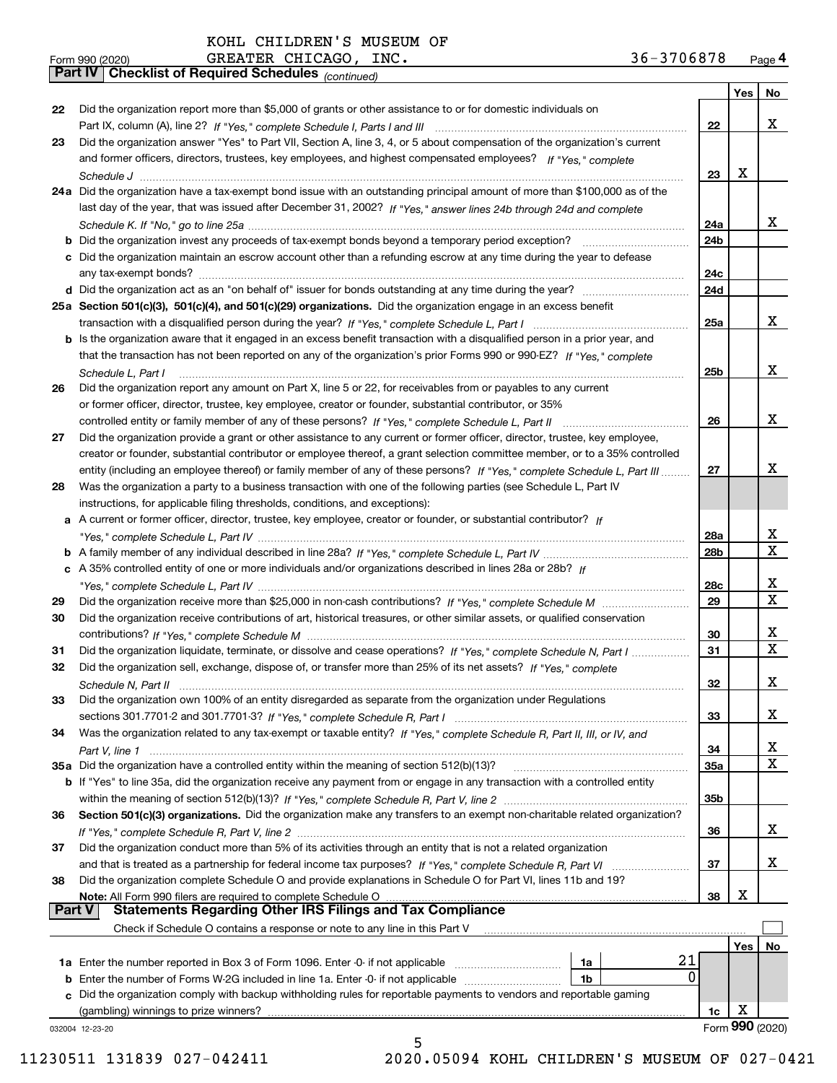|               | GREATER CHICAGO, INC.<br>36-3706878<br>Form 990 (2020)                                                                       |             |                 | Page 4 |
|---------------|------------------------------------------------------------------------------------------------------------------------------|-------------|-----------------|--------|
|               | Part IV   Checklist of Required Schedules (continued)                                                                        |             |                 |        |
|               |                                                                                                                              |             | Yes             | No     |
| 22            | Did the organization report more than \$5,000 of grants or other assistance to or for domestic individuals on                | 22          |                 | X      |
| 23            | Did the organization answer "Yes" to Part VII, Section A, line 3, 4, or 5 about compensation of the organization's current   |             |                 |        |
|               | and former officers, directors, trustees, key employees, and highest compensated employees? If "Yes," complete               |             |                 |        |
|               |                                                                                                                              | 23          | х               |        |
|               | 24a Did the organization have a tax-exempt bond issue with an outstanding principal amount of more than \$100,000 as of the  |             |                 |        |
|               | last day of the year, that was issued after December 31, 2002? If "Yes," answer lines 24b through 24d and complete           |             |                 |        |
|               |                                                                                                                              | 24a         |                 | x      |
|               |                                                                                                                              | 24b         |                 |        |
|               | c Did the organization maintain an escrow account other than a refunding escrow at any time during the year to defease       |             |                 |        |
|               |                                                                                                                              | 24с         |                 |        |
|               |                                                                                                                              | 24d         |                 |        |
|               | 25a Section 501(c)(3), 501(c)(4), and 501(c)(29) organizations. Did the organization engage in an excess benefit             |             |                 |        |
|               |                                                                                                                              | 25a         |                 | x      |
|               | b Is the organization aware that it engaged in an excess benefit transaction with a disqualified person in a prior year, and |             |                 |        |
|               | that the transaction has not been reported on any of the organization's prior Forms 990 or 990-EZ? If "Yes," complete        |             |                 |        |
|               | Schedule L. Part I                                                                                                           | 25b         |                 | x      |
| 26            | Did the organization report any amount on Part X, line 5 or 22, for receivables from or payables to any current              |             |                 |        |
|               | or former officer, director, trustee, key employee, creator or founder, substantial contributor, or 35%                      |             |                 |        |
|               |                                                                                                                              | 26          |                 | x      |
| 27            | Did the organization provide a grant or other assistance to any current or former officer, director, trustee, key employee,  |             |                 |        |
|               | creator or founder, substantial contributor or employee thereof, a grant selection committee member, or to a 35% controlled  |             |                 |        |
|               | entity (including an employee thereof) or family member of any of these persons? If "Yes," complete Schedule L, Part III     | 27          |                 | x      |
| 28            | Was the organization a party to a business transaction with one of the following parties (see Schedule L, Part IV            |             |                 |        |
|               | instructions, for applicable filing thresholds, conditions, and exceptions):                                                 |             |                 |        |
|               | a A current or former officer, director, trustee, key employee, creator or founder, or substantial contributor? If           |             |                 |        |
|               |                                                                                                                              | 28a         |                 | X<br>X |
|               |                                                                                                                              | 28b         |                 |        |
|               | c A 35% controlled entity of one or more individuals and/or organizations described in lines 28a or 28b? If                  | 28c         |                 | х      |
| 29            |                                                                                                                              | 29          |                 | X      |
| 30            | Did the organization receive contributions of art, historical treasures, or other similar assets, or qualified conservation  |             |                 |        |
|               |                                                                                                                              | 30          |                 | х      |
| 31            | Did the organization liquidate, terminate, or dissolve and cease operations? If "Yes," complete Schedule N, Part I           | 31          |                 | X      |
|               | Did the organization sell, exchange, dispose of, or transfer more than 25% of its net assets? If "Yes," complete             |             |                 |        |
|               |                                                                                                                              | 32          |                 | X      |
| 33            | Did the organization own 100% of an entity disregarded as separate from the organization under Regulations                   |             |                 |        |
|               |                                                                                                                              | 33          |                 | х      |
| 34            | Was the organization related to any tax-exempt or taxable entity? If "Yes," complete Schedule R, Part II, III, or IV, and    |             |                 |        |
|               | Part V. line 1                                                                                                               | 34          |                 | х      |
|               | 35a Did the organization have a controlled entity within the meaning of section 512(b)(13)?                                  | 35a         |                 | X      |
|               | b If "Yes" to line 35a, did the organization receive any payment from or engage in any transaction with a controlled entity  |             |                 |        |
|               |                                                                                                                              | 35b         |                 |        |
| 36            | Section 501(c)(3) organizations. Did the organization make any transfers to an exempt non-charitable related organization?   |             |                 |        |
|               |                                                                                                                              | 36          |                 | x      |
| 37            | Did the organization conduct more than 5% of its activities through an entity that is not a related organization             |             |                 |        |
|               |                                                                                                                              | 37          |                 | х      |
| 38            | Did the organization complete Schedule O and provide explanations in Schedule O for Part VI, lines 11b and 19?               |             |                 |        |
|               | Note: All Form 990 filers are required to complete Schedule O                                                                | 38          | х               |        |
| <b>Part V</b> | <b>Statements Regarding Other IRS Filings and Tax Compliance</b>                                                             |             |                 |        |
|               | Check if Schedule O contains a response or note to any line in this Part V                                                   |             | Yes             | No     |
|               | 21<br>1a                                                                                                                     |             |                 |        |
|               | <b>b</b> Enter the number of Forms W-2G included in line 1a. Enter -0- if not applicable <i>manumumumum</i><br>1b            | $\mathbf 0$ |                 |        |
|               | c Did the organization comply with backup withholding rules for reportable payments to vendors and reportable gaming         |             |                 |        |
|               | (gambling) winnings to prize winners?                                                                                        | 1c          | х               |        |
|               | 032004 12-23-20                                                                                                              |             | Form 990 (2020) |        |
|               | 5                                                                                                                            |             |                 |        |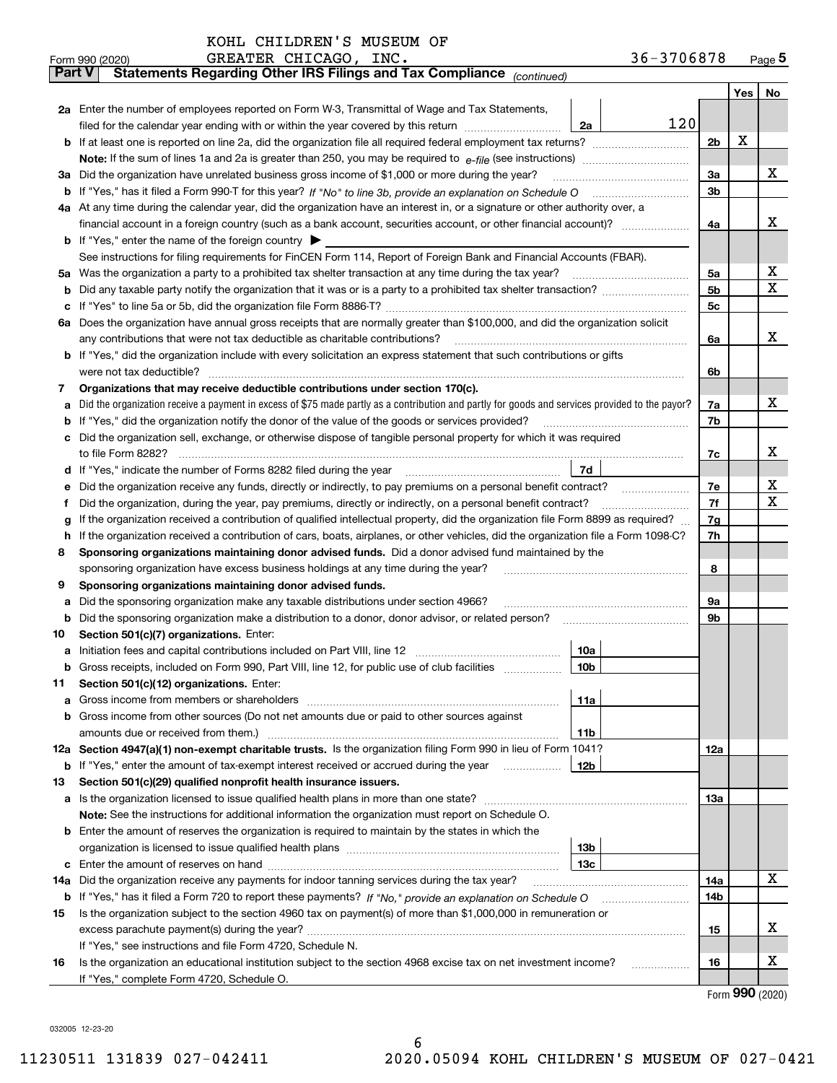|               | GREATER CHICAGO, INC.<br>36-3706878<br>Form 990 (2020)                                                                                          |     |     | Page $5$ |  |  |  |  |  |  |  |
|---------------|-------------------------------------------------------------------------------------------------------------------------------------------------|-----|-----|----------|--|--|--|--|--|--|--|
| <b>Part V</b> | Statements Regarding Other IRS Filings and Tax Compliance (continued)                                                                           |     |     |          |  |  |  |  |  |  |  |
|               |                                                                                                                                                 |     | Yes | No       |  |  |  |  |  |  |  |
|               | 2a Enter the number of employees reported on Form W-3, Transmittal of Wage and Tax Statements,                                                  |     |     |          |  |  |  |  |  |  |  |
|               | 120<br>filed for the calendar year ending with or within the year covered by this return <i>manumumumum</i><br>2a                               |     |     |          |  |  |  |  |  |  |  |
|               |                                                                                                                                                 |     |     |          |  |  |  |  |  |  |  |
|               |                                                                                                                                                 |     |     |          |  |  |  |  |  |  |  |
| За            | Did the organization have unrelated business gross income of \$1,000 or more during the year?                                                   | 3a  |     | х        |  |  |  |  |  |  |  |
|               |                                                                                                                                                 | 3b  |     |          |  |  |  |  |  |  |  |
|               | 4a At any time during the calendar year, did the organization have an interest in, or a signature or other authority over, a                    |     |     |          |  |  |  |  |  |  |  |
|               |                                                                                                                                                 |     |     | x        |  |  |  |  |  |  |  |
|               |                                                                                                                                                 | 4a  |     |          |  |  |  |  |  |  |  |
|               | <b>b</b> If "Yes," enter the name of the foreign country $\blacktriangleright$                                                                  |     |     |          |  |  |  |  |  |  |  |
|               | See instructions for filing requirements for FinCEN Form 114, Report of Foreign Bank and Financial Accounts (FBAR).                             |     |     |          |  |  |  |  |  |  |  |
|               |                                                                                                                                                 | 5a  |     | х        |  |  |  |  |  |  |  |
|               |                                                                                                                                                 | 5b  |     | х        |  |  |  |  |  |  |  |
|               |                                                                                                                                                 | 5c  |     |          |  |  |  |  |  |  |  |
|               | 6a Does the organization have annual gross receipts that are normally greater than \$100,000, and did the organization solicit                  |     |     |          |  |  |  |  |  |  |  |
|               |                                                                                                                                                 | 6a  |     | х        |  |  |  |  |  |  |  |
|               | <b>b</b> If "Yes," did the organization include with every solicitation an express statement that such contributions or gifts                   |     |     |          |  |  |  |  |  |  |  |
|               |                                                                                                                                                 | 6b  |     |          |  |  |  |  |  |  |  |
| 7             | Organizations that may receive deductible contributions under section 170(c).                                                                   |     |     |          |  |  |  |  |  |  |  |
| а             | Did the organization receive a payment in excess of \$75 made partly as a contribution and partly for goods and services provided to the payor? | 7a  |     | х        |  |  |  |  |  |  |  |
|               | <b>b</b> If "Yes," did the organization notify the donor of the value of the goods or services provided?                                        | 7b  |     |          |  |  |  |  |  |  |  |
|               | c Did the organization sell, exchange, or otherwise dispose of tangible personal property for which it was required                             |     |     |          |  |  |  |  |  |  |  |
|               |                                                                                                                                                 | 7c  |     | x        |  |  |  |  |  |  |  |
|               | 7d                                                                                                                                              |     |     |          |  |  |  |  |  |  |  |
| е             | Did the organization receive any funds, directly or indirectly, to pay premiums on a personal benefit contract?                                 | 7e  |     | X        |  |  |  |  |  |  |  |
| f             | Did the organization, during the year, pay premiums, directly or indirectly, on a personal benefit contract?                                    | 7f  |     | X        |  |  |  |  |  |  |  |
| g             | If the organization received a contribution of qualified intellectual property, did the organization file Form 8899 as required?                | 7g  |     |          |  |  |  |  |  |  |  |
| h.            | If the organization received a contribution of cars, boats, airplanes, or other vehicles, did the organization file a Form 1098-C?              | 7h  |     |          |  |  |  |  |  |  |  |
| 8             | Sponsoring organizations maintaining donor advised funds. Did a donor advised fund maintained by the                                            |     |     |          |  |  |  |  |  |  |  |
|               | sponsoring organization have excess business holdings at any time during the year?                                                              | 8   |     |          |  |  |  |  |  |  |  |
| 9             | Sponsoring organizations maintaining donor advised funds.                                                                                       |     |     |          |  |  |  |  |  |  |  |
|               | Did the sponsoring organization make any taxable distributions under section 4966?                                                              | 9а  |     |          |  |  |  |  |  |  |  |
| а             |                                                                                                                                                 | 9b  |     |          |  |  |  |  |  |  |  |
|               | <b>b</b> Did the sponsoring organization make a distribution to a donor, donor advisor, or related person?                                      |     |     |          |  |  |  |  |  |  |  |
| 10            | Section 501(c)(7) organizations. Enter:                                                                                                         |     |     |          |  |  |  |  |  |  |  |
|               | 10a                                                                                                                                             |     |     |          |  |  |  |  |  |  |  |
|               | 10 <sub>b</sub><br>Gross receipts, included on Form 990, Part VIII, line 12, for public use of club facilities                                  |     |     |          |  |  |  |  |  |  |  |
| 11            | Section 501(c)(12) organizations. Enter:                                                                                                        |     |     |          |  |  |  |  |  |  |  |
|               | 11a                                                                                                                                             |     |     |          |  |  |  |  |  |  |  |
|               | b Gross income from other sources (Do not net amounts due or paid to other sources against                                                      |     |     |          |  |  |  |  |  |  |  |
|               | 11b                                                                                                                                             |     |     |          |  |  |  |  |  |  |  |
|               | 12a Section 4947(a)(1) non-exempt charitable trusts. Is the organization filing Form 990 in lieu of Form 1041?                                  | 12a |     |          |  |  |  |  |  |  |  |
|               | 12b<br><b>b</b> If "Yes," enter the amount of tax-exempt interest received or accrued during the year <i>manument</i>                           |     |     |          |  |  |  |  |  |  |  |
| 13            | Section 501(c)(29) qualified nonprofit health insurance issuers.                                                                                |     |     |          |  |  |  |  |  |  |  |
|               | a Is the organization licensed to issue qualified health plans in more than one state?                                                          | 13а |     |          |  |  |  |  |  |  |  |
|               | Note: See the instructions for additional information the organization must report on Schedule O.                                               |     |     |          |  |  |  |  |  |  |  |
|               | <b>b</b> Enter the amount of reserves the organization is required to maintain by the states in which the                                       |     |     |          |  |  |  |  |  |  |  |
|               | 13b                                                                                                                                             |     |     |          |  |  |  |  |  |  |  |
|               | 13с                                                                                                                                             |     |     |          |  |  |  |  |  |  |  |
| 14a           | Did the organization receive any payments for indoor tanning services during the tax year?                                                      | 14a |     | х        |  |  |  |  |  |  |  |
|               | <b>b</b> If "Yes," has it filed a Form 720 to report these payments? If "No," provide an explanation on Schedule O                              |     |     |          |  |  |  |  |  |  |  |
| 15            | Is the organization subject to the section 4960 tax on payment(s) of more than \$1,000,000 in remuneration or                                   |     |     |          |  |  |  |  |  |  |  |
|               |                                                                                                                                                 | 15  |     | X        |  |  |  |  |  |  |  |
|               | If "Yes," see instructions and file Form 4720, Schedule N.                                                                                      |     |     |          |  |  |  |  |  |  |  |
| 16            | Is the organization an educational institution subject to the section 4968 excise tax on net investment income?                                 | 16  |     | X        |  |  |  |  |  |  |  |
|               | If "Yes," complete Form 4720, Schedule O.                                                                                                       |     |     |          |  |  |  |  |  |  |  |

Form (2020) **990**

032005 12-23-20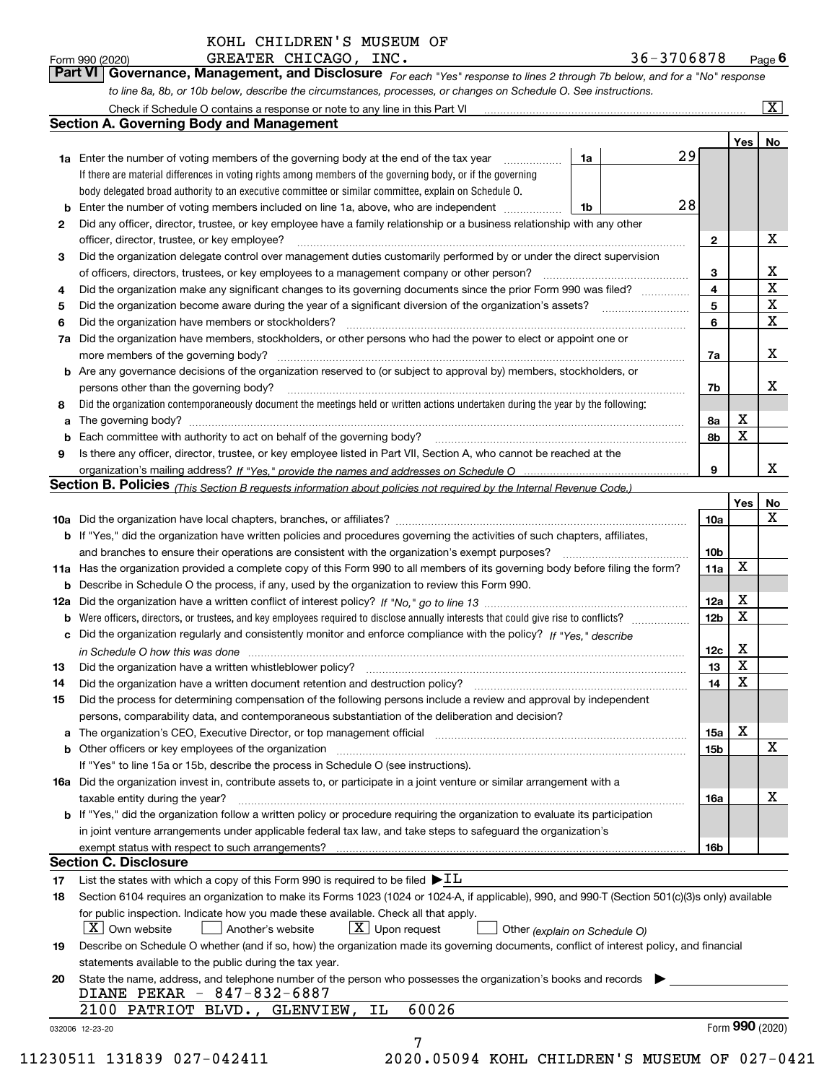| 36-3706878 |  |  |  | $_{\text{Page}}$ $\boldsymbol{\mathsf{f}}$ |  |
|------------|--|--|--|--------------------------------------------|--|
|            |  |  |  |                                            |  |

*For each "Yes" response to lines 2 through 7b below, and for a "No" response to line 8a, 8b, or 10b below, describe the circumstances, processes, or changes on Schedule O. See instructions.* Form 990 (2020) **CREATER CHICAGO, INC.** 36-3706878 Page 6<br>**Part VI Governance, Management, and Disclosure** For each "Yes" response to lines 2 through 7b below, and for a "No" response

| 2<br>3<br>4<br>5<br>6<br>7a<br>8<br>а<br>9 | <b>1a</b> Enter the number of voting members of the governing body at the end of the tax year <i>manumum</i><br>If there are material differences in voting rights among members of the governing body, or if the governing<br>body delegated broad authority to an executive committee or similar committee, explain on Schedule O.<br>Enter the number of voting members included on line 1a, above, who are independent<br>Did any officer, director, trustee, or key employee have a family relationship or a business relationship with any other<br>officer, director, trustee, or key employee?<br>Did the organization delegate control over management duties customarily performed by or under the direct supervision<br>Did the organization make any significant changes to its governing documents since the prior Form 990 was filed?<br>Did the organization have members or stockholders?<br>Did the organization have members, stockholders, or other persons who had the power to elect or appoint one or<br><b>b</b> Are any governance decisions of the organization reserved to (or subject to approval by) members, stockholders, or<br>persons other than the governing body?<br>Did the organization contemporaneously document the meetings held or written actions undertaken during the year by the following: | 1a<br>1b                      | 29<br>28 | $\mathbf{2}$<br>3<br>4<br>5<br>6 |                 | х<br>х<br>$\mathbf X$<br>X<br>$\mathbf x$ |
|--------------------------------------------|-------------------------------------------------------------------------------------------------------------------------------------------------------------------------------------------------------------------------------------------------------------------------------------------------------------------------------------------------------------------------------------------------------------------------------------------------------------------------------------------------------------------------------------------------------------------------------------------------------------------------------------------------------------------------------------------------------------------------------------------------------------------------------------------------------------------------------------------------------------------------------------------------------------------------------------------------------------------------------------------------------------------------------------------------------------------------------------------------------------------------------------------------------------------------------------------------------------------------------------------------------------------------------------------------------------------------------------------|-------------------------------|----------|----------------------------------|-----------------|-------------------------------------------|
|                                            |                                                                                                                                                                                                                                                                                                                                                                                                                                                                                                                                                                                                                                                                                                                                                                                                                                                                                                                                                                                                                                                                                                                                                                                                                                                                                                                                           |                               |          |                                  |                 |                                           |
|                                            |                                                                                                                                                                                                                                                                                                                                                                                                                                                                                                                                                                                                                                                                                                                                                                                                                                                                                                                                                                                                                                                                                                                                                                                                                                                                                                                                           |                               |          |                                  |                 |                                           |
|                                            |                                                                                                                                                                                                                                                                                                                                                                                                                                                                                                                                                                                                                                                                                                                                                                                                                                                                                                                                                                                                                                                                                                                                                                                                                                                                                                                                           |                               |          |                                  |                 |                                           |
|                                            |                                                                                                                                                                                                                                                                                                                                                                                                                                                                                                                                                                                                                                                                                                                                                                                                                                                                                                                                                                                                                                                                                                                                                                                                                                                                                                                                           |                               |          |                                  |                 |                                           |
|                                            |                                                                                                                                                                                                                                                                                                                                                                                                                                                                                                                                                                                                                                                                                                                                                                                                                                                                                                                                                                                                                                                                                                                                                                                                                                                                                                                                           |                               |          |                                  |                 |                                           |
|                                            |                                                                                                                                                                                                                                                                                                                                                                                                                                                                                                                                                                                                                                                                                                                                                                                                                                                                                                                                                                                                                                                                                                                                                                                                                                                                                                                                           |                               |          |                                  |                 |                                           |
|                                            |                                                                                                                                                                                                                                                                                                                                                                                                                                                                                                                                                                                                                                                                                                                                                                                                                                                                                                                                                                                                                                                                                                                                                                                                                                                                                                                                           |                               |          |                                  |                 |                                           |
|                                            |                                                                                                                                                                                                                                                                                                                                                                                                                                                                                                                                                                                                                                                                                                                                                                                                                                                                                                                                                                                                                                                                                                                                                                                                                                                                                                                                           |                               |          |                                  |                 |                                           |
|                                            |                                                                                                                                                                                                                                                                                                                                                                                                                                                                                                                                                                                                                                                                                                                                                                                                                                                                                                                                                                                                                                                                                                                                                                                                                                                                                                                                           |                               |          |                                  |                 |                                           |
|                                            |                                                                                                                                                                                                                                                                                                                                                                                                                                                                                                                                                                                                                                                                                                                                                                                                                                                                                                                                                                                                                                                                                                                                                                                                                                                                                                                                           |                               |          |                                  |                 |                                           |
|                                            |                                                                                                                                                                                                                                                                                                                                                                                                                                                                                                                                                                                                                                                                                                                                                                                                                                                                                                                                                                                                                                                                                                                                                                                                                                                                                                                                           |                               |          |                                  |                 |                                           |
|                                            |                                                                                                                                                                                                                                                                                                                                                                                                                                                                                                                                                                                                                                                                                                                                                                                                                                                                                                                                                                                                                                                                                                                                                                                                                                                                                                                                           |                               |          |                                  |                 |                                           |
|                                            |                                                                                                                                                                                                                                                                                                                                                                                                                                                                                                                                                                                                                                                                                                                                                                                                                                                                                                                                                                                                                                                                                                                                                                                                                                                                                                                                           |                               |          | 7a                               |                 | х                                         |
|                                            |                                                                                                                                                                                                                                                                                                                                                                                                                                                                                                                                                                                                                                                                                                                                                                                                                                                                                                                                                                                                                                                                                                                                                                                                                                                                                                                                           |                               |          |                                  |                 |                                           |
|                                            |                                                                                                                                                                                                                                                                                                                                                                                                                                                                                                                                                                                                                                                                                                                                                                                                                                                                                                                                                                                                                                                                                                                                                                                                                                                                                                                                           |                               |          | 7b                               |                 | x                                         |
|                                            |                                                                                                                                                                                                                                                                                                                                                                                                                                                                                                                                                                                                                                                                                                                                                                                                                                                                                                                                                                                                                                                                                                                                                                                                                                                                                                                                           |                               |          |                                  |                 |                                           |
|                                            |                                                                                                                                                                                                                                                                                                                                                                                                                                                                                                                                                                                                                                                                                                                                                                                                                                                                                                                                                                                                                                                                                                                                                                                                                                                                                                                                           |                               |          | 8a                               | х               |                                           |
|                                            |                                                                                                                                                                                                                                                                                                                                                                                                                                                                                                                                                                                                                                                                                                                                                                                                                                                                                                                                                                                                                                                                                                                                                                                                                                                                                                                                           |                               |          | 8b                               | X               |                                           |
|                                            | Is there any officer, director, trustee, or key employee listed in Part VII, Section A, who cannot be reached at the                                                                                                                                                                                                                                                                                                                                                                                                                                                                                                                                                                                                                                                                                                                                                                                                                                                                                                                                                                                                                                                                                                                                                                                                                      |                               |          |                                  |                 |                                           |
|                                            |                                                                                                                                                                                                                                                                                                                                                                                                                                                                                                                                                                                                                                                                                                                                                                                                                                                                                                                                                                                                                                                                                                                                                                                                                                                                                                                                           |                               |          | 9                                |                 | х                                         |
|                                            | Section B. Policies (This Section B requests information about policies not required by the Internal Revenue Code.)                                                                                                                                                                                                                                                                                                                                                                                                                                                                                                                                                                                                                                                                                                                                                                                                                                                                                                                                                                                                                                                                                                                                                                                                                       |                               |          |                                  |                 |                                           |
|                                            |                                                                                                                                                                                                                                                                                                                                                                                                                                                                                                                                                                                                                                                                                                                                                                                                                                                                                                                                                                                                                                                                                                                                                                                                                                                                                                                                           |                               |          |                                  | Yes             | No                                        |
|                                            |                                                                                                                                                                                                                                                                                                                                                                                                                                                                                                                                                                                                                                                                                                                                                                                                                                                                                                                                                                                                                                                                                                                                                                                                                                                                                                                                           |                               |          | 10a                              |                 | X                                         |
|                                            | b If "Yes," did the organization have written policies and procedures governing the activities of such chapters, affiliates,                                                                                                                                                                                                                                                                                                                                                                                                                                                                                                                                                                                                                                                                                                                                                                                                                                                                                                                                                                                                                                                                                                                                                                                                              |                               |          |                                  |                 |                                           |
|                                            |                                                                                                                                                                                                                                                                                                                                                                                                                                                                                                                                                                                                                                                                                                                                                                                                                                                                                                                                                                                                                                                                                                                                                                                                                                                                                                                                           |                               |          | 10b                              |                 |                                           |
|                                            | 11a Has the organization provided a complete copy of this Form 990 to all members of its governing body before filing the form?                                                                                                                                                                                                                                                                                                                                                                                                                                                                                                                                                                                                                                                                                                                                                                                                                                                                                                                                                                                                                                                                                                                                                                                                           |                               |          | 11a                              | X               |                                           |
| b                                          | Describe in Schedule O the process, if any, used by the organization to review this Form 990.                                                                                                                                                                                                                                                                                                                                                                                                                                                                                                                                                                                                                                                                                                                                                                                                                                                                                                                                                                                                                                                                                                                                                                                                                                             |                               |          |                                  |                 |                                           |
| 12a                                        |                                                                                                                                                                                                                                                                                                                                                                                                                                                                                                                                                                                                                                                                                                                                                                                                                                                                                                                                                                                                                                                                                                                                                                                                                                                                                                                                           |                               |          | 12a                              | х               |                                           |
| b                                          |                                                                                                                                                                                                                                                                                                                                                                                                                                                                                                                                                                                                                                                                                                                                                                                                                                                                                                                                                                                                                                                                                                                                                                                                                                                                                                                                           |                               |          | 12b                              | X               |                                           |
| c                                          | Did the organization regularly and consistently monitor and enforce compliance with the policy? If "Yes," describe                                                                                                                                                                                                                                                                                                                                                                                                                                                                                                                                                                                                                                                                                                                                                                                                                                                                                                                                                                                                                                                                                                                                                                                                                        |                               |          |                                  |                 |                                           |
|                                            | in Schedule O how this was done www.communication.com/www.communications.com/www.communications.com/                                                                                                                                                                                                                                                                                                                                                                                                                                                                                                                                                                                                                                                                                                                                                                                                                                                                                                                                                                                                                                                                                                                                                                                                                                      |                               |          | 12c                              | х               |                                           |
| 13                                         |                                                                                                                                                                                                                                                                                                                                                                                                                                                                                                                                                                                                                                                                                                                                                                                                                                                                                                                                                                                                                                                                                                                                                                                                                                                                                                                                           |                               |          | 13                               | X               |                                           |
| 14                                         | Did the organization have a written document retention and destruction policy? manufactured and the organization have a written document retention and destruction policy?                                                                                                                                                                                                                                                                                                                                                                                                                                                                                                                                                                                                                                                                                                                                                                                                                                                                                                                                                                                                                                                                                                                                                                |                               |          | 14                               | X               |                                           |
| 15                                         | Did the process for determining compensation of the following persons include a review and approval by independent                                                                                                                                                                                                                                                                                                                                                                                                                                                                                                                                                                                                                                                                                                                                                                                                                                                                                                                                                                                                                                                                                                                                                                                                                        |                               |          |                                  |                 |                                           |
|                                            | persons, comparability data, and contemporaneous substantiation of the deliberation and decision?                                                                                                                                                                                                                                                                                                                                                                                                                                                                                                                                                                                                                                                                                                                                                                                                                                                                                                                                                                                                                                                                                                                                                                                                                                         |                               |          |                                  |                 |                                           |
| а                                          |                                                                                                                                                                                                                                                                                                                                                                                                                                                                                                                                                                                                                                                                                                                                                                                                                                                                                                                                                                                                                                                                                                                                                                                                                                                                                                                                           |                               |          | 15a                              | х               |                                           |
|                                            | <b>b</b> Other officers or key employees of the organization                                                                                                                                                                                                                                                                                                                                                                                                                                                                                                                                                                                                                                                                                                                                                                                                                                                                                                                                                                                                                                                                                                                                                                                                                                                                              |                               |          | 15 <sub>b</sub>                  |                 | х                                         |
|                                            | If "Yes" to line 15a or 15b, describe the process in Schedule O (see instructions).                                                                                                                                                                                                                                                                                                                                                                                                                                                                                                                                                                                                                                                                                                                                                                                                                                                                                                                                                                                                                                                                                                                                                                                                                                                       |                               |          |                                  |                 |                                           |
|                                            | 16a Did the organization invest in, contribute assets to, or participate in a joint venture or similar arrangement with a                                                                                                                                                                                                                                                                                                                                                                                                                                                                                                                                                                                                                                                                                                                                                                                                                                                                                                                                                                                                                                                                                                                                                                                                                 |                               |          |                                  |                 |                                           |
|                                            | taxable entity during the year?                                                                                                                                                                                                                                                                                                                                                                                                                                                                                                                                                                                                                                                                                                                                                                                                                                                                                                                                                                                                                                                                                                                                                                                                                                                                                                           |                               |          | 16a                              |                 | х                                         |
|                                            | b If "Yes," did the organization follow a written policy or procedure requiring the organization to evaluate its participation                                                                                                                                                                                                                                                                                                                                                                                                                                                                                                                                                                                                                                                                                                                                                                                                                                                                                                                                                                                                                                                                                                                                                                                                            |                               |          |                                  |                 |                                           |
|                                            | in joint venture arrangements under applicable federal tax law, and take steps to safeguard the organization's                                                                                                                                                                                                                                                                                                                                                                                                                                                                                                                                                                                                                                                                                                                                                                                                                                                                                                                                                                                                                                                                                                                                                                                                                            |                               |          |                                  |                 |                                           |
|                                            |                                                                                                                                                                                                                                                                                                                                                                                                                                                                                                                                                                                                                                                                                                                                                                                                                                                                                                                                                                                                                                                                                                                                                                                                                                                                                                                                           |                               |          | 16b                              |                 |                                           |
|                                            | <b>Section C. Disclosure</b>                                                                                                                                                                                                                                                                                                                                                                                                                                                                                                                                                                                                                                                                                                                                                                                                                                                                                                                                                                                                                                                                                                                                                                                                                                                                                                              |                               |          |                                  |                 |                                           |
| 17                                         | List the states with which a copy of this Form 990 is required to be filed $\blacktriangleright$ IL                                                                                                                                                                                                                                                                                                                                                                                                                                                                                                                                                                                                                                                                                                                                                                                                                                                                                                                                                                                                                                                                                                                                                                                                                                       |                               |          |                                  |                 |                                           |
| 18                                         | Section 6104 requires an organization to make its Forms 1023 (1024 or 1024-A, if applicable), 990, and 990-T (Section 501(c)(3)s only) available                                                                                                                                                                                                                                                                                                                                                                                                                                                                                                                                                                                                                                                                                                                                                                                                                                                                                                                                                                                                                                                                                                                                                                                          |                               |          |                                  |                 |                                           |
|                                            | for public inspection. Indicate how you made these available. Check all that apply.                                                                                                                                                                                                                                                                                                                                                                                                                                                                                                                                                                                                                                                                                                                                                                                                                                                                                                                                                                                                                                                                                                                                                                                                                                                       |                               |          |                                  |                 |                                           |
|                                            | $\boxed{\textbf{X}}$ Upon request<br>$\mid$ $\rm X \mid$ Own website<br>Another's website                                                                                                                                                                                                                                                                                                                                                                                                                                                                                                                                                                                                                                                                                                                                                                                                                                                                                                                                                                                                                                                                                                                                                                                                                                                 | Other (explain on Schedule O) |          |                                  |                 |                                           |
| 19                                         | Describe on Schedule O whether (and if so, how) the organization made its governing documents, conflict of interest policy, and financial                                                                                                                                                                                                                                                                                                                                                                                                                                                                                                                                                                                                                                                                                                                                                                                                                                                                                                                                                                                                                                                                                                                                                                                                 |                               |          |                                  |                 |                                           |
|                                            | statements available to the public during the tax year.                                                                                                                                                                                                                                                                                                                                                                                                                                                                                                                                                                                                                                                                                                                                                                                                                                                                                                                                                                                                                                                                                                                                                                                                                                                                                   |                               |          |                                  |                 |                                           |
| 20                                         | State the name, address, and telephone number of the person who possesses the organization's books and records                                                                                                                                                                                                                                                                                                                                                                                                                                                                                                                                                                                                                                                                                                                                                                                                                                                                                                                                                                                                                                                                                                                                                                                                                            |                               |          |                                  |                 |                                           |
|                                            | DIANE PEKAR - 847-832-6887                                                                                                                                                                                                                                                                                                                                                                                                                                                                                                                                                                                                                                                                                                                                                                                                                                                                                                                                                                                                                                                                                                                                                                                                                                                                                                                |                               |          |                                  |                 |                                           |
|                                            | 60026<br>2100 PATRIOT BLVD., GLENVIEW,<br>ΙL                                                                                                                                                                                                                                                                                                                                                                                                                                                                                                                                                                                                                                                                                                                                                                                                                                                                                                                                                                                                                                                                                                                                                                                                                                                                                              |                               |          |                                  |                 |                                           |
| 032006 12-23-20                            |                                                                                                                                                                                                                                                                                                                                                                                                                                                                                                                                                                                                                                                                                                                                                                                                                                                                                                                                                                                                                                                                                                                                                                                                                                                                                                                                           |                               |          |                                  | Form 990 (2020) |                                           |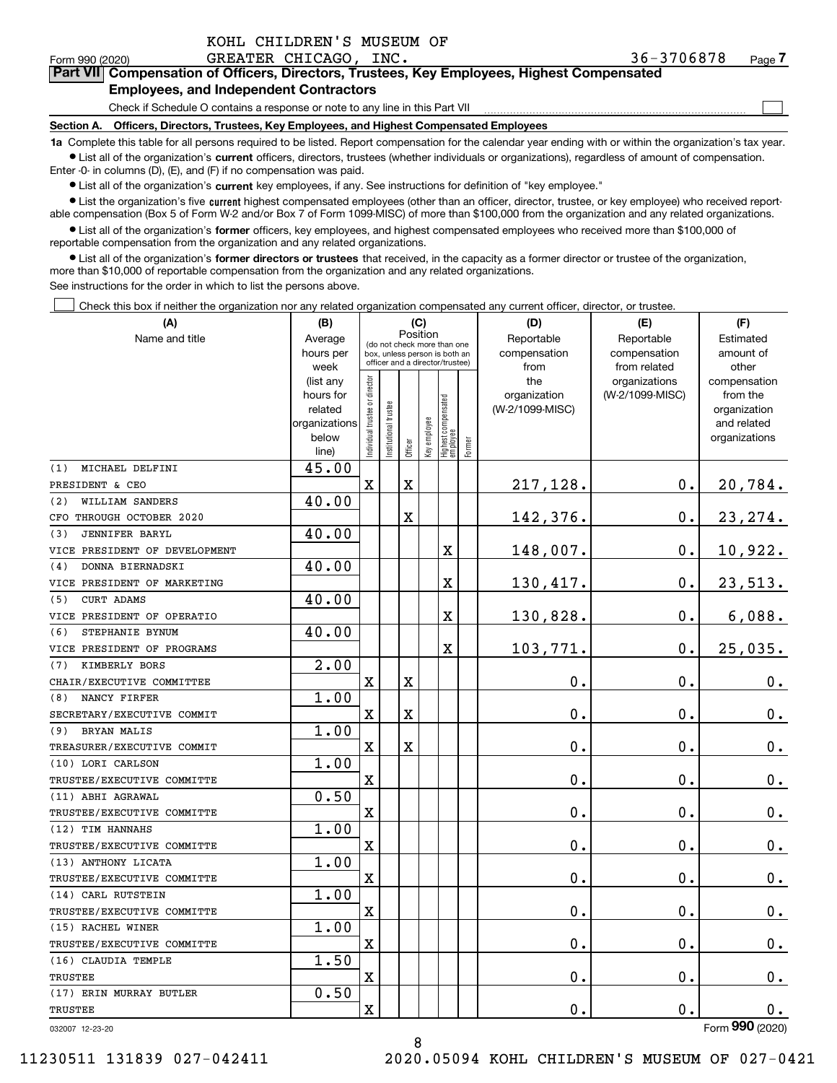| KOHL CHILDREN'S MUSEUM OF |  |  |
|---------------------------|--|--|
|                           |  |  |

 $\mathcal{L}^{\text{max}}$ 

#### Form 990 (2020) GREATER CHICAGO,INC. 36-3706878 page **7Part VII Compensation of Officers, Directors, Trustees, Key Employees, Highest Compensated Employees, and Independent Contractors**

Check if Schedule O contains a response or note to any line in this Part VII

**Section A. Officers, Directors, Trustees, Key Employees, and Highest Compensated Employees**

**1a**  Complete this table for all persons required to be listed. Report compensation for the calendar year ending with or within the organization's tax year. **•** List all of the organization's current officers, directors, trustees (whether individuals or organizations), regardless of amount of compensation.

Enter -0- in columns (D), (E), and (F) if no compensation was paid.

 $\bullet$  List all of the organization's  $\,$ current key employees, if any. See instructions for definition of "key employee."

**•** List the organization's five current highest compensated employees (other than an officer, director, trustee, or key employee) who received reportable compensation (Box 5 of Form W-2 and/or Box 7 of Form 1099-MISC) of more than \$100,000 from the organization and any related organizations.

**•** List all of the organization's former officers, key employees, and highest compensated employees who received more than \$100,000 of reportable compensation from the organization and any related organizations.

**former directors or trustees**  ¥ List all of the organization's that received, in the capacity as a former director or trustee of the organization, more than \$10,000 of reportable compensation from the organization and any related organizations.

See instructions for the order in which to list the persons above.

Check this box if neither the organization nor any related organization compensated any current officer, director, or trustee.  $\mathcal{L}^{\text{max}}$ 

| Position<br>Name and title<br>Reportable<br>Reportable<br>Average<br>Estimated<br>(do not check more than one<br>hours per<br>compensation<br>compensation<br>amount of<br>box, unless person is both an<br>officer and a director/trustee)<br>week<br>from<br>from related<br>other<br>Individual trustee or director<br>the<br>organizations<br>compensation<br>(list any<br>hours for<br>organization<br>(W-2/1099-MISC)<br>from the<br>Highest compensated<br> employee<br>Institutional trustee<br>(W-2/1099-MISC)<br>related<br>organization<br>Key employee<br>organizations<br>and related<br>below<br>organizations<br>Former<br>Officer<br>line)<br>45.00<br>MICHAEL DELFINI<br>(1)<br>$\mathbf X$<br>217,128.<br>0.<br>20,784.<br>X<br>PRESIDENT & CEO<br>40.00<br>WILLIAM SANDERS<br>(2)<br>X<br>142,376.<br>0.<br>23, 274.<br>CFO THROUGH OCTOBER 2020<br>40.00<br>(3)<br><b>JENNIFER BARYL</b><br>10,922.<br>148,007.<br>0.<br>$\mathbf X$<br>VICE PRESIDENT OF DEVELOPMENT<br>40.00<br>DONNA BIERNADSKI<br>(4)<br>X<br>130,417.<br>0.<br>23,513.<br>VICE PRESIDENT OF MARKETING<br>40.00<br>CURT ADAMS<br>(5)<br>X<br>130,828.<br>0.<br>6,088.<br>VICE PRESIDENT OF OPERATIO<br>40.00<br>(6)<br>STEPHANIE BYNUM<br>X<br>103,771.<br>0.<br>25,035.<br>VICE PRESIDENT OF PROGRAMS<br>2.00<br>KIMBERLY BORS<br>(7)<br>$\mathbf 0$ .<br>0.<br>X<br>X<br>$0_{.}$<br>CHAIR/EXECUTIVE COMMITTEE<br>1.00<br>NANCY FIRFER<br>(8)<br>0.<br>$\mathbf x$<br>X<br>0.<br>$0_{.}$<br>SECRETARY/EXECUTIVE COMMIT<br>1.00<br><b>BRYAN MALIS</b><br>(9)<br>$\rm X$<br>X<br>0.<br>0.<br>0.<br>TREASURER/EXECUTIVE COMMIT<br>1.00<br>(10) LORI CARLSON<br>0.<br>X<br>0.<br>$0_{.}$<br>TRUSTEE/EXECUTIVE COMMITTE<br>0.50<br>(11) ABHI AGRAWAL<br>X<br>$\mathbf 0$ .<br>$\mathbf 0$ .<br>0.<br>TRUSTEE/EXECUTIVE COMMITTE<br>1.00<br>(12) TIM HANNAHS<br>$\overline{\text{X}}$<br>0.<br>0.<br>$0_{.}$<br>TRUSTEE/EXECUTIVE COMMITTE<br>1.00<br>(13) ANTHONY LICATA<br>X<br>0.<br>0.<br>$\mathbf 0$ .<br>TRUSTEE/EXECUTIVE COMMITTE<br>1.00<br>(14) CARL RUTSTEIN<br>0.<br>0.<br>$\mathbf 0$ .<br>X<br>TRUSTEE/EXECUTIVE COMMITTE<br>1.00<br>(15) RACHEL WINER<br>X<br>0.<br>0.<br>0.<br>TRUSTEE/EXECUTIVE COMMITTE<br>1.50<br>(16) CLAUDIA TEMPLE<br>0.<br>X<br>0.<br>$\mathbf 0$ .<br><b>TRUSTEE</b><br>0.50<br>(17) ERIN MURRAY BUTLER<br>0.<br>$\mathbf X$<br>0.<br>$\mathbf 0$ .<br>TRUSTEE<br>$\overline{2}$ | (A) | (C)<br>(B) |  |  | (D) | (E) | (F) |  |  |
|-------------------------------------------------------------------------------------------------------------------------------------------------------------------------------------------------------------------------------------------------------------------------------------------------------------------------------------------------------------------------------------------------------------------------------------------------------------------------------------------------------------------------------------------------------------------------------------------------------------------------------------------------------------------------------------------------------------------------------------------------------------------------------------------------------------------------------------------------------------------------------------------------------------------------------------------------------------------------------------------------------------------------------------------------------------------------------------------------------------------------------------------------------------------------------------------------------------------------------------------------------------------------------------------------------------------------------------------------------------------------------------------------------------------------------------------------------------------------------------------------------------------------------------------------------------------------------------------------------------------------------------------------------------------------------------------------------------------------------------------------------------------------------------------------------------------------------------------------------------------------------------------------------------------------------------------------------------------------------------------------------------------------------------------------------------------------------------------------------------------------------------------------------------------------------------------------------------------------------------------------------------------------------------------------------------------------------------------------------------------------------------------------------------|-----|------------|--|--|-----|-----|-----|--|--|
|                                                                                                                                                                                                                                                                                                                                                                                                                                                                                                                                                                                                                                                                                                                                                                                                                                                                                                                                                                                                                                                                                                                                                                                                                                                                                                                                                                                                                                                                                                                                                                                                                                                                                                                                                                                                                                                                                                                                                                                                                                                                                                                                                                                                                                                                                                                                                                                                             |     |            |  |  |     |     |     |  |  |
|                                                                                                                                                                                                                                                                                                                                                                                                                                                                                                                                                                                                                                                                                                                                                                                                                                                                                                                                                                                                                                                                                                                                                                                                                                                                                                                                                                                                                                                                                                                                                                                                                                                                                                                                                                                                                                                                                                                                                                                                                                                                                                                                                                                                                                                                                                                                                                                                             |     |            |  |  |     |     |     |  |  |
|                                                                                                                                                                                                                                                                                                                                                                                                                                                                                                                                                                                                                                                                                                                                                                                                                                                                                                                                                                                                                                                                                                                                                                                                                                                                                                                                                                                                                                                                                                                                                                                                                                                                                                                                                                                                                                                                                                                                                                                                                                                                                                                                                                                                                                                                                                                                                                                                             |     |            |  |  |     |     |     |  |  |
|                                                                                                                                                                                                                                                                                                                                                                                                                                                                                                                                                                                                                                                                                                                                                                                                                                                                                                                                                                                                                                                                                                                                                                                                                                                                                                                                                                                                                                                                                                                                                                                                                                                                                                                                                                                                                                                                                                                                                                                                                                                                                                                                                                                                                                                                                                                                                                                                             |     |            |  |  |     |     |     |  |  |
|                                                                                                                                                                                                                                                                                                                                                                                                                                                                                                                                                                                                                                                                                                                                                                                                                                                                                                                                                                                                                                                                                                                                                                                                                                                                                                                                                                                                                                                                                                                                                                                                                                                                                                                                                                                                                                                                                                                                                                                                                                                                                                                                                                                                                                                                                                                                                                                                             |     |            |  |  |     |     |     |  |  |
|                                                                                                                                                                                                                                                                                                                                                                                                                                                                                                                                                                                                                                                                                                                                                                                                                                                                                                                                                                                                                                                                                                                                                                                                                                                                                                                                                                                                                                                                                                                                                                                                                                                                                                                                                                                                                                                                                                                                                                                                                                                                                                                                                                                                                                                                                                                                                                                                             |     |            |  |  |     |     |     |  |  |
|                                                                                                                                                                                                                                                                                                                                                                                                                                                                                                                                                                                                                                                                                                                                                                                                                                                                                                                                                                                                                                                                                                                                                                                                                                                                                                                                                                                                                                                                                                                                                                                                                                                                                                                                                                                                                                                                                                                                                                                                                                                                                                                                                                                                                                                                                                                                                                                                             |     |            |  |  |     |     |     |  |  |
|                                                                                                                                                                                                                                                                                                                                                                                                                                                                                                                                                                                                                                                                                                                                                                                                                                                                                                                                                                                                                                                                                                                                                                                                                                                                                                                                                                                                                                                                                                                                                                                                                                                                                                                                                                                                                                                                                                                                                                                                                                                                                                                                                                                                                                                                                                                                                                                                             |     |            |  |  |     |     |     |  |  |
|                                                                                                                                                                                                                                                                                                                                                                                                                                                                                                                                                                                                                                                                                                                                                                                                                                                                                                                                                                                                                                                                                                                                                                                                                                                                                                                                                                                                                                                                                                                                                                                                                                                                                                                                                                                                                                                                                                                                                                                                                                                                                                                                                                                                                                                                                                                                                                                                             |     |            |  |  |     |     |     |  |  |
|                                                                                                                                                                                                                                                                                                                                                                                                                                                                                                                                                                                                                                                                                                                                                                                                                                                                                                                                                                                                                                                                                                                                                                                                                                                                                                                                                                                                                                                                                                                                                                                                                                                                                                                                                                                                                                                                                                                                                                                                                                                                                                                                                                                                                                                                                                                                                                                                             |     |            |  |  |     |     |     |  |  |
|                                                                                                                                                                                                                                                                                                                                                                                                                                                                                                                                                                                                                                                                                                                                                                                                                                                                                                                                                                                                                                                                                                                                                                                                                                                                                                                                                                                                                                                                                                                                                                                                                                                                                                                                                                                                                                                                                                                                                                                                                                                                                                                                                                                                                                                                                                                                                                                                             |     |            |  |  |     |     |     |  |  |
|                                                                                                                                                                                                                                                                                                                                                                                                                                                                                                                                                                                                                                                                                                                                                                                                                                                                                                                                                                                                                                                                                                                                                                                                                                                                                                                                                                                                                                                                                                                                                                                                                                                                                                                                                                                                                                                                                                                                                                                                                                                                                                                                                                                                                                                                                                                                                                                                             |     |            |  |  |     |     |     |  |  |
|                                                                                                                                                                                                                                                                                                                                                                                                                                                                                                                                                                                                                                                                                                                                                                                                                                                                                                                                                                                                                                                                                                                                                                                                                                                                                                                                                                                                                                                                                                                                                                                                                                                                                                                                                                                                                                                                                                                                                                                                                                                                                                                                                                                                                                                                                                                                                                                                             |     |            |  |  |     |     |     |  |  |
|                                                                                                                                                                                                                                                                                                                                                                                                                                                                                                                                                                                                                                                                                                                                                                                                                                                                                                                                                                                                                                                                                                                                                                                                                                                                                                                                                                                                                                                                                                                                                                                                                                                                                                                                                                                                                                                                                                                                                                                                                                                                                                                                                                                                                                                                                                                                                                                                             |     |            |  |  |     |     |     |  |  |
|                                                                                                                                                                                                                                                                                                                                                                                                                                                                                                                                                                                                                                                                                                                                                                                                                                                                                                                                                                                                                                                                                                                                                                                                                                                                                                                                                                                                                                                                                                                                                                                                                                                                                                                                                                                                                                                                                                                                                                                                                                                                                                                                                                                                                                                                                                                                                                                                             |     |            |  |  |     |     |     |  |  |
|                                                                                                                                                                                                                                                                                                                                                                                                                                                                                                                                                                                                                                                                                                                                                                                                                                                                                                                                                                                                                                                                                                                                                                                                                                                                                                                                                                                                                                                                                                                                                                                                                                                                                                                                                                                                                                                                                                                                                                                                                                                                                                                                                                                                                                                                                                                                                                                                             |     |            |  |  |     |     |     |  |  |
|                                                                                                                                                                                                                                                                                                                                                                                                                                                                                                                                                                                                                                                                                                                                                                                                                                                                                                                                                                                                                                                                                                                                                                                                                                                                                                                                                                                                                                                                                                                                                                                                                                                                                                                                                                                                                                                                                                                                                                                                                                                                                                                                                                                                                                                                                                                                                                                                             |     |            |  |  |     |     |     |  |  |
|                                                                                                                                                                                                                                                                                                                                                                                                                                                                                                                                                                                                                                                                                                                                                                                                                                                                                                                                                                                                                                                                                                                                                                                                                                                                                                                                                                                                                                                                                                                                                                                                                                                                                                                                                                                                                                                                                                                                                                                                                                                                                                                                                                                                                                                                                                                                                                                                             |     |            |  |  |     |     |     |  |  |
|                                                                                                                                                                                                                                                                                                                                                                                                                                                                                                                                                                                                                                                                                                                                                                                                                                                                                                                                                                                                                                                                                                                                                                                                                                                                                                                                                                                                                                                                                                                                                                                                                                                                                                                                                                                                                                                                                                                                                                                                                                                                                                                                                                                                                                                                                                                                                                                                             |     |            |  |  |     |     |     |  |  |
|                                                                                                                                                                                                                                                                                                                                                                                                                                                                                                                                                                                                                                                                                                                                                                                                                                                                                                                                                                                                                                                                                                                                                                                                                                                                                                                                                                                                                                                                                                                                                                                                                                                                                                                                                                                                                                                                                                                                                                                                                                                                                                                                                                                                                                                                                                                                                                                                             |     |            |  |  |     |     |     |  |  |
|                                                                                                                                                                                                                                                                                                                                                                                                                                                                                                                                                                                                                                                                                                                                                                                                                                                                                                                                                                                                                                                                                                                                                                                                                                                                                                                                                                                                                                                                                                                                                                                                                                                                                                                                                                                                                                                                                                                                                                                                                                                                                                                                                                                                                                                                                                                                                                                                             |     |            |  |  |     |     |     |  |  |
|                                                                                                                                                                                                                                                                                                                                                                                                                                                                                                                                                                                                                                                                                                                                                                                                                                                                                                                                                                                                                                                                                                                                                                                                                                                                                                                                                                                                                                                                                                                                                                                                                                                                                                                                                                                                                                                                                                                                                                                                                                                                                                                                                                                                                                                                                                                                                                                                             |     |            |  |  |     |     |     |  |  |
|                                                                                                                                                                                                                                                                                                                                                                                                                                                                                                                                                                                                                                                                                                                                                                                                                                                                                                                                                                                                                                                                                                                                                                                                                                                                                                                                                                                                                                                                                                                                                                                                                                                                                                                                                                                                                                                                                                                                                                                                                                                                                                                                                                                                                                                                                                                                                                                                             |     |            |  |  |     |     |     |  |  |
|                                                                                                                                                                                                                                                                                                                                                                                                                                                                                                                                                                                                                                                                                                                                                                                                                                                                                                                                                                                                                                                                                                                                                                                                                                                                                                                                                                                                                                                                                                                                                                                                                                                                                                                                                                                                                                                                                                                                                                                                                                                                                                                                                                                                                                                                                                                                                                                                             |     |            |  |  |     |     |     |  |  |
|                                                                                                                                                                                                                                                                                                                                                                                                                                                                                                                                                                                                                                                                                                                                                                                                                                                                                                                                                                                                                                                                                                                                                                                                                                                                                                                                                                                                                                                                                                                                                                                                                                                                                                                                                                                                                                                                                                                                                                                                                                                                                                                                                                                                                                                                                                                                                                                                             |     |            |  |  |     |     |     |  |  |
|                                                                                                                                                                                                                                                                                                                                                                                                                                                                                                                                                                                                                                                                                                                                                                                                                                                                                                                                                                                                                                                                                                                                                                                                                                                                                                                                                                                                                                                                                                                                                                                                                                                                                                                                                                                                                                                                                                                                                                                                                                                                                                                                                                                                                                                                                                                                                                                                             |     |            |  |  |     |     |     |  |  |
|                                                                                                                                                                                                                                                                                                                                                                                                                                                                                                                                                                                                                                                                                                                                                                                                                                                                                                                                                                                                                                                                                                                                                                                                                                                                                                                                                                                                                                                                                                                                                                                                                                                                                                                                                                                                                                                                                                                                                                                                                                                                                                                                                                                                                                                                                                                                                                                                             |     |            |  |  |     |     |     |  |  |
|                                                                                                                                                                                                                                                                                                                                                                                                                                                                                                                                                                                                                                                                                                                                                                                                                                                                                                                                                                                                                                                                                                                                                                                                                                                                                                                                                                                                                                                                                                                                                                                                                                                                                                                                                                                                                                                                                                                                                                                                                                                                                                                                                                                                                                                                                                                                                                                                             |     |            |  |  |     |     |     |  |  |
|                                                                                                                                                                                                                                                                                                                                                                                                                                                                                                                                                                                                                                                                                                                                                                                                                                                                                                                                                                                                                                                                                                                                                                                                                                                                                                                                                                                                                                                                                                                                                                                                                                                                                                                                                                                                                                                                                                                                                                                                                                                                                                                                                                                                                                                                                                                                                                                                             |     |            |  |  |     |     |     |  |  |
|                                                                                                                                                                                                                                                                                                                                                                                                                                                                                                                                                                                                                                                                                                                                                                                                                                                                                                                                                                                                                                                                                                                                                                                                                                                                                                                                                                                                                                                                                                                                                                                                                                                                                                                                                                                                                                                                                                                                                                                                                                                                                                                                                                                                                                                                                                                                                                                                             |     |            |  |  |     |     |     |  |  |
|                                                                                                                                                                                                                                                                                                                                                                                                                                                                                                                                                                                                                                                                                                                                                                                                                                                                                                                                                                                                                                                                                                                                                                                                                                                                                                                                                                                                                                                                                                                                                                                                                                                                                                                                                                                                                                                                                                                                                                                                                                                                                                                                                                                                                                                                                                                                                                                                             |     |            |  |  |     |     |     |  |  |
|                                                                                                                                                                                                                                                                                                                                                                                                                                                                                                                                                                                                                                                                                                                                                                                                                                                                                                                                                                                                                                                                                                                                                                                                                                                                                                                                                                                                                                                                                                                                                                                                                                                                                                                                                                                                                                                                                                                                                                                                                                                                                                                                                                                                                                                                                                                                                                                                             |     |            |  |  |     |     |     |  |  |
|                                                                                                                                                                                                                                                                                                                                                                                                                                                                                                                                                                                                                                                                                                                                                                                                                                                                                                                                                                                                                                                                                                                                                                                                                                                                                                                                                                                                                                                                                                                                                                                                                                                                                                                                                                                                                                                                                                                                                                                                                                                                                                                                                                                                                                                                                                                                                                                                             |     |            |  |  |     |     |     |  |  |
|                                                                                                                                                                                                                                                                                                                                                                                                                                                                                                                                                                                                                                                                                                                                                                                                                                                                                                                                                                                                                                                                                                                                                                                                                                                                                                                                                                                                                                                                                                                                                                                                                                                                                                                                                                                                                                                                                                                                                                                                                                                                                                                                                                                                                                                                                                                                                                                                             |     |            |  |  |     |     |     |  |  |
|                                                                                                                                                                                                                                                                                                                                                                                                                                                                                                                                                                                                                                                                                                                                                                                                                                                                                                                                                                                                                                                                                                                                                                                                                                                                                                                                                                                                                                                                                                                                                                                                                                                                                                                                                                                                                                                                                                                                                                                                                                                                                                                                                                                                                                                                                                                                                                                                             |     |            |  |  |     |     |     |  |  |
|                                                                                                                                                                                                                                                                                                                                                                                                                                                                                                                                                                                                                                                                                                                                                                                                                                                                                                                                                                                                                                                                                                                                                                                                                                                                                                                                                                                                                                                                                                                                                                                                                                                                                                                                                                                                                                                                                                                                                                                                                                                                                                                                                                                                                                                                                                                                                                                                             |     |            |  |  |     |     |     |  |  |
|                                                                                                                                                                                                                                                                                                                                                                                                                                                                                                                                                                                                                                                                                                                                                                                                                                                                                                                                                                                                                                                                                                                                                                                                                                                                                                                                                                                                                                                                                                                                                                                                                                                                                                                                                                                                                                                                                                                                                                                                                                                                                                                                                                                                                                                                                                                                                                                                             |     |            |  |  |     |     |     |  |  |
|                                                                                                                                                                                                                                                                                                                                                                                                                                                                                                                                                                                                                                                                                                                                                                                                                                                                                                                                                                                                                                                                                                                                                                                                                                                                                                                                                                                                                                                                                                                                                                                                                                                                                                                                                                                                                                                                                                                                                                                                                                                                                                                                                                                                                                                                                                                                                                                                             |     |            |  |  |     |     |     |  |  |
|                                                                                                                                                                                                                                                                                                                                                                                                                                                                                                                                                                                                                                                                                                                                                                                                                                                                                                                                                                                                                                                                                                                                                                                                                                                                                                                                                                                                                                                                                                                                                                                                                                                                                                                                                                                                                                                                                                                                                                                                                                                                                                                                                                                                                                                                                                                                                                                                             |     |            |  |  |     |     |     |  |  |
|                                                                                                                                                                                                                                                                                                                                                                                                                                                                                                                                                                                                                                                                                                                                                                                                                                                                                                                                                                                                                                                                                                                                                                                                                                                                                                                                                                                                                                                                                                                                                                                                                                                                                                                                                                                                                                                                                                                                                                                                                                                                                                                                                                                                                                                                                                                                                                                                             |     |            |  |  |     |     |     |  |  |
|                                                                                                                                                                                                                                                                                                                                                                                                                                                                                                                                                                                                                                                                                                                                                                                                                                                                                                                                                                                                                                                                                                                                                                                                                                                                                                                                                                                                                                                                                                                                                                                                                                                                                                                                                                                                                                                                                                                                                                                                                                                                                                                                                                                                                                                                                                                                                                                                             |     |            |  |  |     |     |     |  |  |
|                                                                                                                                                                                                                                                                                                                                                                                                                                                                                                                                                                                                                                                                                                                                                                                                                                                                                                                                                                                                                                                                                                                                                                                                                                                                                                                                                                                                                                                                                                                                                                                                                                                                                                                                                                                                                                                                                                                                                                                                                                                                                                                                                                                                                                                                                                                                                                                                             |     |            |  |  |     |     |     |  |  |

8

032007 12-23-20

Form (2020) **990**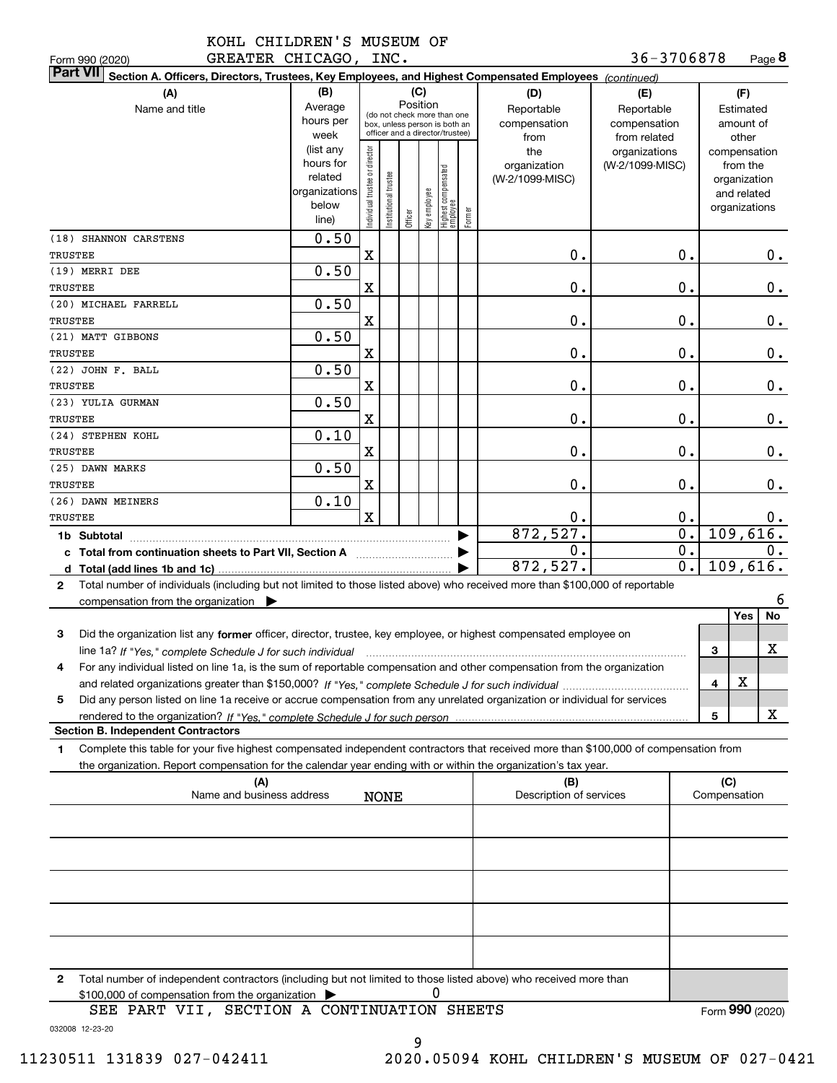| KOHL CHILDREN'S MUSEUM OF |  |
|---------------------------|--|
|                           |  |

**8**36-3706878

| Form 990 (2020)                                                                                                                                      | GREATER CHICAGO, INC.                                                |                               |                                                                                                 |                 |              |                                  |        |                                           | 36-3706878                                        |                             |              | Page 8                                                                   |
|------------------------------------------------------------------------------------------------------------------------------------------------------|----------------------------------------------------------------------|-------------------------------|-------------------------------------------------------------------------------------------------|-----------------|--------------|----------------------------------|--------|-------------------------------------------|---------------------------------------------------|-----------------------------|--------------|--------------------------------------------------------------------------|
| <b>Part VII</b><br>Section A. Officers, Directors, Trustees, Key Employees, and Highest Compensated Employees (continued)                            |                                                                      |                               |                                                                                                 |                 |              |                                  |        |                                           |                                                   |                             |              |                                                                          |
| (A)<br>Name and title                                                                                                                                | (B)<br>Average<br>hours per<br>week                                  |                               | (do not check more than one<br>box, unless person is both an<br>officer and a director/trustee) | (C)<br>Position |              |                                  |        | (D)<br>Reportable<br>compensation<br>from | (E)<br>Reportable<br>compensation<br>from related |                             |              | (F)<br>Estimated<br>amount of<br>other                                   |
|                                                                                                                                                      | (list any<br>hours for<br>related<br>organizations<br>below<br>line) | ndividual trustee or director | nstitutional trustee                                                                            | Officer         | əə/olduə /əy | Highest compensated<br> employee | Former | the<br>organization<br>(W-2/1099-MISC)    | organizations<br>(W-2/1099-MISC)                  |                             |              | compensation<br>from the<br>organization<br>and related<br>organizations |
| (18) SHANNON CARSTENS<br>TRUSTEE                                                                                                                     | 0.50                                                                 | $\mathbf X$                   |                                                                                                 |                 |              |                                  |        | 0.                                        |                                                   | 0.                          |              | 0.                                                                       |
| (19) MERRI DEE                                                                                                                                       | 0.50                                                                 |                               |                                                                                                 |                 |              |                                  |        |                                           |                                                   |                             |              |                                                                          |
| TRUSTEE                                                                                                                                              |                                                                      | X                             |                                                                                                 |                 |              |                                  |        | 0.                                        |                                                   | 0.                          |              | 0.                                                                       |
| (20) MICHAEL FARRELL                                                                                                                                 | 0.50                                                                 |                               |                                                                                                 |                 |              |                                  |        |                                           |                                                   |                             |              |                                                                          |
| TRUSTEE                                                                                                                                              |                                                                      | X                             |                                                                                                 |                 |              |                                  |        | 0.                                        |                                                   | 0.                          |              | 0.                                                                       |
| (21) MATT GIBBONS                                                                                                                                    | 0.50                                                                 |                               |                                                                                                 |                 |              |                                  |        |                                           |                                                   |                             |              |                                                                          |
| TRUSTEE                                                                                                                                              |                                                                      | X                             |                                                                                                 |                 |              |                                  |        | 0.                                        |                                                   | 0.                          |              | 0.                                                                       |
| (22) JOHN F. BALL                                                                                                                                    | 0.50                                                                 |                               |                                                                                                 |                 |              |                                  |        |                                           |                                                   |                             |              |                                                                          |
| TRUSTEE                                                                                                                                              |                                                                      | X                             |                                                                                                 |                 |              |                                  |        | 0.                                        |                                                   | 0.                          |              | $0_{.}$                                                                  |
| (23) YULIA GURMAN                                                                                                                                    | 0.50                                                                 |                               |                                                                                                 |                 |              |                                  |        |                                           |                                                   |                             |              |                                                                          |
| TRUSTEE                                                                                                                                              |                                                                      | X                             |                                                                                                 |                 |              |                                  |        | 0.                                        |                                                   | 0.                          |              | 0.                                                                       |
| (24) STEPHEN KOHL                                                                                                                                    | 0.10                                                                 |                               |                                                                                                 |                 |              |                                  |        |                                           |                                                   |                             |              |                                                                          |
| TRUSTEE                                                                                                                                              |                                                                      | X                             |                                                                                                 |                 |              |                                  |        | 0.                                        |                                                   | 0.                          |              | 0.                                                                       |
| (25) DAWN MARKS                                                                                                                                      | 0.50                                                                 |                               |                                                                                                 |                 |              |                                  |        |                                           |                                                   |                             |              |                                                                          |
| TRUSTEE                                                                                                                                              |                                                                      | X                             |                                                                                                 |                 |              |                                  |        | 0.                                        |                                                   | 0.                          |              | 0.                                                                       |
| (26) DAWN MEINERS                                                                                                                                    | 0.10                                                                 |                               |                                                                                                 |                 |              |                                  |        |                                           |                                                   |                             |              |                                                                          |
| TRUSTEE                                                                                                                                              |                                                                      | $\mathbf x$                   |                                                                                                 |                 |              |                                  |        | 0.                                        |                                                   | 0.                          |              |                                                                          |
|                                                                                                                                                      |                                                                      |                               |                                                                                                 |                 |              |                                  |        | 872,527.                                  |                                                   | $\overline{\mathfrak{o}}$ . |              | 0.<br>109,616.                                                           |
|                                                                                                                                                      |                                                                      |                               |                                                                                                 |                 |              |                                  |        | 0.                                        |                                                   | $\overline{0}$ .            |              |                                                                          |
| c Total from continuation sheets to Part VII, Section A                                                                                              |                                                                      |                               |                                                                                                 |                 |              |                                  |        | 872,527.                                  |                                                   | $\overline{0}$ .            |              | 0.<br>109,616.                                                           |
|                                                                                                                                                      |                                                                      |                               |                                                                                                 |                 |              |                                  |        |                                           |                                                   |                             |              |                                                                          |
| Total number of individuals (including but not limited to those listed above) who received more than \$100,000 of reportable<br>$\mathbf{2}$         |                                                                      |                               |                                                                                                 |                 |              |                                  |        |                                           |                                                   |                             |              |                                                                          |
| compensation from the organization $\blacktriangleright$                                                                                             |                                                                      |                               |                                                                                                 |                 |              |                                  |        |                                           |                                                   |                             |              | 6                                                                        |
|                                                                                                                                                      |                                                                      |                               |                                                                                                 |                 |              |                                  |        |                                           |                                                   |                             |              | Yes<br>No                                                                |
| 3<br>Did the organization list any former officer, director, trustee, key employee, or highest compensated employee on                               |                                                                      |                               |                                                                                                 |                 |              |                                  |        |                                           |                                                   |                             |              |                                                                          |
| line 1a? If "Yes," complete Schedule J for such individual manufactured contained and the line 1a? If "Yes," complete Schedule J for such individual |                                                                      |                               |                                                                                                 |                 |              |                                  |        |                                           |                                                   |                             | 3            | x                                                                        |
| For any individual listed on line 1a, is the sum of reportable compensation and other compensation from the organization                             |                                                                      |                               |                                                                                                 |                 |              |                                  |        |                                           |                                                   |                             |              |                                                                          |
|                                                                                                                                                      |                                                                      |                               |                                                                                                 |                 |              |                                  |        |                                           |                                                   |                             | 4            | х                                                                        |
| Did any person listed on line 1a receive or accrue compensation from any unrelated organization or individual for services<br>5                      |                                                                      |                               |                                                                                                 |                 |              |                                  |        |                                           |                                                   |                             |              |                                                                          |
|                                                                                                                                                      |                                                                      |                               |                                                                                                 |                 |              |                                  |        |                                           |                                                   |                             | 5            | x                                                                        |
| <b>Section B. Independent Contractors</b>                                                                                                            |                                                                      |                               |                                                                                                 |                 |              |                                  |        |                                           |                                                   |                             |              |                                                                          |
| Complete this table for your five highest compensated independent contractors that received more than \$100,000 of compensation from<br>1.           |                                                                      |                               |                                                                                                 |                 |              |                                  |        |                                           |                                                   |                             |              |                                                                          |
| the organization. Report compensation for the calendar year ending with or within the organization's tax year.                                       |                                                                      |                               |                                                                                                 |                 |              |                                  |        |                                           |                                                   |                             |              |                                                                          |
| (A)                                                                                                                                                  |                                                                      |                               |                                                                                                 |                 |              |                                  |        | (B)                                       |                                                   |                             | (C)          |                                                                          |
| Name and business address                                                                                                                            |                                                                      |                               | <b>NONE</b>                                                                                     |                 |              |                                  |        | Description of services                   |                                                   |                             | Compensation |                                                                          |
|                                                                                                                                                      |                                                                      |                               |                                                                                                 |                 |              |                                  |        |                                           |                                                   |                             |              |                                                                          |
|                                                                                                                                                      |                                                                      |                               |                                                                                                 |                 |              |                                  |        |                                           |                                                   |                             |              |                                                                          |
|                                                                                                                                                      |                                                                      |                               |                                                                                                 |                 |              |                                  |        |                                           |                                                   |                             |              |                                                                          |
|                                                                                                                                                      |                                                                      |                               |                                                                                                 |                 |              |                                  |        |                                           |                                                   |                             |              |                                                                          |
|                                                                                                                                                      |                                                                      |                               |                                                                                                 |                 |              |                                  |        |                                           |                                                   |                             |              |                                                                          |
|                                                                                                                                                      |                                                                      |                               |                                                                                                 |                 |              |                                  |        |                                           |                                                   |                             |              |                                                                          |
|                                                                                                                                                      |                                                                      |                               |                                                                                                 |                 |              |                                  |        |                                           |                                                   |                             |              |                                                                          |
|                                                                                                                                                      |                                                                      |                               |                                                                                                 |                 |              |                                  |        |                                           |                                                   |                             |              |                                                                          |
|                                                                                                                                                      |                                                                      |                               |                                                                                                 |                 |              |                                  |        |                                           |                                                   |                             |              |                                                                          |
|                                                                                                                                                      |                                                                      |                               |                                                                                                 |                 |              |                                  |        |                                           |                                                   |                             |              |                                                                          |
| Total number of independent contractors (including but not limited to those listed above) who received more than<br>2                                |                                                                      |                               |                                                                                                 |                 |              |                                  |        |                                           |                                                   |                             |              |                                                                          |
| \$100,000 of compensation from the organization                                                                                                      |                                                                      |                               |                                                                                                 |                 |              |                                  |        |                                           |                                                   |                             |              |                                                                          |
| SEE PART VII, SECTION A CONTINUATION SHEETS                                                                                                          |                                                                      |                               |                                                                                                 |                 |              |                                  |        |                                           |                                                   |                             |              | Form 990 (2020)                                                          |

032008 12-23-20

9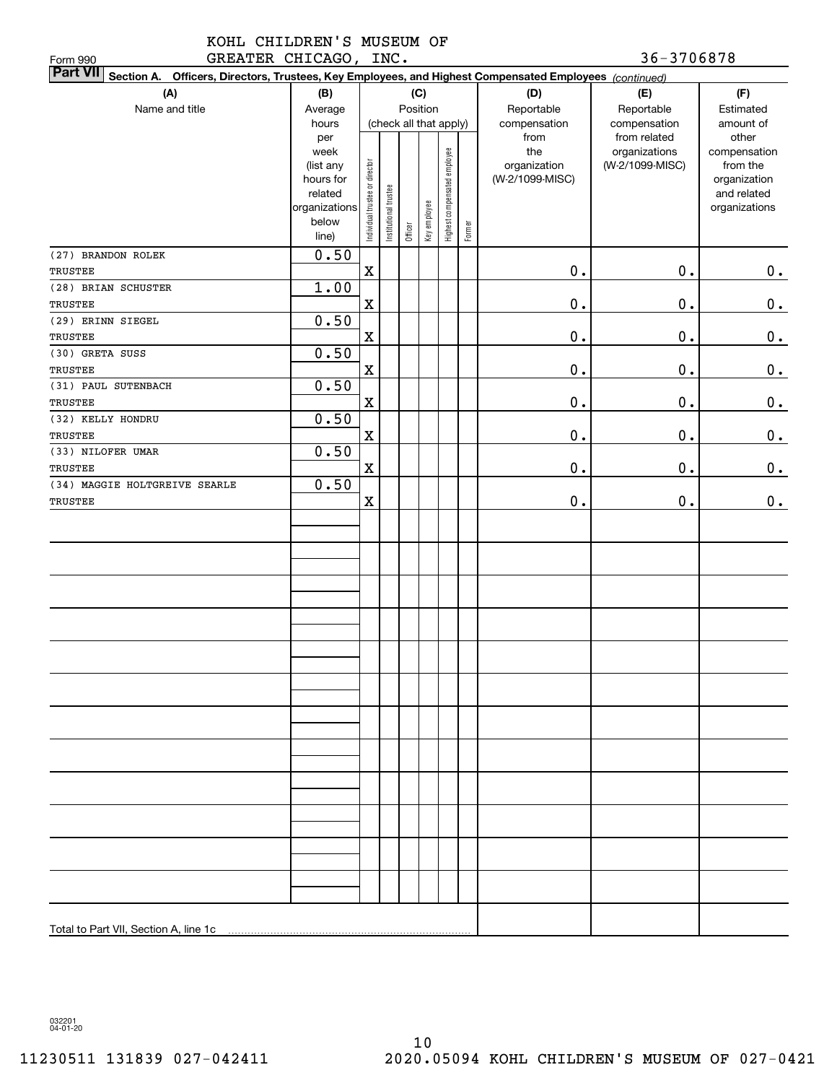| Part VII Section A. Officers, Directors, Trustees, Key Employees, and Highest Compensated Employees (continued) |                        |                                |                        |         |              |                              |        |                                 |                 |                          |
|-----------------------------------------------------------------------------------------------------------------|------------------------|--------------------------------|------------------------|---------|--------------|------------------------------|--------|---------------------------------|-----------------|--------------------------|
| (A)                                                                                                             | (B)                    |                                |                        |         | (C)          |                              |        | (D)                             | (E)             | (F)                      |
| Name and title                                                                                                  | Average                |                                |                        |         | Position     |                              |        | Reportable                      | Reportable      | Estimated                |
|                                                                                                                 | hours                  |                                | (check all that apply) |         |              |                              |        | compensation                    | compensation    | amount of                |
|                                                                                                                 | per                    |                                |                        |         |              |                              |        | from                            | from related    | other                    |
|                                                                                                                 | week                   |                                |                        |         |              |                              |        | the                             | organizations   | compensation             |
|                                                                                                                 | (list any<br>hours for |                                |                        |         |              |                              |        | organization<br>(W-2/1099-MISC) | (W-2/1099-MISC) | from the<br>organization |
|                                                                                                                 | related                |                                |                        |         |              |                              |        |                                 |                 | and related              |
|                                                                                                                 | organizations          |                                |                        |         |              |                              |        |                                 |                 | organizations            |
|                                                                                                                 | below                  | Individual trustee or director | Institutional trustee  |         | Key employee | Highest compensated employee |        |                                 |                 |                          |
|                                                                                                                 | line)                  |                                |                        | Officer |              |                              | Former |                                 |                 |                          |
| (27) BRANDON ROLEK                                                                                              | 0.50                   |                                |                        |         |              |                              |        |                                 |                 |                          |
| TRUSTEE                                                                                                         |                        | $\mathbf X$                    |                        |         |              |                              |        | $0$ .                           | $0$ .           | 0.                       |
| (28) BRIAN SCHUSTER                                                                                             | 1.00                   |                                |                        |         |              |                              |        |                                 |                 |                          |
| TRUSTEE                                                                                                         |                        | $\mathbf X$                    |                        |         |              |                              |        | $0$ .                           | $0$ .           | 0.                       |
| (29) ERINN SIEGEL                                                                                               | 0.50                   |                                |                        |         |              |                              |        |                                 |                 |                          |
| TRUSTEE                                                                                                         |                        | $\mathbf X$                    |                        |         |              |                              |        | $0$ .                           | $0$ .           | 0.                       |
| (30) GRETA SUSS                                                                                                 | 0.50                   |                                |                        |         |              |                              |        |                                 |                 |                          |
| TRUSTEE                                                                                                         |                        | $\mathbf X$                    |                        |         |              |                              |        | $0$ .                           | $0$ .           | 0.                       |
| (31) PAUL SUTENBACH                                                                                             | 0.50                   |                                |                        |         |              |                              |        |                                 |                 |                          |
| TRUSTEE                                                                                                         |                        | $\mathbf X$                    |                        |         |              |                              |        | $0$ .                           | $0$ .           | 0.                       |
| (32) KELLY HONDRU                                                                                               | 0.50                   |                                |                        |         |              |                              |        |                                 |                 |                          |
| TRUSTEE                                                                                                         |                        | $\mathbf X$                    |                        |         |              |                              |        | $0$ .                           | $0$ .           | 0.                       |
| (33) NILOFER UMAR                                                                                               | 0.50                   |                                |                        |         |              |                              |        |                                 |                 |                          |
| TRUSTEE                                                                                                         |                        | $\mathbf x$                    |                        |         |              |                              |        | $0$ .                           | 0.              | 0.                       |
| (34) MAGGIE HOLTGREIVE SEARLE                                                                                   | 0.50                   |                                |                        |         |              |                              |        |                                 |                 |                          |
| TRUSTEE                                                                                                         |                        | $\mathbf X$                    |                        |         |              |                              |        | $0$ .                           | $\mathbf 0$ .   | $\mathbf 0$ .            |
|                                                                                                                 |                        |                                |                        |         |              |                              |        |                                 |                 |                          |
|                                                                                                                 |                        |                                |                        |         |              |                              |        |                                 |                 |                          |
|                                                                                                                 |                        |                                |                        |         |              |                              |        |                                 |                 |                          |
|                                                                                                                 |                        |                                |                        |         |              |                              |        |                                 |                 |                          |
|                                                                                                                 |                        |                                |                        |         |              |                              |        |                                 |                 |                          |
|                                                                                                                 |                        |                                |                        |         |              |                              |        |                                 |                 |                          |
|                                                                                                                 |                        |                                |                        |         |              |                              |        |                                 |                 |                          |
|                                                                                                                 |                        |                                |                        |         |              |                              |        |                                 |                 |                          |
|                                                                                                                 |                        |                                |                        |         |              |                              |        |                                 |                 |                          |
|                                                                                                                 |                        |                                |                        |         |              |                              |        |                                 |                 |                          |
|                                                                                                                 |                        |                                |                        |         |              |                              |        |                                 |                 |                          |
|                                                                                                                 |                        |                                |                        |         |              |                              |        |                                 |                 |                          |
|                                                                                                                 |                        |                                |                        |         |              |                              |        |                                 |                 |                          |
|                                                                                                                 |                        |                                |                        |         |              |                              |        |                                 |                 |                          |
|                                                                                                                 |                        |                                |                        |         |              |                              |        |                                 |                 |                          |
|                                                                                                                 |                        |                                |                        |         |              |                              |        |                                 |                 |                          |
|                                                                                                                 |                        |                                |                        |         |              |                              |        |                                 |                 |                          |
|                                                                                                                 |                        |                                |                        |         |              |                              |        |                                 |                 |                          |
|                                                                                                                 |                        |                                |                        |         |              |                              |        |                                 |                 |                          |
|                                                                                                                 |                        |                                |                        |         |              |                              |        |                                 |                 |                          |
|                                                                                                                 |                        |                                |                        |         |              |                              |        |                                 |                 |                          |
|                                                                                                                 |                        |                                |                        |         |              |                              |        |                                 |                 |                          |
|                                                                                                                 |                        |                                |                        |         |              |                              |        |                                 |                 |                          |
|                                                                                                                 |                        |                                |                        |         |              |                              |        |                                 |                 |                          |
|                                                                                                                 |                        |                                |                        |         |              |                              |        |                                 |                 |                          |
|                                                                                                                 |                        |                                |                        |         |              |                              |        |                                 |                 |                          |

032201 04-01-20

Form 990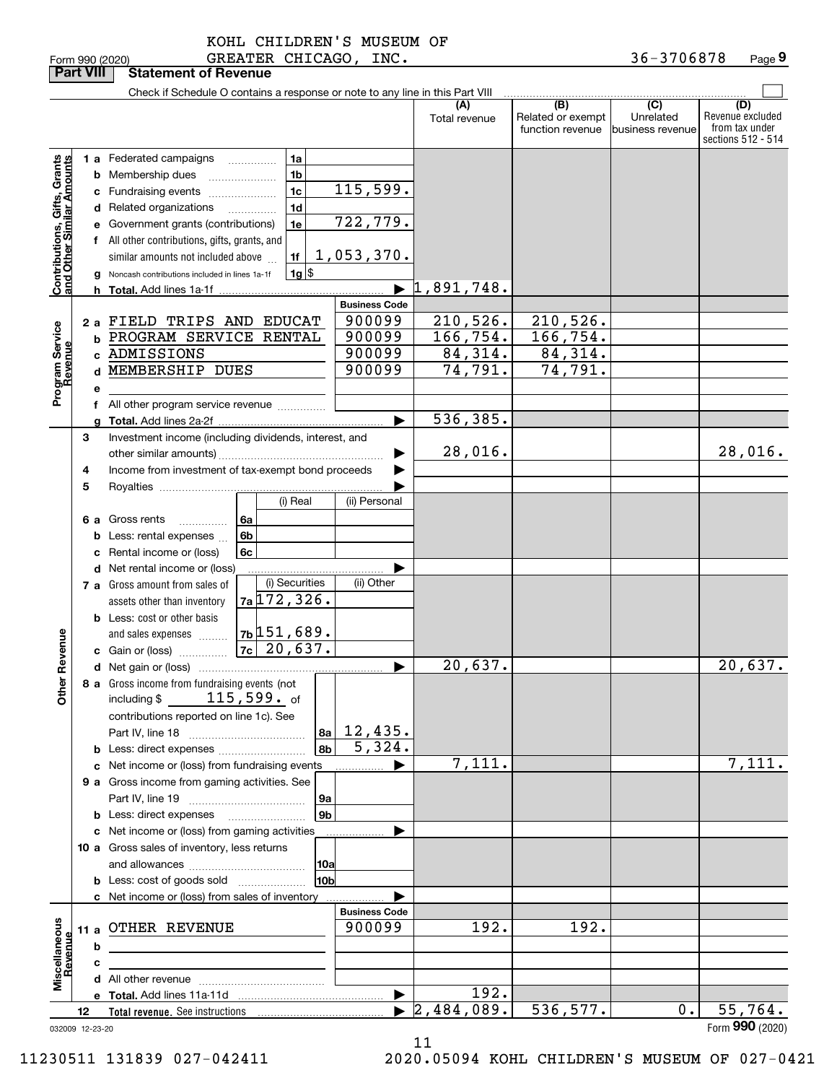|                                                           | <b>Part VIII</b> |   | <b>Statement of Revenue</b>                                                   |                            |                                             |                                              |                                                  |                                                                 |
|-----------------------------------------------------------|------------------|---|-------------------------------------------------------------------------------|----------------------------|---------------------------------------------|----------------------------------------------|--------------------------------------------------|-----------------------------------------------------------------|
|                                                           |                  |   | Check if Schedule O contains a response or note to any line in this Part VIII |                            |                                             |                                              |                                                  |                                                                 |
|                                                           |                  |   |                                                                               |                            | (A)<br>Total revenue                        | (B)<br>Related or exempt<br>function revenue | $\overline{C}$<br>Unrelated<br> business revenue | (D)<br>Revenue excluded<br>from tax under<br>sections 512 - 514 |
|                                                           |                  |   | 1 a Federated campaigns<br>1a                                                 |                            |                                             |                                              |                                                  |                                                                 |
|                                                           |                  |   | 1 <sub>b</sub><br><b>b</b> Membership dues                                    |                            |                                             |                                              |                                                  |                                                                 |
|                                                           |                  |   | 1 <sub>c</sub><br>c Fundraising events                                        | 115,599.                   |                                             |                                              |                                                  |                                                                 |
|                                                           |                  |   | 1 <sub>d</sub><br>d Related organizations                                     |                            |                                             |                                              |                                                  |                                                                 |
|                                                           |                  |   | 1e<br>e Government grants (contributions)                                     | 722,779.                   |                                             |                                              |                                                  |                                                                 |
|                                                           |                  |   | f All other contributions, gifts, grants, and                                 |                            |                                             |                                              |                                                  |                                                                 |
|                                                           |                  |   | 1f<br>similar amounts not included above                                      | 1,053,370.                 |                                             |                                              |                                                  |                                                                 |
| Contributions, Gifts, Grants<br>and Other Similar Amounts |                  |   | $1g$ \$<br>Noncash contributions included in lines 1a-1f                      |                            |                                             |                                              |                                                  |                                                                 |
|                                                           |                  |   |                                                                               |                            | 1,891,748.                                  |                                              |                                                  |                                                                 |
|                                                           |                  |   |                                                                               | <b>Business Code</b>       |                                             |                                              |                                                  |                                                                 |
|                                                           |                  |   | 2 a FIELD TRIPS AND EDUCAT                                                    | 900099                     | 210,526.                                    | 210,526.                                     |                                                  |                                                                 |
|                                                           |                  |   | <b>b PROGRAM SERVICE RENTAL</b>                                               | 900099                     | 166, 754.                                   | 166, 754.                                    |                                                  |                                                                 |
|                                                           |                  |   | c ADMISSIONS                                                                  | 900099                     | 84,314.                                     | 84,314.                                      |                                                  |                                                                 |
| Program Service<br>Revenue                                |                  | d | MEMBERSHIP DUES                                                               | 900099                     | 74,791.                                     | 74,791.                                      |                                                  |                                                                 |
|                                                           |                  | е |                                                                               |                            |                                             |                                              |                                                  |                                                                 |
|                                                           |                  |   | f All other program service revenue                                           |                            |                                             |                                              |                                                  |                                                                 |
|                                                           |                  |   |                                                                               |                            | 536, 385.<br>ь                              |                                              |                                                  |                                                                 |
|                                                           | З                |   | Investment income (including dividends, interest, and                         |                            | 28,016.                                     |                                              |                                                  |                                                                 |
|                                                           |                  |   |                                                                               |                            |                                             |                                              |                                                  | 28,016.                                                         |
|                                                           | 4                |   | Income from investment of tax-exempt bond proceeds                            |                            |                                             |                                              |                                                  |                                                                 |
|                                                           | 5                |   | (i) Real                                                                      | (ii) Personal              |                                             |                                              |                                                  |                                                                 |
|                                                           |                  |   | 6 a Gross rents<br>6a<br>.                                                    |                            |                                             |                                              |                                                  |                                                                 |
|                                                           |                  |   | <b>b</b> Less: rental expenses<br>6b                                          |                            |                                             |                                              |                                                  |                                                                 |
|                                                           |                  |   | 6c<br>c Rental income or (loss)                                               |                            |                                             |                                              |                                                  |                                                                 |
|                                                           |                  |   | <b>d</b> Net rental income or (loss)                                          |                            |                                             |                                              |                                                  |                                                                 |
|                                                           |                  |   | (i) Securities<br>7 a Gross amount from sales of                              | (ii) Other                 |                                             |                                              |                                                  |                                                                 |
|                                                           |                  |   | $7a$ 172, 326.<br>assets other than inventory                                 |                            |                                             |                                              |                                                  |                                                                 |
|                                                           |                  |   | <b>b</b> Less: cost or other basis                                            |                            |                                             |                                              |                                                  |                                                                 |
|                                                           |                  |   | $7b$ 151,689.<br>and sales expenses                                           |                            |                                             |                                              |                                                  |                                                                 |
| Revenue                                                   |                  |   |                                                                               |                            |                                             |                                              |                                                  |                                                                 |
|                                                           |                  |   |                                                                               |                            | 20,637.<br>▶                                |                                              |                                                  | 20,637.                                                         |
| <b>Othe</b>                                               |                  |   | 8 a Gross income from fundraising events (not                                 |                            |                                             |                                              |                                                  |                                                                 |
|                                                           |                  |   | $115$ , $599$ . of<br>including $$$                                           |                            |                                             |                                              |                                                  |                                                                 |
|                                                           |                  |   | contributions reported on line 1c). See                                       |                            |                                             |                                              |                                                  |                                                                 |
|                                                           |                  |   |                                                                               | 12,435.<br> 8a  <br>5,324. |                                             |                                              |                                                  |                                                                 |
|                                                           |                  |   |                                                                               | 8 <sub>b</sub>             | 7,111.                                      |                                              |                                                  | 7,111.                                                          |
|                                                           |                  |   | c Net income or (loss) from fundraising events                                |                            | ▶                                           |                                              |                                                  |                                                                 |
|                                                           |                  |   | 9 a Gross income from gaming activities. See                                  | 9a                         |                                             |                                              |                                                  |                                                                 |
|                                                           |                  |   |                                                                               | 9 <sub>b</sub>             |                                             |                                              |                                                  |                                                                 |
|                                                           |                  |   | c Net income or (loss) from gaming activities                                 |                            |                                             |                                              |                                                  |                                                                 |
|                                                           |                  |   | 10 a Gross sales of inventory, less returns                                   |                            |                                             |                                              |                                                  |                                                                 |
|                                                           |                  |   |                                                                               | 10a                        |                                             |                                              |                                                  |                                                                 |
|                                                           |                  |   | <b>b</b> Less: cost of goods sold                                             | 10b                        |                                             |                                              |                                                  |                                                                 |
|                                                           |                  |   | c Net income or (loss) from sales of inventory                                |                            |                                             |                                              |                                                  |                                                                 |
|                                                           |                  |   |                                                                               | <b>Business Code</b>       |                                             |                                              |                                                  |                                                                 |
|                                                           |                  |   | 11 a OTHER REVENUE                                                            | 900099                     | 192.                                        | 192.                                         |                                                  |                                                                 |
|                                                           |                  | b | <u> 1989 - Johann Barbara, martxa alemaniar a</u>                             |                            |                                             |                                              |                                                  |                                                                 |
| Miscellaneous<br>Revenue                                  |                  | c |                                                                               |                            |                                             |                                              |                                                  |                                                                 |
|                                                           |                  |   |                                                                               |                            |                                             |                                              |                                                  |                                                                 |
|                                                           |                  |   |                                                                               |                            | 192.<br>$\blacktriangleright$<br>2,484,089. | 536,577.                                     | 0.                                               | 55,764.                                                         |
| 032009 12-23-20                                           | 12               |   |                                                                               |                            |                                             |                                              |                                                  | Form 990 (2020)                                                 |

032009 12-23-20

11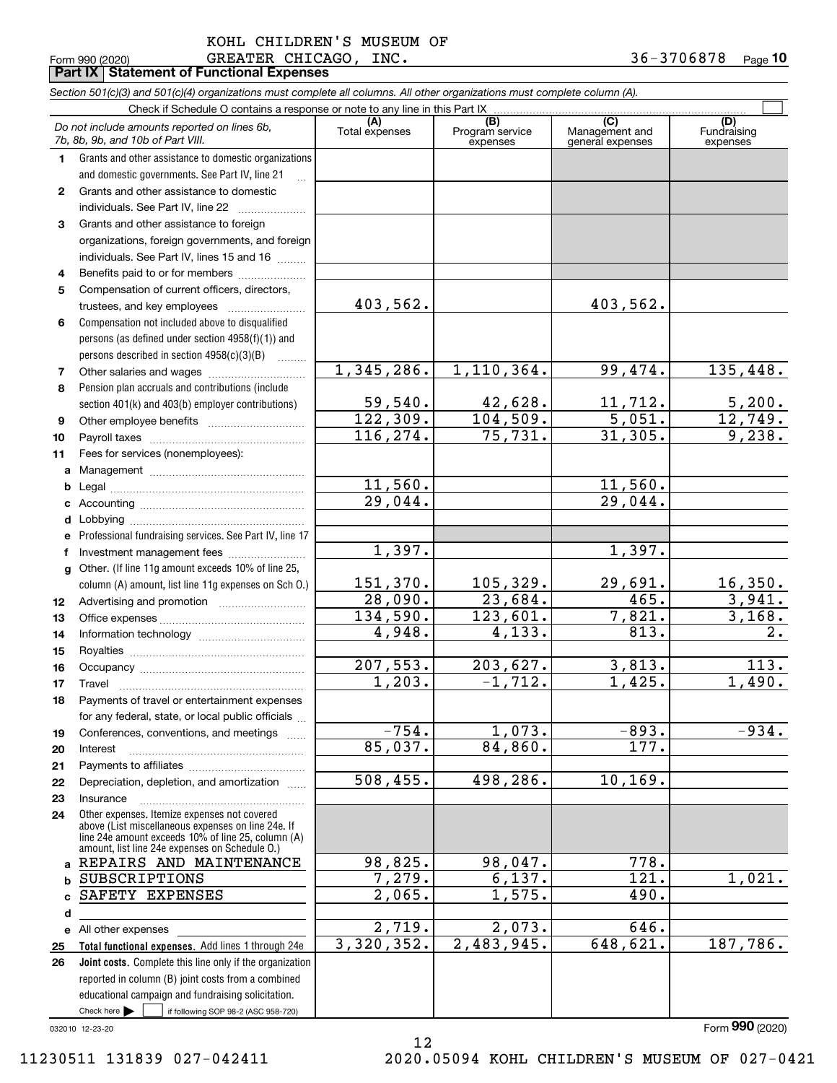|                 | KOHL CHILDREN'S MUSEUM OF                         |                     |  |
|-----------------|---------------------------------------------------|---------------------|--|
| Form 990 (2020) | GREATER CHICAGO, INC.                             | $36 - 3706878$ Page |  |
|                 | <b>Part IX   Statement of Functional Expenses</b> |                     |  |

|              | Section 501(c)(3) and 501(c)(4) organizations must complete all columns. All other organizations must complete column (A).                                                                                 |                            |                                    |                                           |                                |
|--------------|------------------------------------------------------------------------------------------------------------------------------------------------------------------------------------------------------------|----------------------------|------------------------------------|-------------------------------------------|--------------------------------|
|              | Check if Schedule O contains a response or note to any line in this Part IX                                                                                                                                |                            |                                    |                                           |                                |
|              | Do not include amounts reported on lines 6b,<br>7b, 8b, 9b, and 10b of Part VIII.                                                                                                                          | (A)<br>Total expenses      | (B)<br>Program service<br>expenses | (C)<br>Management and<br>general expenses | (D)<br>Fundraising<br>expenses |
| 1.           | Grants and other assistance to domestic organizations                                                                                                                                                      |                            |                                    |                                           |                                |
|              | and domestic governments. See Part IV, line 21                                                                                                                                                             |                            |                                    |                                           |                                |
| $\mathbf{2}$ | Grants and other assistance to domestic                                                                                                                                                                    |                            |                                    |                                           |                                |
|              | individuals. See Part IV, line 22<br>and a strategic control of the strategic                                                                                                                              |                            |                                    |                                           |                                |
| 3            | Grants and other assistance to foreign                                                                                                                                                                     |                            |                                    |                                           |                                |
|              | organizations, foreign governments, and foreign                                                                                                                                                            |                            |                                    |                                           |                                |
|              | individuals. See Part IV, lines 15 and 16                                                                                                                                                                  |                            |                                    |                                           |                                |
| 4            | Benefits paid to or for members                                                                                                                                                                            |                            |                                    |                                           |                                |
| 5            | Compensation of current officers, directors,                                                                                                                                                               |                            |                                    |                                           |                                |
|              | trustees, and key employees                                                                                                                                                                                | 403,562.                   |                                    | 403,562.                                  |                                |
| 6            | Compensation not included above to disqualified                                                                                                                                                            |                            |                                    |                                           |                                |
|              | persons (as defined under section 4958(f)(1)) and                                                                                                                                                          |                            |                                    |                                           |                                |
|              | persons described in section 4958(c)(3)(B)                                                                                                                                                                 |                            |                                    |                                           |                                |
| 7            |                                                                                                                                                                                                            | 1,345,286.                 | 1, 110, 364.                       | 99,474.                                   | 135,448.                       |
| 8            | Pension plan accruals and contributions (include                                                                                                                                                           |                            |                                    |                                           |                                |
|              | section 401(k) and 403(b) employer contributions)                                                                                                                                                          | 59,540.                    | $\frac{42,628}{104,509}$ .         | 11,712.                                   | 5,200.                         |
| 9            |                                                                                                                                                                                                            | 122, 309.                  |                                    | $\frac{5,051}{31,305}$                    | 12,749.                        |
| 10           |                                                                                                                                                                                                            | 116, 274.                  | 75,731.                            |                                           | 9,238.                         |
| 11           | Fees for services (nonemployees):                                                                                                                                                                          |                            |                                    |                                           |                                |
| a            |                                                                                                                                                                                                            |                            |                                    |                                           |                                |
| b            |                                                                                                                                                                                                            | 11,560.                    |                                    | 11,560.                                   |                                |
| c            |                                                                                                                                                                                                            | 29,044.                    |                                    | 29,044.                                   |                                |
| d            |                                                                                                                                                                                                            |                            |                                    |                                           |                                |
|              | Professional fundraising services. See Part IV, line 17                                                                                                                                                    |                            |                                    |                                           |                                |
| f            | Investment management fees                                                                                                                                                                                 | 1,397.                     |                                    | 1,397.                                    |                                |
| g            | Other. (If line 11g amount exceeds 10% of line 25,                                                                                                                                                         |                            |                                    |                                           |                                |
|              | column (A) amount, list line 11g expenses on Sch O.)                                                                                                                                                       | 151,370.                   | 105,329.                           | 29,691.                                   | 16,350.                        |
| 12           |                                                                                                                                                                                                            | $\frac{28,090}{134,590}$ . | 23,684.                            | 465.                                      | 3,941.                         |
| 13           |                                                                                                                                                                                                            |                            | 123,601.                           | 7,821.                                    | 3,168.                         |
| 14           |                                                                                                                                                                                                            | 4,948.                     | 4,133.                             | 813.                                      | $\overline{2}$ .               |
| 15           |                                                                                                                                                                                                            |                            |                                    |                                           |                                |
| 16           |                                                                                                                                                                                                            | 207,553.                   | 203, 627.                          | 3,813.                                    | 113.                           |
| 17           |                                                                                                                                                                                                            | 1,203.                     | $-1,712.$                          | 1,425.                                    | 1,490.                         |
| 18           | Payments of travel or entertainment expenses                                                                                                                                                               |                            |                                    |                                           |                                |
|              | for any federal, state, or local public officials                                                                                                                                                          |                            |                                    |                                           |                                |
| 19           | Conferences, conventions, and meetings                                                                                                                                                                     | $-754.$                    | 1,073.                             | $-893.$                                   | $-934.$                        |
| 20           | Interest                                                                                                                                                                                                   | 85,037.                    | 84,860.                            | 177.                                      |                                |
| 21           |                                                                                                                                                                                                            |                            |                                    |                                           |                                |
| 22           | Depreciation, depletion, and amortization                                                                                                                                                                  | 508, 455.                  | 498, 286.                          | 10, 169.                                  |                                |
| 23           | Insurance                                                                                                                                                                                                  |                            |                                    |                                           |                                |
| 24           | Other expenses. Itemize expenses not covered<br>above (List miscellaneous expenses on line 24e. If<br>line 24e amount exceeds 10% of line 25, column (A)<br>amount, list line 24e expenses on Schedule O.) |                            |                                    |                                           |                                |
| a            | REPAIRS AND MAINTENANCE                                                                                                                                                                                    | 98,825.                    | 98,047.                            | 778.                                      |                                |
| b            | SUBSCRIPTIONS                                                                                                                                                                                              | 7,279.                     | 6,137.                             | 121.                                      | 1,021.                         |
| C            | SAFETY EXPENSES                                                                                                                                                                                            | 2,065.                     | 1,575.                             | 490.                                      |                                |
| d            |                                                                                                                                                                                                            |                            |                                    |                                           |                                |
| е            | All other expenses                                                                                                                                                                                         | $\overline{2,719}$ .       | 2,073.                             | 646.                                      |                                |
| 25           | Total functional expenses. Add lines 1 through 24e                                                                                                                                                         | 3,320,352.                 | 2,483,945.                         | 648,621.                                  | 187,786.                       |
| 26           | Joint costs. Complete this line only if the organization                                                                                                                                                   |                            |                                    |                                           |                                |
|              | reported in column (B) joint costs from a combined                                                                                                                                                         |                            |                                    |                                           |                                |
|              | educational campaign and fundraising solicitation.                                                                                                                                                         |                            |                                    |                                           |                                |
|              | Check here $\blacktriangleright$<br>if following SOP 98-2 (ASC 958-720)                                                                                                                                    |                            |                                    |                                           |                                |

12

032010 12-23-20

Form (2020) **990**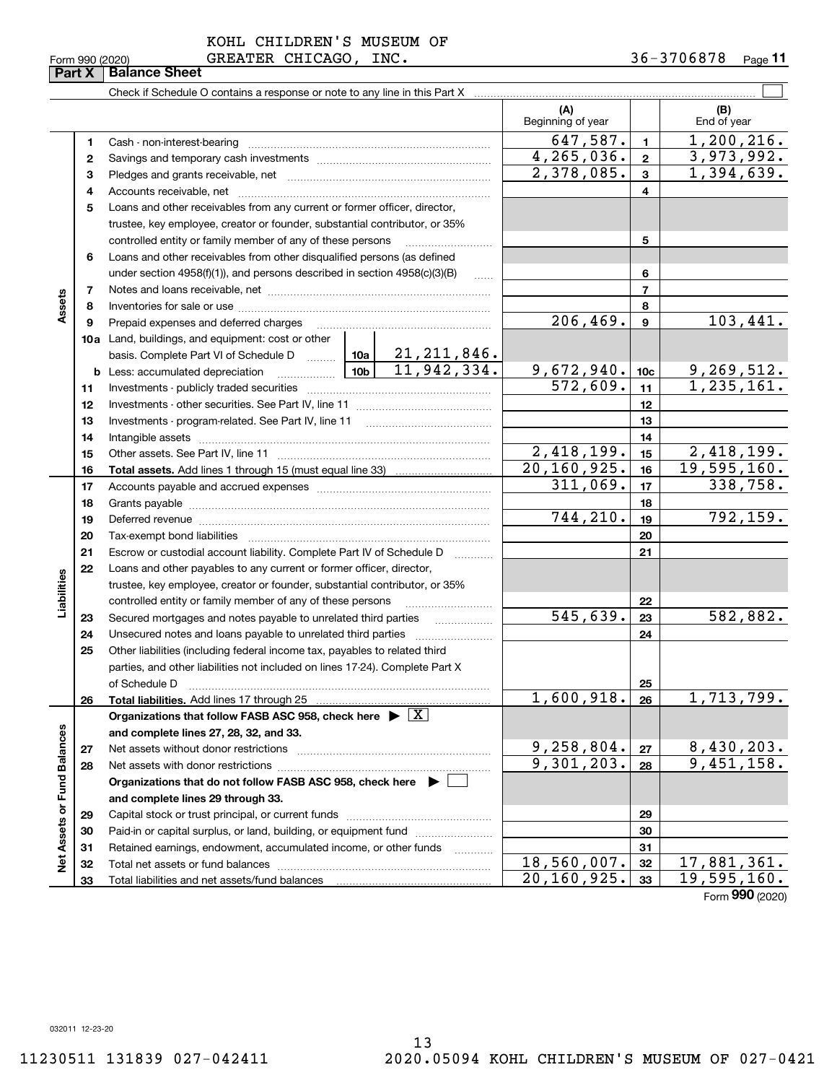|  | Form 990 (2020) |  |
|--|-----------------|--|
|  |                 |  |

**Part X** | **Balance Sheet** 

KOHL CHILDREN'S MUSEUM OF

 $\mathcal{L}^{\text{max}}$ Check if Schedule O contains a response or note to any line in this Part X **(A) (B)** Beginning of year | | End of year  $647,587.$  1, 1, 200, 216. **11**Cash - non-interest-bearing ~~~~~~~~~~~~~~~~~~~~~~~~~ 4,265,036. 3,973,992. **22**Savings and temporary cash investments ~~~~~~~~~~~~~~~~~~ $2,378,085.$   $3 \mid 1,394,639.$ **33** Pledges and grants receivable, net  $\ldots$  **multimes contained and grants receivable**, net **multimes contained and grants receivable**, net **multimes contained and grants receivable** Accounts receivable, net ~~~~~~~~~~~~~~~~~~~~~~~~~~ **445**Loans and other receivables from any current or former officer, director, trustee, key employee, creator or founder, substantial contributor, or 35% controlled entity or family member of any of these persons ............................ **5**Loans and other receivables from other disqualified persons (as defined **6**under section  $4958(f)(1)$ , and persons described in section  $4958(c)(3)(B)$ **677**Notes and loans receivable, net ~~~~~~~~~~~~~~~~~~~~~~~**Assets 88**Inventories for sale or use ~~~~~~~~~~~~~~~~~~~~~~~~~~  $206,469.$   $9$  103,441. **99**Prepaid expenses and deferred charges ~~~~~~~~~~~~~~~~~~ **10a**Land, buildings, and equipment: cost or other 21,211,846. basis. Complete Part VI of Schedule D will aller  $11,942,334.$  9,672,940. 10c 9,269,512. **10cb** Less: accumulated depreciation  $\ldots$  **10b**  $572,609$ .  $11$  1,235,161. **1111**Investments - publicly traded securities ~~~~~~~~~~~~~~~~~~~ **1212**Investments - other securities. See Part IV, line 11 ~~~~~~~~~~~~~~ **1313**Investments - program-related. See Part IV, line 11 [2010] [2010] [2010] [2010] [2010] [2010] [2010] [2010] [2 **1414**Intangible assets ~~~~~~~~~~~~~~~~~~~~~~~~~~~~~~  $2,418,199.$   $15$   $2,418,199.$ Other assets. See Part IV, line 11 ~~~~~~~~~~~~~~~~~~~~~~ **1515**20,160,925. 19,595,160. **1616Total assets.**  Add lines 1 through 15 (must equal line 33)  $311,069$ .  $17$  338, 758. **1717**Accounts payable and accrued expenses ~~~~~~~~~~~~~~~~~~ **1818**Grants payable ~~~~~~~~~~~~~~~~~~~~~~~~~~~~~~~ 744,210. 792,159. **1919**Deferred revenue ~~~~~~~~~~~~~~~~~~~~~~~~~~~~~~ **2020**Tax-exempt bond liabilities …………………………………………………………… Escrow or custodial account liability. Complete Part IV of Schedule D **212122**Loans and other payables to any current or former officer, director, **Liabilities** iabilities trustee, key employee, creator or founder, substantial contributor, or 35% controlled entity or family member of any of these persons ~~~~~~~~~**22** $545,639. |23 | 582,882.$ **23**Secured mortgages and notes payable to unrelated third parties **23**Unsecured notes and loans payable to unrelated third parties **242425**Other liabilities (including federal income tax, payables to related third parties, and other liabilities not included on lines 17-24). Complete Part X of Schedule D ~~~~~~~~~~~~~~~~~~~~~~~~~~~~~~~ **25** $1,600,918. |26 | 1,713,799.$ **2626Total liabilities.**  Add lines 17 through 25 **Organizations that follow FASB ASC 958, check here** | X Assets or Fund Balances **Net Assets or Fund Balances and complete lines 27, 28, 32, and 33.**  $9,258,804. |z_7| 8,430,203.$ **2727**Net assets without donor restrictions <sub>…………………………………………………</sub>……  $9,301,203. |28 | 9,451,158.$ **2828**Net assets with donor restrictions ~~~~~~~~~~~~~~~~~~~~~~**Organizations that do not follow FASB ASC 958, check here** | **and complete lines 29 through 33. 2929**Capital stock or trust principal, or current funds ~~~~~~~~~~~~~~~ **3030**Paid-in or capital surplus, or land, building, or equipment fund www.commun.com **3131**Retained earnings, endowment, accumulated income, or other funds www.com  $\frac{1}{2}$ Total net assets or fund balances ~~~~~~~~~~~~~~~~~~~~~~ 18,560,007. 17,881,361. **3232** $20, 160, 925.$  33 19,595,160. Total liabilities and net assets/fund balances **3333**

Form (2020) **990**

032011 12-23-20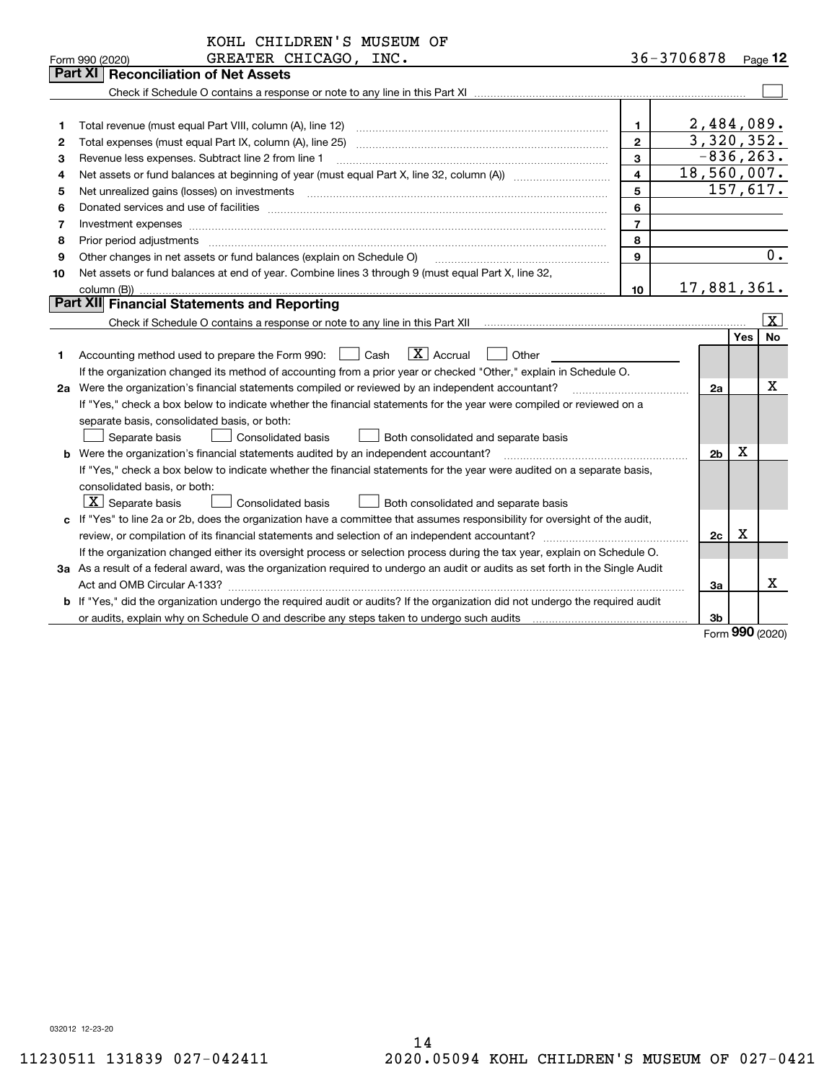|                                                                                                                                      | KOHL CHILDREN'S MUSEUM OF<br>GREATER CHICAGO, INC.<br>Form 990 (2020)<br><b>Part XI</b><br><b>Reconciliation of Net Assets</b>                                                                                                 |                         | 36-3706878 |                |             | $P_{aqe}$ 12                |  |
|--------------------------------------------------------------------------------------------------------------------------------------|--------------------------------------------------------------------------------------------------------------------------------------------------------------------------------------------------------------------------------|-------------------------|------------|----------------|-------------|-----------------------------|--|
|                                                                                                                                      |                                                                                                                                                                                                                                |                         |            |                |             |                             |  |
|                                                                                                                                      |                                                                                                                                                                                                                                |                         |            |                |             |                             |  |
| 1                                                                                                                                    |                                                                                                                                                                                                                                | $\mathbf{1}$            |            | 2,484,089.     |             |                             |  |
| 2                                                                                                                                    |                                                                                                                                                                                                                                | $\mathbf{2}$            |            | 3,320,352.     |             |                             |  |
| 3                                                                                                                                    | Revenue less expenses. Subtract line 2 from line 1                                                                                                                                                                             | 3                       |            | $-836, 263.$   |             |                             |  |
| 4                                                                                                                                    |                                                                                                                                                                                                                                | $\overline{\mathbf{4}}$ |            | 18,560,007.    |             |                             |  |
| 5                                                                                                                                    | Net unrealized gains (losses) on investments [11] [11] non-manufactured manufactured manufactured manufactured manufactured manufactured manufactured manufactured manufactured manufactured manufactured manufactured manufac | 5                       |            |                |             | 157,617.                    |  |
| 6                                                                                                                                    | Donated services and use of facilities [111] Donated and the service of facilities [11] Donated services and use of facilities [11] Donated and the service of the service of the service of the service of the service of the | 6                       |            |                |             |                             |  |
| 7                                                                                                                                    | Investment expenses                                                                                                                                                                                                            | $\overline{7}$          |            |                |             |                             |  |
| 8                                                                                                                                    | Prior period adjustments www.communication.communication.communication.com/                                                                                                                                                    | 8                       |            |                |             |                             |  |
| 9                                                                                                                                    | Other changes in net assets or fund balances (explain on Schedule O)                                                                                                                                                           | $\mathbf{Q}$            |            |                |             | 0.                          |  |
| 10                                                                                                                                   | Net assets or fund balances at end of year. Combine lines 3 through 9 (must equal Part X, line 32,                                                                                                                             |                         |            |                |             |                             |  |
|                                                                                                                                      | column (B))                                                                                                                                                                                                                    | 10                      |            | 17,881,361.    |             |                             |  |
|                                                                                                                                      | Part XII Financial Statements and Reporting                                                                                                                                                                                    |                         |            |                |             |                             |  |
|                                                                                                                                      |                                                                                                                                                                                                                                |                         |            |                |             | $\overline{\mathbf{x}}$     |  |
|                                                                                                                                      |                                                                                                                                                                                                                                |                         |            |                | Yes         | <b>No</b>                   |  |
| 1                                                                                                                                    | $\boxed{\mathbf{X}}$ Accrual<br>Accounting method used to prepare the Form 990: <u>[16</u> ] Cash<br>Other                                                                                                                     |                         |            |                |             |                             |  |
|                                                                                                                                      | If the organization changed its method of accounting from a prior year or checked "Other," explain in Schedule O.                                                                                                              |                         |            |                |             |                             |  |
|                                                                                                                                      | 2a Were the organization's financial statements compiled or reviewed by an independent accountant?                                                                                                                             |                         |            | 2a             |             | х                           |  |
|                                                                                                                                      | If "Yes," check a box below to indicate whether the financial statements for the year were compiled or reviewed on a                                                                                                           |                         |            |                |             |                             |  |
|                                                                                                                                      | separate basis, consolidated basis, or both:                                                                                                                                                                                   |                         |            |                |             |                             |  |
|                                                                                                                                      | Separate basis<br>Consolidated basis<br>Both consolidated and separate basis                                                                                                                                                   |                         |            | 2 <sub>b</sub> | $\mathbf X$ |                             |  |
|                                                                                                                                      | <b>b</b> Were the organization's financial statements audited by an independent accountant?                                                                                                                                    |                         |            |                |             |                             |  |
|                                                                                                                                      | If "Yes," check a box below to indicate whether the financial statements for the year were audited on a separate basis,<br>consolidated basis, or both:                                                                        |                         |            |                |             |                             |  |
|                                                                                                                                      | $\mid$ $\rm X\mid$ Separate basis<br>Consolidated basis<br>Both consolidated and separate basis                                                                                                                                |                         |            |                |             |                             |  |
|                                                                                                                                      | c If "Yes" to line 2a or 2b, does the organization have a committee that assumes responsibility for oversight of the audit,                                                                                                    |                         |            |                |             |                             |  |
|                                                                                                                                      |                                                                                                                                                                                                                                |                         |            | 2c             | $\mathbf X$ |                             |  |
|                                                                                                                                      | If the organization changed either its oversight process or selection process during the tax year, explain on Schedule O.                                                                                                      |                         |            |                |             |                             |  |
| 3a As a result of a federal award, was the organization required to undergo an audit or audits as set forth in the Single Audit      |                                                                                                                                                                                                                                |                         |            |                |             |                             |  |
|                                                                                                                                      |                                                                                                                                                                                                                                |                         |            |                |             |                             |  |
| <b>b</b> If "Yes," did the organization undergo the required audit or audits? If the organization did not undergo the required audit |                                                                                                                                                                                                                                |                         |            |                |             |                             |  |
|                                                                                                                                      |                                                                                                                                                                                                                                |                         |            | 3b             |             |                             |  |
|                                                                                                                                      |                                                                                                                                                                                                                                |                         |            |                |             | $F_{\text{O}}$ m 990 (2020) |  |

Form (2020) **990**

032012 12-23-20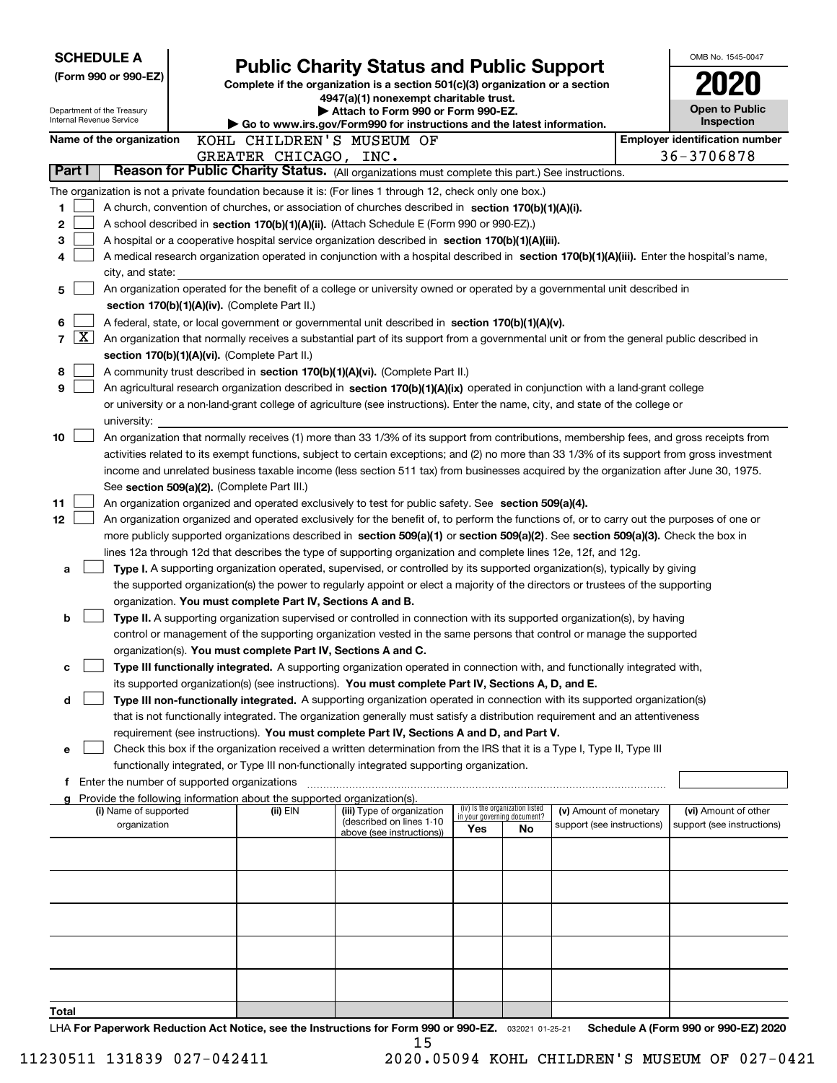| <b>SCHEDULE A</b><br>(Form 990 or 990-EZ) |                    |                                                        |                                                                          | <b>Public Charity Status and Public Support</b><br>Complete if the organization is a section 501(c)(3) organization or a section                                                                                                                                                      |     |                                                                |                            | OMB No. 1545-0047                     |
|-------------------------------------------|--------------------|--------------------------------------------------------|--------------------------------------------------------------------------|---------------------------------------------------------------------------------------------------------------------------------------------------------------------------------------------------------------------------------------------------------------------------------------|-----|----------------------------------------------------------------|----------------------------|---------------------------------------|
|                                           |                    | Department of the Treasury<br>Internal Revenue Service |                                                                          | 4947(a)(1) nonexempt charitable trust.<br>Attach to Form 990 or Form 990-EZ.                                                                                                                                                                                                          |     |                                                                |                            | <b>Open to Public</b><br>Inspection   |
|                                           |                    | Name of the organization                               |                                                                          | Go to www.irs.gov/Form990 for instructions and the latest information.<br>KOHL CHILDREN'S MUSEUM OF                                                                                                                                                                                   |     |                                                                |                            | <b>Employer identification number</b> |
|                                           |                    |                                                        | GREATER CHICAGO, INC.                                                    |                                                                                                                                                                                                                                                                                       |     |                                                                |                            | 36-3706878                            |
|                                           | Part I             |                                                        |                                                                          | Reason for Public Charity Status. (All organizations must complete this part.) See instructions.                                                                                                                                                                                      |     |                                                                |                            |                                       |
|                                           |                    |                                                        |                                                                          | The organization is not a private foundation because it is: (For lines 1 through 12, check only one box.)                                                                                                                                                                             |     |                                                                |                            |                                       |
| 1.                                        |                    |                                                        |                                                                          | A church, convention of churches, or association of churches described in section 170(b)(1)(A)(i).                                                                                                                                                                                    |     |                                                                |                            |                                       |
| 2<br>3                                    |                    |                                                        |                                                                          | A school described in section 170(b)(1)(A)(ii). (Attach Schedule E (Form 990 or 990-EZ).)                                                                                                                                                                                             |     |                                                                |                            |                                       |
| 4                                         |                    |                                                        |                                                                          | A hospital or a cooperative hospital service organization described in section 170(b)(1)(A)(iii).<br>A medical research organization operated in conjunction with a hospital described in section 170(b)(1)(A)(iii). Enter the hospital's name,                                       |     |                                                                |                            |                                       |
|                                           |                    | city, and state:                                       |                                                                          |                                                                                                                                                                                                                                                                                       |     |                                                                |                            |                                       |
| 5                                         |                    |                                                        |                                                                          | An organization operated for the benefit of a college or university owned or operated by a governmental unit described in                                                                                                                                                             |     |                                                                |                            |                                       |
|                                           |                    |                                                        | section 170(b)(1)(A)(iv). (Complete Part II.)                            |                                                                                                                                                                                                                                                                                       |     |                                                                |                            |                                       |
| 6                                         |                    |                                                        |                                                                          | A federal, state, or local government or governmental unit described in section 170(b)(1)(A)(v).                                                                                                                                                                                      |     |                                                                |                            |                                       |
| 7                                         | $\boxed{\text{X}}$ |                                                        |                                                                          | An organization that normally receives a substantial part of its support from a governmental unit or from the general public described in                                                                                                                                             |     |                                                                |                            |                                       |
| 8                                         |                    |                                                        | section 170(b)(1)(A)(vi). (Complete Part II.)                            | A community trust described in section 170(b)(1)(A)(vi). (Complete Part II.)                                                                                                                                                                                                          |     |                                                                |                            |                                       |
| 9                                         |                    |                                                        |                                                                          | An agricultural research organization described in section 170(b)(1)(A)(ix) operated in conjunction with a land-grant college                                                                                                                                                         |     |                                                                |                            |                                       |
|                                           |                    |                                                        |                                                                          | or university or a non-land-grant college of agriculture (see instructions). Enter the name, city, and state of the college or                                                                                                                                                        |     |                                                                |                            |                                       |
|                                           |                    | university:                                            |                                                                          |                                                                                                                                                                                                                                                                                       |     |                                                                |                            |                                       |
| 10                                        |                    |                                                        |                                                                          | An organization that normally receives (1) more than 33 1/3% of its support from contributions, membership fees, and gross receipts from                                                                                                                                              |     |                                                                |                            |                                       |
|                                           |                    |                                                        |                                                                          | activities related to its exempt functions, subject to certain exceptions; and (2) no more than 33 1/3% of its support from gross investment<br>income and unrelated business taxable income (less section 511 tax) from businesses acquired by the organization after June 30, 1975. |     |                                                                |                            |                                       |
|                                           |                    |                                                        | See section 509(a)(2). (Complete Part III.)                              |                                                                                                                                                                                                                                                                                       |     |                                                                |                            |                                       |
| 11                                        |                    |                                                        |                                                                          | An organization organized and operated exclusively to test for public safety. See section 509(a)(4).                                                                                                                                                                                  |     |                                                                |                            |                                       |
| 12                                        |                    |                                                        |                                                                          | An organization organized and operated exclusively for the benefit of, to perform the functions of, or to carry out the purposes of one or                                                                                                                                            |     |                                                                |                            |                                       |
|                                           |                    |                                                        |                                                                          | more publicly supported organizations described in section 509(a)(1) or section 509(a)(2). See section 509(a)(3). Check the box in                                                                                                                                                    |     |                                                                |                            |                                       |
|                                           |                    |                                                        |                                                                          | lines 12a through 12d that describes the type of supporting organization and complete lines 12e, 12f, and 12g.                                                                                                                                                                        |     |                                                                |                            |                                       |
| a                                         |                    |                                                        |                                                                          | Type I. A supporting organization operated, supervised, or controlled by its supported organization(s), typically by giving<br>the supported organization(s) the power to regularly appoint or elect a majority of the directors or trustees of the supporting                        |     |                                                                |                            |                                       |
|                                           |                    |                                                        | organization. You must complete Part IV, Sections A and B.               |                                                                                                                                                                                                                                                                                       |     |                                                                |                            |                                       |
| b                                         |                    |                                                        |                                                                          | Type II. A supporting organization supervised or controlled in connection with its supported organization(s), by having                                                                                                                                                               |     |                                                                |                            |                                       |
|                                           |                    |                                                        |                                                                          | control or management of the supporting organization vested in the same persons that control or manage the supported                                                                                                                                                                  |     |                                                                |                            |                                       |
|                                           |                    |                                                        | organization(s). You must complete Part IV, Sections A and C.            |                                                                                                                                                                                                                                                                                       |     |                                                                |                            |                                       |
| c                                         |                    |                                                        |                                                                          | Type III functionally integrated. A supporting organization operated in connection with, and functionally integrated with,<br>its supported organization(s) (see instructions). You must complete Part IV, Sections A, D, and E.                                                      |     |                                                                |                            |                                       |
| d                                         |                    |                                                        |                                                                          | Type III non-functionally integrated. A supporting organization operated in connection with its supported organization(s)                                                                                                                                                             |     |                                                                |                            |                                       |
|                                           |                    |                                                        |                                                                          | that is not functionally integrated. The organization generally must satisfy a distribution requirement and an attentiveness                                                                                                                                                          |     |                                                                |                            |                                       |
|                                           |                    |                                                        |                                                                          | requirement (see instructions). You must complete Part IV, Sections A and D, and Part V.                                                                                                                                                                                              |     |                                                                |                            |                                       |
| е                                         |                    |                                                        |                                                                          | Check this box if the organization received a written determination from the IRS that it is a Type I, Type II, Type III                                                                                                                                                               |     |                                                                |                            |                                       |
|                                           |                    |                                                        |                                                                          | functionally integrated, or Type III non-functionally integrated supporting organization.                                                                                                                                                                                             |     |                                                                |                            |                                       |
|                                           |                    | f Enter the number of supported organizations          | g Provide the following information about the supported organization(s). |                                                                                                                                                                                                                                                                                       |     |                                                                |                            |                                       |
|                                           |                    | (i) Name of supported                                  | (ii) EIN                                                                 | (iii) Type of organization                                                                                                                                                                                                                                                            |     | (iv) Is the organization listed<br>in your governing document? | (v) Amount of monetary     | (vi) Amount of other                  |
|                                           |                    | organization                                           |                                                                          | (described on lines 1-10<br>above (see instructions))                                                                                                                                                                                                                                 | Yes | No                                                             | support (see instructions) | support (see instructions)            |
|                                           |                    |                                                        |                                                                          |                                                                                                                                                                                                                                                                                       |     |                                                                |                            |                                       |
|                                           |                    |                                                        |                                                                          |                                                                                                                                                                                                                                                                                       |     |                                                                |                            |                                       |
|                                           |                    |                                                        |                                                                          |                                                                                                                                                                                                                                                                                       |     |                                                                |                            |                                       |
|                                           |                    |                                                        |                                                                          |                                                                                                                                                                                                                                                                                       |     |                                                                |                            |                                       |
|                                           |                    |                                                        |                                                                          |                                                                                                                                                                                                                                                                                       |     |                                                                |                            |                                       |
|                                           |                    |                                                        |                                                                          |                                                                                                                                                                                                                                                                                       |     |                                                                |                            |                                       |
|                                           |                    |                                                        |                                                                          |                                                                                                                                                                                                                                                                                       |     |                                                                |                            |                                       |
|                                           |                    |                                                        |                                                                          |                                                                                                                                                                                                                                                                                       |     |                                                                |                            |                                       |
| Total                                     |                    |                                                        |                                                                          |                                                                                                                                                                                                                                                                                       |     |                                                                |                            |                                       |
|                                           |                    |                                                        |                                                                          | UA For Panorwork Poduction Act Notice, see the Instructions for Form 000 or 000-F7 200001 0105.01 Schodule A (Form 000 or 000-F7) 2020                                                                                                                                                |     |                                                                |                            |                                       |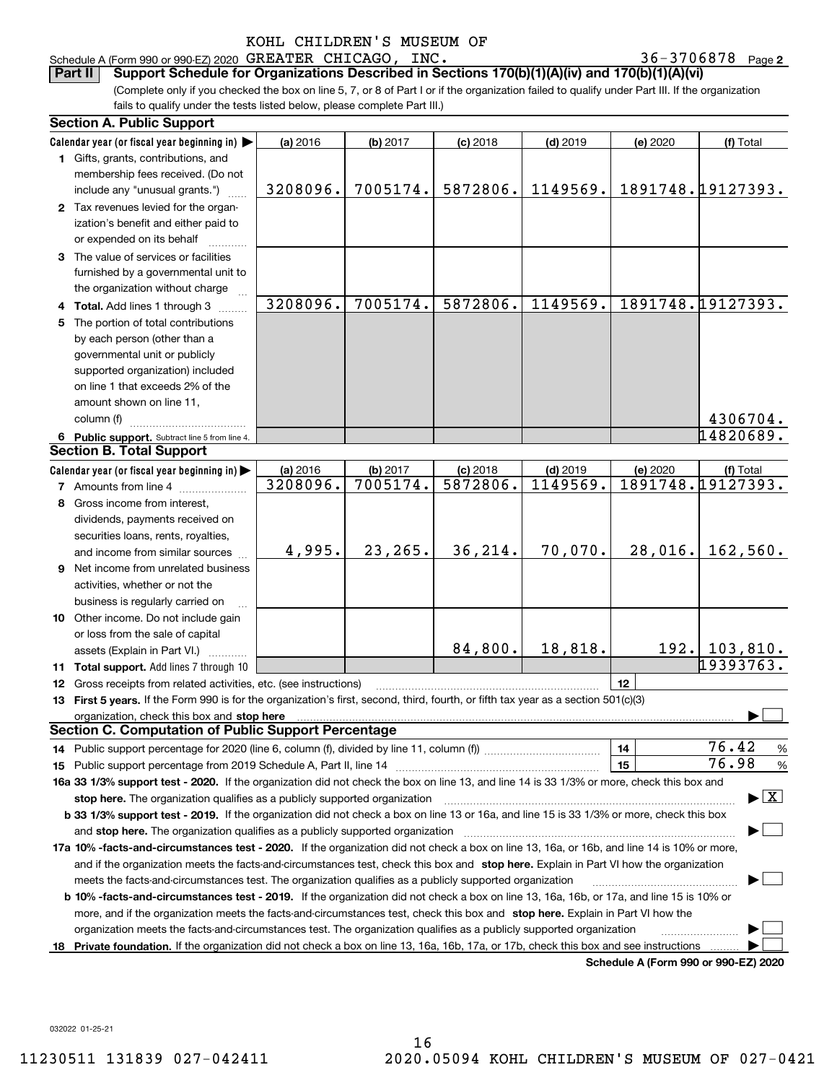| Schedule A (Form 990 or 990-EZ) 2020 GREATER CHICAGO, INC. |  | $36 - 3706878$ Page 2                                                                                  |  |
|------------------------------------------------------------|--|--------------------------------------------------------------------------------------------------------|--|
|                                                            |  | Part II Support Schedule for Organizations Described in Sections 170(b)(1)(A)(iv) and 170(b)(1)(A)(vi) |  |

(Complete only if you checked the box on line 5, 7, or 8 of Part I or if the organization failed to qualify under Part III. If the organization fails to qualify under the tests listed below, please complete Part III.)

|     | <b>Section A. Public Support</b>                                                                                                                                                                                               |                      |                      |                        |                        |                                      |                                          |
|-----|--------------------------------------------------------------------------------------------------------------------------------------------------------------------------------------------------------------------------------|----------------------|----------------------|------------------------|------------------------|--------------------------------------|------------------------------------------|
|     | Calendar year (or fiscal year beginning in)                                                                                                                                                                                    | (a) 2016             | (b) 2017             | $(c)$ 2018             | $(d)$ 2019             | (e) 2020                             | (f) Total                                |
|     | 1 Gifts, grants, contributions, and                                                                                                                                                                                            |                      |                      |                        |                        |                                      |                                          |
|     | membership fees received. (Do not                                                                                                                                                                                              |                      |                      |                        |                        |                                      |                                          |
|     | include any "unusual grants.")                                                                                                                                                                                                 | 3208096.             | 7005174.             | 5872806.               | 1149569.               |                                      | 1891748.19127393.                        |
|     | 2 Tax revenues levied for the organ-                                                                                                                                                                                           |                      |                      |                        |                        |                                      |                                          |
|     | ization's benefit and either paid to                                                                                                                                                                                           |                      |                      |                        |                        |                                      |                                          |
|     | or expended on its behalf                                                                                                                                                                                                      |                      |                      |                        |                        |                                      |                                          |
|     | 3 The value of services or facilities                                                                                                                                                                                          |                      |                      |                        |                        |                                      |                                          |
|     | furnished by a governmental unit to                                                                                                                                                                                            |                      |                      |                        |                        |                                      |                                          |
|     | the organization without charge                                                                                                                                                                                                |                      |                      |                        |                        |                                      |                                          |
|     | 4 Total. Add lines 1 through 3                                                                                                                                                                                                 | 3208096.             | 7005174.             | 5872806.               | 1149569.               |                                      | 1891748.19127393.                        |
| 5   | The portion of total contributions                                                                                                                                                                                             |                      |                      |                        |                        |                                      |                                          |
|     | by each person (other than a                                                                                                                                                                                                   |                      |                      |                        |                        |                                      |                                          |
|     | governmental unit or publicly                                                                                                                                                                                                  |                      |                      |                        |                        |                                      |                                          |
|     | supported organization) included                                                                                                                                                                                               |                      |                      |                        |                        |                                      |                                          |
|     | on line 1 that exceeds 2% of the                                                                                                                                                                                               |                      |                      |                        |                        |                                      |                                          |
|     | amount shown on line 11,                                                                                                                                                                                                       |                      |                      |                        |                        |                                      |                                          |
|     | column (f)                                                                                                                                                                                                                     |                      |                      |                        |                        |                                      | 4306704.                                 |
|     |                                                                                                                                                                                                                                |                      |                      |                        |                        |                                      | 14820689.                                |
|     | 6 Public support. Subtract line 5 from line 4.<br><b>Section B. Total Support</b>                                                                                                                                              |                      |                      |                        |                        |                                      |                                          |
|     |                                                                                                                                                                                                                                |                      |                      |                        |                        |                                      |                                          |
|     | Calendar year (or fiscal year beginning in)                                                                                                                                                                                    | (a) 2016<br>3208096. | (b) 2017<br>7005174. | $(c)$ 2018<br>5872806. | $(d)$ 2019<br>1149569. | (e) 2020                             | (f) Total<br>1891748.19127393.           |
|     | <b>7</b> Amounts from line 4                                                                                                                                                                                                   |                      |                      |                        |                        |                                      |                                          |
| 8   | Gross income from interest,                                                                                                                                                                                                    |                      |                      |                        |                        |                                      |                                          |
|     | dividends, payments received on                                                                                                                                                                                                |                      |                      |                        |                        |                                      |                                          |
|     | securities loans, rents, royalties,                                                                                                                                                                                            |                      |                      |                        |                        |                                      |                                          |
|     | and income from similar sources                                                                                                                                                                                                | 4,995.               | 23,265.              | 36,214.                | 70,070.                | 28,016.                              | 162,560.                                 |
|     | 9 Net income from unrelated business                                                                                                                                                                                           |                      |                      |                        |                        |                                      |                                          |
|     | activities, whether or not the                                                                                                                                                                                                 |                      |                      |                        |                        |                                      |                                          |
|     | business is regularly carried on                                                                                                                                                                                               |                      |                      |                        |                        |                                      |                                          |
|     | 10 Other income. Do not include gain                                                                                                                                                                                           |                      |                      |                        |                        |                                      |                                          |
|     | or loss from the sale of capital                                                                                                                                                                                               |                      |                      |                        |                        |                                      |                                          |
|     | assets (Explain in Part VI.)                                                                                                                                                                                                   |                      |                      | 84,800.                | 18,818.                |                                      | 192.   103, 810.                         |
|     | 11 Total support. Add lines 7 through 10                                                                                                                                                                                       |                      |                      |                        |                        |                                      | 19393763.                                |
|     | 12 Gross receipts from related activities, etc. (see instructions)                                                                                                                                                             |                      |                      |                        |                        | 12                                   |                                          |
|     | 13 First 5 years. If the Form 990 is for the organization's first, second, third, fourth, or fifth tax year as a section 501(c)(3)                                                                                             |                      |                      |                        |                        |                                      |                                          |
|     | organization, check this box and stop here manufactured and according to the state of the state of the state of the state of the state of the state of the state of the state of the state of the state of the state of the st |                      |                      |                        |                        |                                      |                                          |
|     | <b>Section C. Computation of Public Support Percentage</b>                                                                                                                                                                     |                      |                      |                        |                        |                                      |                                          |
|     |                                                                                                                                                                                                                                |                      |                      |                        |                        | 14                                   | 76.42<br>$\frac{9}{6}$                   |
|     |                                                                                                                                                                                                                                |                      |                      |                        |                        | 15                                   | 76.98<br>%                               |
|     | 16a 33 1/3% support test - 2020. If the organization did not check the box on line 13, and line 14 is 33 1/3% or more, check this box and                                                                                      |                      |                      |                        |                        |                                      |                                          |
|     | stop here. The organization qualifies as a publicly supported organization                                                                                                                                                     |                      |                      |                        |                        |                                      | $\blacktriangleright$ $\boxed{\text{X}}$ |
|     | b 33 1/3% support test - 2019. If the organization did not check a box on line 13 or 16a, and line 15 is 33 1/3% or more, check this box                                                                                       |                      |                      |                        |                        |                                      |                                          |
|     | and stop here. The organization qualifies as a publicly supported organization                                                                                                                                                 |                      |                      |                        |                        |                                      |                                          |
|     | 17a 10% -facts-and-circumstances test - 2020. If the organization did not check a box on line 13, 16a, or 16b, and line 14 is 10% or more,                                                                                     |                      |                      |                        |                        |                                      |                                          |
|     | and if the organization meets the facts-and-circumstances test, check this box and stop here. Explain in Part VI how the organization                                                                                          |                      |                      |                        |                        |                                      |                                          |
|     | meets the facts-and-circumstances test. The organization qualifies as a publicly supported organization                                                                                                                        |                      |                      |                        |                        |                                      |                                          |
|     | <b>b 10% -facts-and-circumstances test - 2019.</b> If the organization did not check a box on line 13, 16a, 16b, or 17a, and line 15 is 10% or                                                                                 |                      |                      |                        |                        |                                      |                                          |
|     | more, and if the organization meets the facts-and-circumstances test, check this box and stop here. Explain in Part VI how the                                                                                                 |                      |                      |                        |                        |                                      |                                          |
|     | organization meets the facts-and-circumstances test. The organization qualifies as a publicly supported organization                                                                                                           |                      |                      |                        |                        |                                      |                                          |
| 18. | Private foundation. If the organization did not check a box on line 13, 16a, 16b, 17a, or 17b, check this box and see instructions                                                                                             |                      |                      |                        |                        |                                      |                                          |
|     |                                                                                                                                                                                                                                |                      |                      |                        |                        | Schedule A (Form 990 or 990-F7) 2020 |                                          |

**Schedule A (Form 990 or 990-EZ) 2020**

032022 01-25-21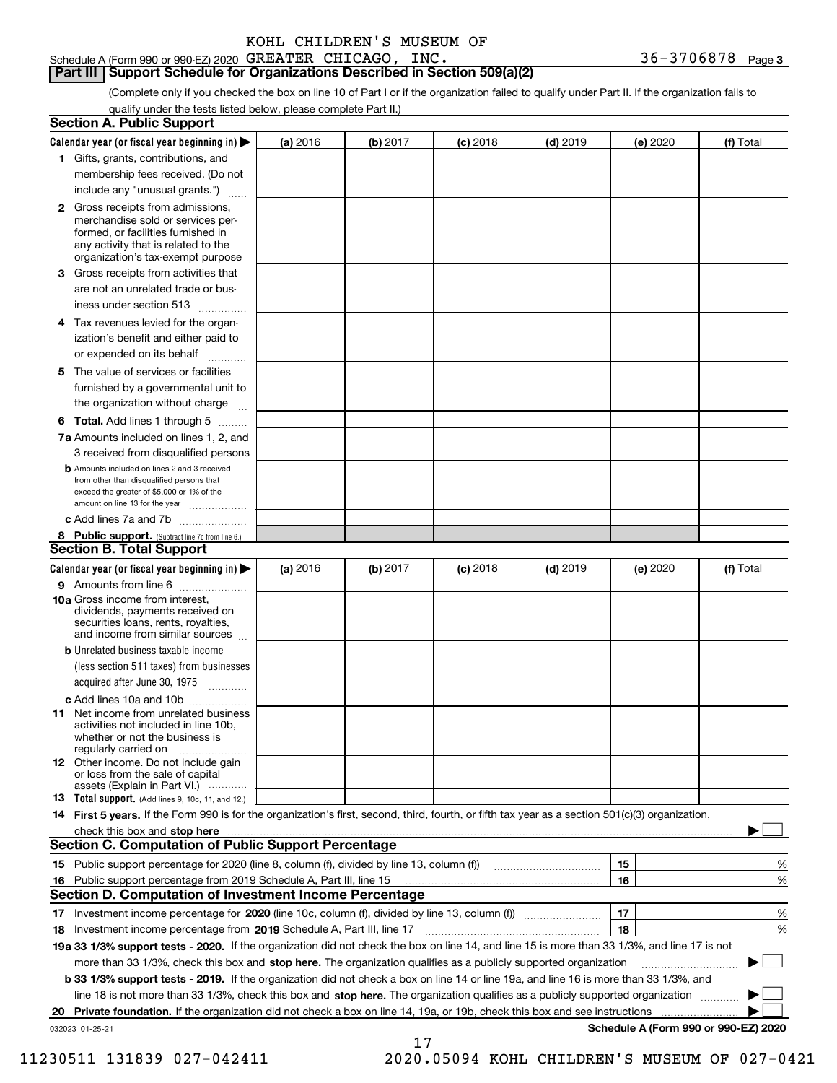# **Part III Support Schedule for Organizations Described in Section 509(a)(2)**

(Complete only if you checked the box on line 10 of Part I or if the organization failed to qualify under Part II. If the organization fails to qualify under the tests listed below, please complete Part II.)

| <b>Section A. Public Support</b>                                                                                                                                                                                                     |          |          |            |            |          |                                      |
|--------------------------------------------------------------------------------------------------------------------------------------------------------------------------------------------------------------------------------------|----------|----------|------------|------------|----------|--------------------------------------|
| Calendar year (or fiscal year beginning in) $\blacktriangleright$                                                                                                                                                                    | (a) 2016 | (b) 2017 | $(c)$ 2018 | $(d)$ 2019 | (e) 2020 | (f) Total                            |
| 1 Gifts, grants, contributions, and                                                                                                                                                                                                  |          |          |            |            |          |                                      |
| membership fees received. (Do not                                                                                                                                                                                                    |          |          |            |            |          |                                      |
| include any "unusual grants.")                                                                                                                                                                                                       |          |          |            |            |          |                                      |
| 2 Gross receipts from admissions,<br>merchandise sold or services per-<br>formed, or facilities furnished in<br>any activity that is related to the<br>organization's tax-exempt purpose                                             |          |          |            |            |          |                                      |
| 3 Gross receipts from activities that<br>are not an unrelated trade or bus-                                                                                                                                                          |          |          |            |            |          |                                      |
| iness under section 513                                                                                                                                                                                                              |          |          |            |            |          |                                      |
| 4 Tax revenues levied for the organ-<br>ization's benefit and either paid to<br>or expended on its behalf                                                                                                                            |          |          |            |            |          |                                      |
| .<br>5 The value of services or facilities<br>furnished by a governmental unit to                                                                                                                                                    |          |          |            |            |          |                                      |
| the organization without charge                                                                                                                                                                                                      |          |          |            |            |          |                                      |
| <b>6 Total.</b> Add lines 1 through 5                                                                                                                                                                                                |          |          |            |            |          |                                      |
| 7a Amounts included on lines 1, 2, and<br>3 received from disqualified persons                                                                                                                                                       |          |          |            |            |          |                                      |
| <b>b</b> Amounts included on lines 2 and 3 received<br>from other than disqualified persons that<br>exceed the greater of \$5,000 or 1% of the<br>amount on line 13 for the year                                                     |          |          |            |            |          |                                      |
| c Add lines 7a and 7b                                                                                                                                                                                                                |          |          |            |            |          |                                      |
| 8 Public support. (Subtract line 7c from line 6.)<br><b>Section B. Total Support</b>                                                                                                                                                 |          |          |            |            |          |                                      |
| Calendar year (or fiscal year beginning in)                                                                                                                                                                                          | (a) 2016 | (b) 2017 | $(c)$ 2018 | $(d)$ 2019 | (e) 2020 | (f) Total                            |
| 9 Amounts from line 6                                                                                                                                                                                                                |          |          |            |            |          |                                      |
| 10a Gross income from interest,<br>dividends, payments received on<br>securities loans, rents, royalties,<br>and income from similar sources                                                                                         |          |          |            |            |          |                                      |
| <b>b</b> Unrelated business taxable income<br>(less section 511 taxes) from businesses<br>acquired after June 30, 1975                                                                                                               |          |          |            |            |          |                                      |
| c Add lines 10a and 10b                                                                                                                                                                                                              |          |          |            |            |          |                                      |
| <b>11</b> Net income from unrelated business<br>activities not included in line 10b,<br>whether or not the business is<br>regularly carried on                                                                                       |          |          |            |            |          |                                      |
| <b>12</b> Other income. Do not include gain<br>or loss from the sale of capital<br>assets (Explain in Part VI.)                                                                                                                      |          |          |            |            |          |                                      |
| <b>13 Total support.</b> (Add lines 9, 10c, 11, and 12.)                                                                                                                                                                             |          |          |            |            |          |                                      |
| 14 First 5 years. If the Form 990 is for the organization's first, second, third, fourth, or fifth tax year as a section 501(c)(3) organization,                                                                                     |          |          |            |            |          |                                      |
| check this box and stop here <b>contract the contract of the contract of the state of the state of the state of the state of the state of the state of the state of the state of the state of the state of the state of the stat</b> |          |          |            |            |          |                                      |
| <b>Section C. Computation of Public Support Percentage</b>                                                                                                                                                                           |          |          |            |            |          |                                      |
|                                                                                                                                                                                                                                      |          |          |            |            | 15       | %                                    |
| 16 Public support percentage from 2019 Schedule A, Part III, line 15                                                                                                                                                                 |          |          |            |            | 16       | %                                    |
| <b>Section D. Computation of Investment Income Percentage</b>                                                                                                                                                                        |          |          |            |            |          |                                      |
| 17 Investment income percentage for 2020 (line 10c, column (f), divided by line 13, column (f))<br>18 Investment income percentage from 2019 Schedule A, Part III, line 17                                                           |          |          |            |            | 17<br>18 | %<br>%                               |
| 19a 33 1/3% support tests - 2020. If the organization did not check the box on line 14, and line 15 is more than 33 1/3%, and line 17 is not                                                                                         |          |          |            |            |          |                                      |
| more than 33 1/3%, check this box and stop here. The organization qualifies as a publicly supported organization                                                                                                                     |          |          |            |            |          | ▶                                    |
| b 33 1/3% support tests - 2019. If the organization did not check a box on line 14 or line 19a, and line 16 is more than 33 1/3%, and                                                                                                |          |          |            |            |          |                                      |
| line 18 is not more than 33 1/3%, check this box and stop here. The organization qualifies as a publicly supported organization                                                                                                      |          |          |            |            |          |                                      |
| 20 Private foundation. If the organization did not check a box on line 14, 19a, or 19b, check this box and see instructions                                                                                                          |          |          |            |            |          |                                      |
| 032023 01-25-21                                                                                                                                                                                                                      |          | 17       |            |            |          | Schedule A (Form 990 or 990-EZ) 2020 |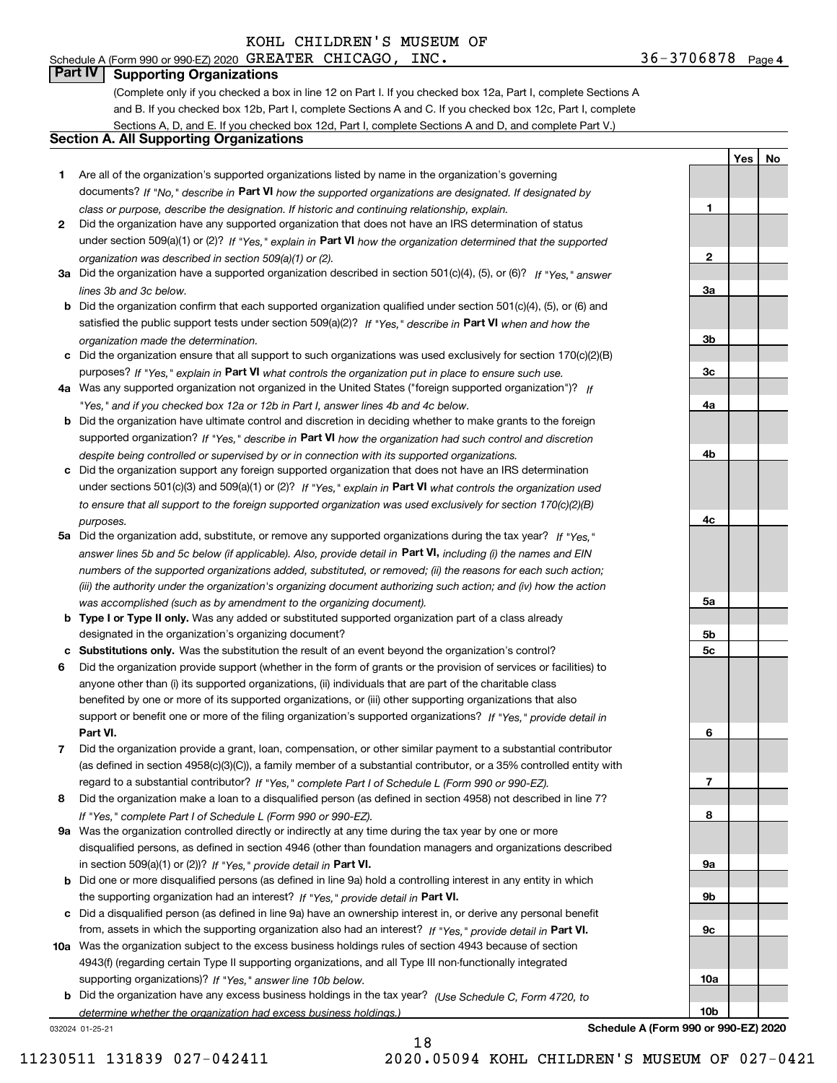Schedule A (Form 990 or 990-EZ) 2020 Page GREATER CHICAGO, INC. 36-3706878

**1**

**2**

**3a**

**3b**

**3c**

**4a**

**4b**

**4c**

**5a**

**5b5c**

**6**

**7**

**8**

**9a**

**9b**

**9c**

**10a**

**10b**

**YesNo**

# **Part IV Supporting Organizations**

(Complete only if you checked a box in line 12 on Part I. If you checked box 12a, Part I, complete Sections A and B. If you checked box 12b, Part I, complete Sections A and C. If you checked box 12c, Part I, complete Sections A, D, and E. If you checked box 12d, Part I, complete Sections A and D, and complete Part V.)

### **Section A. All Supporting Organizations**

- **1** Are all of the organization's supported organizations listed by name in the organization's governing documents? If "No," describe in **Part VI** how the supported organizations are designated. If designated by *class or purpose, describe the designation. If historic and continuing relationship, explain.*
- **2** Did the organization have any supported organization that does not have an IRS determination of status under section 509(a)(1) or (2)? If "Yes," explain in Part VI how the organization determined that the supported *organization was described in section 509(a)(1) or (2).*
- **3a** Did the organization have a supported organization described in section 501(c)(4), (5), or (6)? If "Yes," answer *lines 3b and 3c below.*
- **b** Did the organization confirm that each supported organization qualified under section 501(c)(4), (5), or (6) and satisfied the public support tests under section 509(a)(2)? If "Yes," describe in **Part VI** when and how the *organization made the determination.*
- **c**Did the organization ensure that all support to such organizations was used exclusively for section 170(c)(2)(B) purposes? If "Yes," explain in **Part VI** what controls the organization put in place to ensure such use.
- **4a***If* Was any supported organization not organized in the United States ("foreign supported organization")? *"Yes," and if you checked box 12a or 12b in Part I, answer lines 4b and 4c below.*
- **b** Did the organization have ultimate control and discretion in deciding whether to make grants to the foreign supported organization? If "Yes," describe in **Part VI** how the organization had such control and discretion *despite being controlled or supervised by or in connection with its supported organizations.*
- **c** Did the organization support any foreign supported organization that does not have an IRS determination under sections 501(c)(3) and 509(a)(1) or (2)? If "Yes," explain in **Part VI** what controls the organization used *to ensure that all support to the foreign supported organization was used exclusively for section 170(c)(2)(B) purposes.*
- **5a** Did the organization add, substitute, or remove any supported organizations during the tax year? If "Yes," answer lines 5b and 5c below (if applicable). Also, provide detail in **Part VI,** including (i) the names and EIN *numbers of the supported organizations added, substituted, or removed; (ii) the reasons for each such action; (iii) the authority under the organization's organizing document authorizing such action; and (iv) how the action was accomplished (such as by amendment to the organizing document).*
- **b** Type I or Type II only. Was any added or substituted supported organization part of a class already designated in the organization's organizing document?
- **cSubstitutions only.**  Was the substitution the result of an event beyond the organization's control?
- **6** Did the organization provide support (whether in the form of grants or the provision of services or facilities) to **Part VI.** *If "Yes," provide detail in* support or benefit one or more of the filing organization's supported organizations? anyone other than (i) its supported organizations, (ii) individuals that are part of the charitable class benefited by one or more of its supported organizations, or (iii) other supporting organizations that also
- **7**Did the organization provide a grant, loan, compensation, or other similar payment to a substantial contributor *If "Yes," complete Part I of Schedule L (Form 990 or 990-EZ).* regard to a substantial contributor? (as defined in section 4958(c)(3)(C)), a family member of a substantial contributor, or a 35% controlled entity with
- **8** Did the organization make a loan to a disqualified person (as defined in section 4958) not described in line 7? *If "Yes," complete Part I of Schedule L (Form 990 or 990-EZ).*
- **9a** Was the organization controlled directly or indirectly at any time during the tax year by one or more in section 509(a)(1) or (2))? If "Yes," *provide detail in* <code>Part VI.</code> disqualified persons, as defined in section 4946 (other than foundation managers and organizations described
- **b** Did one or more disqualified persons (as defined in line 9a) hold a controlling interest in any entity in which the supporting organization had an interest? If "Yes," provide detail in P**art VI**.
- **c**Did a disqualified person (as defined in line 9a) have an ownership interest in, or derive any personal benefit from, assets in which the supporting organization also had an interest? If "Yes," provide detail in P**art VI.**
- **10a** Was the organization subject to the excess business holdings rules of section 4943 because of section supporting organizations)? If "Yes," answer line 10b below. 4943(f) (regarding certain Type II supporting organizations, and all Type III non-functionally integrated
- **b** Did the organization have any excess business holdings in the tax year? (Use Schedule C, Form 4720, to *determine whether the organization had excess business holdings.)*

18

032024 01-25-21

**Schedule A (Form 990 or 990-EZ) 2020**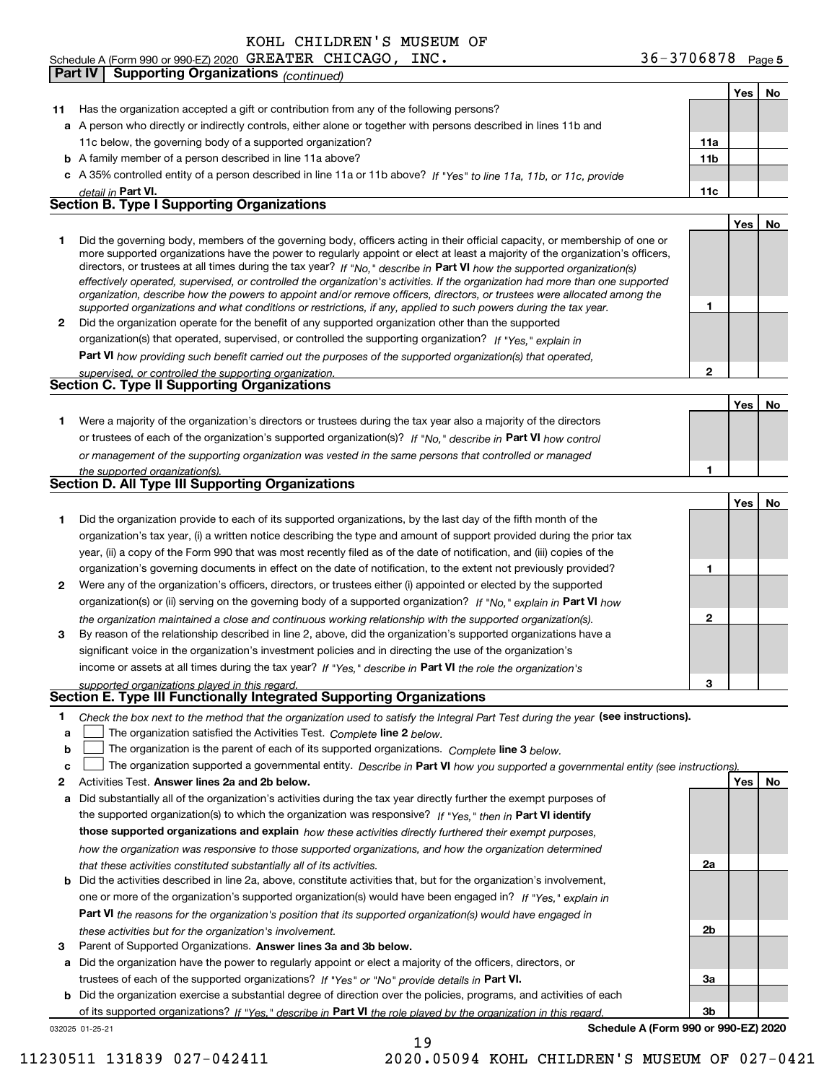# Schedule A (Form 990 or 990-EZ) 2020 Page GREATER CHICAGO, INC. 36-3706878

**Part IV Supporting Organizations** *(continued)*

|              |                                                                                                                                                                                                                                                          |                 | Yes | No |
|--------------|----------------------------------------------------------------------------------------------------------------------------------------------------------------------------------------------------------------------------------------------------------|-----------------|-----|----|
| 11           | Has the organization accepted a gift or contribution from any of the following persons?                                                                                                                                                                  |                 |     |    |
|              | a A person who directly or indirectly controls, either alone or together with persons described in lines 11b and                                                                                                                                         |                 |     |    |
|              | 11c below, the governing body of a supported organization?                                                                                                                                                                                               | 11a             |     |    |
|              | <b>b</b> A family member of a person described in line 11a above?                                                                                                                                                                                        | 11 <sub>b</sub> |     |    |
|              | c A 35% controlled entity of a person described in line 11a or 11b above? If "Yes" to line 11a, 11b, or 11c, provide                                                                                                                                     |                 |     |    |
|              | detail in Part VI.                                                                                                                                                                                                                                       | 11c             |     |    |
|              | <b>Section B. Type I Supporting Organizations</b>                                                                                                                                                                                                        |                 |     |    |
|              |                                                                                                                                                                                                                                                          |                 | Yes | No |
| 1            | Did the governing body, members of the governing body, officers acting in their official capacity, or membership of one or                                                                                                                               |                 |     |    |
|              | more supported organizations have the power to regularly appoint or elect at least a majority of the organization's officers,<br>directors, or trustees at all times during the tax year? If "No," describe in Part VI how the supported organization(s) |                 |     |    |
|              | effectively operated, supervised, or controlled the organization's activities. If the organization had more than one supported                                                                                                                           |                 |     |    |
|              | organization, describe how the powers to appoint and/or remove officers, directors, or trustees were allocated among the                                                                                                                                 |                 |     |    |
|              | supported organizations and what conditions or restrictions, if any, applied to such powers during the tax year.                                                                                                                                         | 1               |     |    |
| $\mathbf{2}$ | Did the organization operate for the benefit of any supported organization other than the supported                                                                                                                                                      |                 |     |    |
|              | organization(s) that operated, supervised, or controlled the supporting organization? If "Yes," explain in                                                                                                                                               |                 |     |    |
|              | Part VI how providing such benefit carried out the purposes of the supported organization(s) that operated,                                                                                                                                              |                 |     |    |
|              | supervised, or controlled the supporting organization.<br><b>Section C. Type II Supporting Organizations</b>                                                                                                                                             | $\mathbf{2}$    |     |    |
|              |                                                                                                                                                                                                                                                          |                 |     |    |
|              |                                                                                                                                                                                                                                                          |                 | Yes | No |
| 1            | Were a majority of the organization's directors or trustees during the tax year also a majority of the directors<br>or trustees of each of the organization's supported organization(s)? If "No," describe in Part VI how control                        |                 |     |    |
|              |                                                                                                                                                                                                                                                          |                 |     |    |
|              | or management of the supporting organization was vested in the same persons that controlled or managed<br>the supported organization(s).                                                                                                                 | 1               |     |    |
|              | Section D. All Type III Supporting Organizations                                                                                                                                                                                                         |                 |     |    |
|              |                                                                                                                                                                                                                                                          |                 | Yes | No |
| 1            | Did the organization provide to each of its supported organizations, by the last day of the fifth month of the                                                                                                                                           |                 |     |    |
|              | organization's tax year, (i) a written notice describing the type and amount of support provided during the prior tax                                                                                                                                    |                 |     |    |
|              | year, (ii) a copy of the Form 990 that was most recently filed as of the date of notification, and (iii) copies of the                                                                                                                                   |                 |     |    |
|              | organization's governing documents in effect on the date of notification, to the extent not previously provided?                                                                                                                                         | 1               |     |    |
| 2            | Were any of the organization's officers, directors, or trustees either (i) appointed or elected by the supported                                                                                                                                         |                 |     |    |
|              | organization(s) or (ii) serving on the governing body of a supported organization? If "No," explain in Part VI how                                                                                                                                       |                 |     |    |
|              | the organization maintained a close and continuous working relationship with the supported organization(s).                                                                                                                                              | $\mathbf{2}$    |     |    |
| 3            | By reason of the relationship described in line 2, above, did the organization's supported organizations have a                                                                                                                                          |                 |     |    |
|              | significant voice in the organization's investment policies and in directing the use of the organization's                                                                                                                                               |                 |     |    |
|              | income or assets at all times during the tax year? If "Yes," describe in Part VI the role the organization's                                                                                                                                             |                 |     |    |
|              | supported organizations played in this regard.                                                                                                                                                                                                           | з               |     |    |
|              | Section E. Type III Functionally Integrated Supporting Organizations                                                                                                                                                                                     |                 |     |    |
| 1            | Check the box next to the method that the organization used to satisfy the Integral Part Test during the year (see instructions).                                                                                                                        |                 |     |    |
| a            | The organization satisfied the Activities Test. Complete line 2 below.                                                                                                                                                                                   |                 |     |    |
| b            | The organization is the parent of each of its supported organizations. Complete line 3 below.                                                                                                                                                            |                 |     |    |
| c            | The organization supported a governmental entity. Describe in Part VI how you supported a governmental entity (see instructions)                                                                                                                         |                 |     |    |
| 2            | Activities Test. Answer lines 2a and 2b below.                                                                                                                                                                                                           |                 | Yes | No |
| а            | Did substantially all of the organization's activities during the tax year directly further the exempt purposes of                                                                                                                                       |                 |     |    |
|              | the supported organization(s) to which the organization was responsive? If "Yes," then in Part VI identify                                                                                                                                               |                 |     |    |
|              | those supported organizations and explain how these activities directly furthered their exempt purposes,                                                                                                                                                 |                 |     |    |
|              | how the organization was responsive to those supported organizations, and how the organization determined                                                                                                                                                |                 |     |    |
| b            | that these activities constituted substantially all of its activities.<br>Did the activities described in line 2a, above, constitute activities that, but for the organization's involvement,                                                            | 2a              |     |    |
|              | one or more of the organization's supported organization(s) would have been engaged in? If "Yes," explain in                                                                                                                                             |                 |     |    |
|              | <b>Part VI</b> the reasons for the organization's position that its supported organization(s) would have engaged in                                                                                                                                      |                 |     |    |
|              | these activities but for the organization's involvement.                                                                                                                                                                                                 | 2b              |     |    |
| 3            | Parent of Supported Organizations. Answer lines 3a and 3b below.                                                                                                                                                                                         |                 |     |    |
|              |                                                                                                                                                                                                                                                          |                 |     |    |

**a** Did the organization have the power to regularly appoint or elect a majority of the officers, directors, or trustees of each of the supported organizations? If "Yes" or "No" provide details in **Part VI.** 

**b** Did the organization exercise a substantial degree of direction over the policies, programs, and activities of each of its supported organizations? If "Yes," describe in Part VI the role played by the organization in this regard.

19

032025 01-25-21

**Schedule A (Form 990 or 990-EZ) 2020**

**3a**

**3b**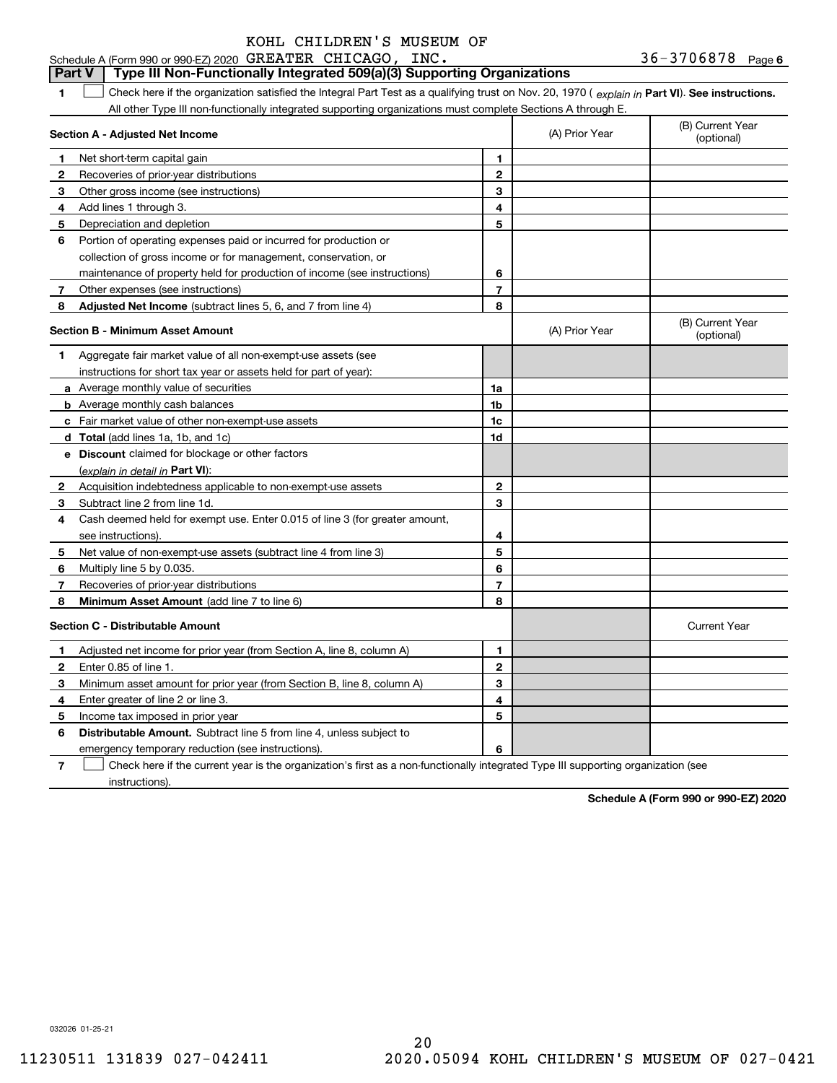### **Part V Type III Non-Functionally Integrated 509(a)(3) Supporting Organizations**

**1**1 Check here if the organization satisfied the Integral Part Test as a qualifying trust on Nov. 20, 1970 (explain in Part VI). See instructions. All other Type III non-functionally integrated supporting organizations must complete Sections A through E.

|              | Section A - Adjusted Net Income                                             |                | (A) Prior Year | (B) Current Year<br>(optional) |
|--------------|-----------------------------------------------------------------------------|----------------|----------------|--------------------------------|
| 1            | Net short-term capital gain                                                 | 1              |                |                                |
| 2            | Recoveries of prior-year distributions                                      | $\overline{2}$ |                |                                |
| 3            | Other gross income (see instructions)                                       | 3              |                |                                |
| 4            | Add lines 1 through 3.                                                      | 4              |                |                                |
| 5            | Depreciation and depletion                                                  | 5              |                |                                |
| 6            | Portion of operating expenses paid or incurred for production or            |                |                |                                |
|              | collection of gross income or for management, conservation, or              |                |                |                                |
|              | maintenance of property held for production of income (see instructions)    | 6              |                |                                |
| 7            | Other expenses (see instructions)                                           | $\overline{7}$ |                |                                |
| 8            | <b>Adjusted Net Income</b> (subtract lines 5, 6, and 7 from line 4)         | 8              |                |                                |
|              | <b>Section B - Minimum Asset Amount</b>                                     |                | (A) Prior Year | (B) Current Year<br>(optional) |
| 1            | Aggregate fair market value of all non-exempt-use assets (see               |                |                |                                |
|              | instructions for short tax year or assets held for part of year):           |                |                |                                |
|              | a Average monthly value of securities                                       | 1a             |                |                                |
|              | <b>b</b> Average monthly cash balances                                      | 1b             |                |                                |
|              | <b>c</b> Fair market value of other non-exempt-use assets                   | 1c             |                |                                |
|              | d Total (add lines 1a, 1b, and 1c)                                          | 1d             |                |                                |
|              | e Discount claimed for blockage or other factors                            |                |                |                                |
|              | (explain in detail in Part VI):                                             |                |                |                                |
| 2            | Acquisition indebtedness applicable to non-exempt-use assets                | $\mathbf{2}$   |                |                                |
| 3            | Subtract line 2 from line 1d.                                               | 3              |                |                                |
| 4            | Cash deemed held for exempt use. Enter 0.015 of line 3 (for greater amount, |                |                |                                |
|              | see instructions).                                                          | 4              |                |                                |
| 5            | Net value of non-exempt-use assets (subtract line 4 from line 3)            | 5              |                |                                |
| 6            | Multiply line 5 by 0.035.                                                   | 6              |                |                                |
| 7            | Recoveries of prior-year distributions                                      | 7              |                |                                |
| 8            | Minimum Asset Amount (add line 7 to line 6)                                 | 8              |                |                                |
|              | <b>Section C - Distributable Amount</b>                                     |                |                | <b>Current Year</b>            |
| 1            | Adjusted net income for prior year (from Section A, line 8, column A)       | 1              |                |                                |
| $\mathbf{2}$ | Enter 0.85 of line 1                                                        | $\overline{2}$ |                |                                |
| з            | Minimum asset amount for prior year (from Section B, line 8, column A)      | 3              |                |                                |
| 4            | Enter greater of line 2 or line 3.                                          | 4              |                |                                |
| 5            | Income tax imposed in prior year                                            | 5              |                |                                |
| 6            | Distributable Amount. Subtract line 5 from line 4, unless subject to        |                |                |                                |
|              | emergency temporary reduction (see instructions).                           | 6              |                |                                |
|              |                                                                             |                |                |                                |

**7**Check here if the current year is the organization's first as a non-functionally integrated Type III supporting organization (see instructions).

**Schedule A (Form 990 or 990-EZ) 2020**

032026 01-25-21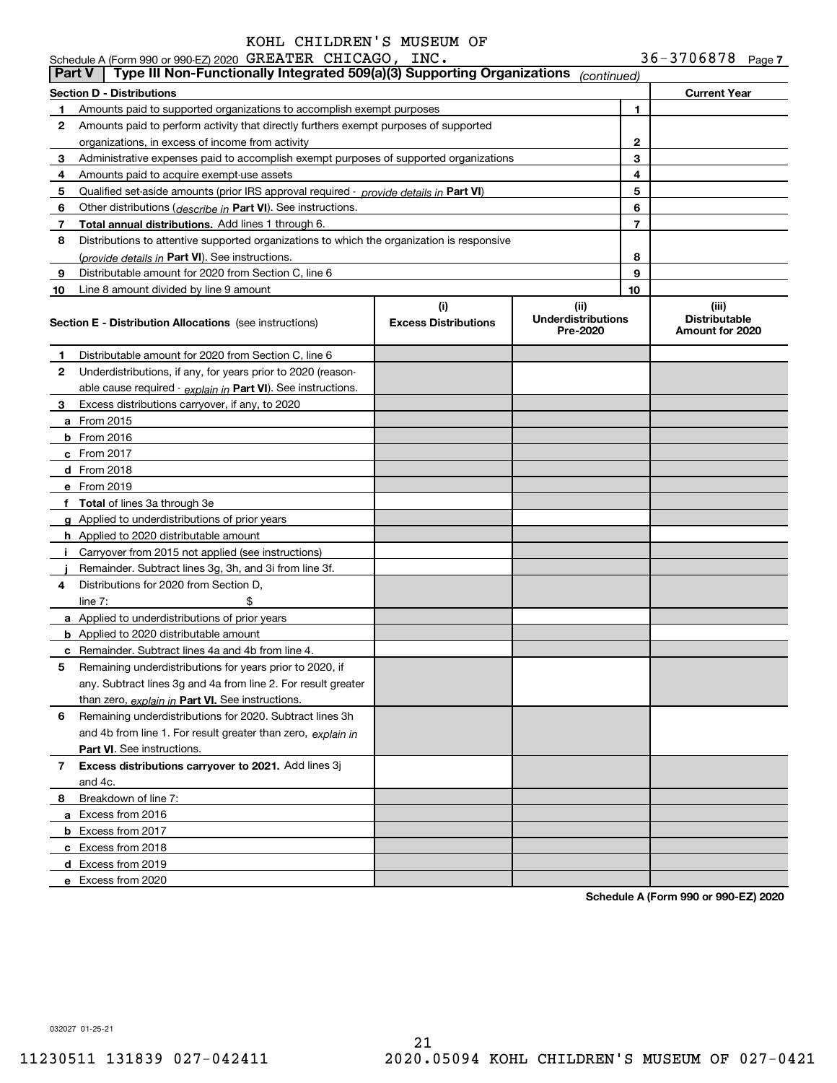|               | Schedule A (Form 990 or 990-EZ) 2020 GREATER CHICAGO, INC.                                    |                                    |                                               |    | $36 - 3706878$ Page 7                            |  |
|---------------|-----------------------------------------------------------------------------------------------|------------------------------------|-----------------------------------------------|----|--------------------------------------------------|--|
| <b>Part V</b> | Type III Non-Functionally Integrated 509(a)(3) Supporting Organizations                       |                                    | (continued)                                   |    |                                                  |  |
|               | Section D - Distributions                                                                     |                                    |                                               |    | <b>Current Year</b>                              |  |
| 1             | Amounts paid to supported organizations to accomplish exempt purposes                         |                                    |                                               | 1  |                                                  |  |
| 2             | Amounts paid to perform activity that directly furthers exempt purposes of supported          |                                    |                                               |    |                                                  |  |
|               | organizations, in excess of income from activity                                              |                                    |                                               | 2  |                                                  |  |
| 3             | Administrative expenses paid to accomplish exempt purposes of supported organizations         |                                    |                                               | 3  |                                                  |  |
| 4             | Amounts paid to acquire exempt-use assets                                                     |                                    |                                               | 4  |                                                  |  |
| 5             | Qualified set-aside amounts (prior IRS approval required - <i>provide details in</i> Part VI) |                                    |                                               | 5  |                                                  |  |
| 6             | Other distributions ( <i>describe in</i> Part VI). See instructions.                          |                                    |                                               | 6  |                                                  |  |
| 7             | Total annual distributions. Add lines 1 through 6.                                            |                                    |                                               | 7  |                                                  |  |
| 8             | Distributions to attentive supported organizations to which the organization is responsive    |                                    |                                               |    |                                                  |  |
|               | (provide details in Part VI). See instructions.                                               |                                    |                                               | 8  |                                                  |  |
| 9             | Distributable amount for 2020 from Section C, line 6                                          |                                    |                                               | 9  |                                                  |  |
| 10            | Line 8 amount divided by line 9 amount                                                        |                                    |                                               | 10 |                                                  |  |
|               | <b>Section E - Distribution Allocations</b> (see instructions)                                | (i)<br><b>Excess Distributions</b> | (ii)<br><b>Underdistributions</b><br>Pre-2020 |    | (iii)<br><b>Distributable</b><br>Amount for 2020 |  |
| 1             | Distributable amount for 2020 from Section C, line 6                                          |                                    |                                               |    |                                                  |  |
| 2             | Underdistributions, if any, for years prior to 2020 (reason-                                  |                                    |                                               |    |                                                  |  |
|               | able cause required - explain in Part VI). See instructions.                                  |                                    |                                               |    |                                                  |  |
| 3             | Excess distributions carryover, if any, to 2020                                               |                                    |                                               |    |                                                  |  |
|               | <b>a</b> From 2015                                                                            |                                    |                                               |    |                                                  |  |
|               | $b$ From 2016                                                                                 |                                    |                                               |    |                                                  |  |
|               | c From 2017                                                                                   |                                    |                                               |    |                                                  |  |
|               | d From 2018                                                                                   |                                    |                                               |    |                                                  |  |
|               | e From 2019                                                                                   |                                    |                                               |    |                                                  |  |
|               | f Total of lines 3a through 3e                                                                |                                    |                                               |    |                                                  |  |
|               | g Applied to underdistributions of prior years                                                |                                    |                                               |    |                                                  |  |
|               | <b>h</b> Applied to 2020 distributable amount                                                 |                                    |                                               |    |                                                  |  |
|               | i Carryover from 2015 not applied (see instructions)                                          |                                    |                                               |    |                                                  |  |
|               | Remainder. Subtract lines 3g, 3h, and 3i from line 3f.                                        |                                    |                                               |    |                                                  |  |
| 4             | Distributions for 2020 from Section D.                                                        |                                    |                                               |    |                                                  |  |
|               | \$<br>line $7:$                                                                               |                                    |                                               |    |                                                  |  |
|               | a Applied to underdistributions of prior years                                                |                                    |                                               |    |                                                  |  |
|               | <b>b</b> Applied to 2020 distributable amount                                                 |                                    |                                               |    |                                                  |  |
|               | <b>c</b> Remainder. Subtract lines 4a and 4b from line 4.                                     |                                    |                                               |    |                                                  |  |
|               | Remaining underdistributions for years prior to 2020, if                                      |                                    |                                               |    |                                                  |  |
|               | any. Subtract lines 3g and 4a from line 2. For result greater                                 |                                    |                                               |    |                                                  |  |
|               | than zero, explain in Part VI. See instructions.                                              |                                    |                                               |    |                                                  |  |
| 6             | Remaining underdistributions for 2020. Subtract lines 3h                                      |                                    |                                               |    |                                                  |  |
|               | and 4b from line 1. For result greater than zero, explain in                                  |                                    |                                               |    |                                                  |  |
|               | <b>Part VI.</b> See instructions.                                                             |                                    |                                               |    |                                                  |  |
| 7             | Excess distributions carryover to 2021. Add lines 3j                                          |                                    |                                               |    |                                                  |  |
|               | and 4c.                                                                                       |                                    |                                               |    |                                                  |  |
| 8             | Breakdown of line 7:                                                                          |                                    |                                               |    |                                                  |  |
|               | a Excess from 2016                                                                            |                                    |                                               |    |                                                  |  |
|               | <b>b</b> Excess from 2017                                                                     |                                    |                                               |    |                                                  |  |
|               | c Excess from 2018                                                                            |                                    |                                               |    |                                                  |  |
|               | d Excess from 2019                                                                            |                                    |                                               |    |                                                  |  |
|               | e Excess from 2020                                                                            |                                    |                                               |    |                                                  |  |
|               |                                                                                               |                                    |                                               |    |                                                  |  |

**Schedule A (Form 990 or 990-EZ) 2020**

032027 01-25-21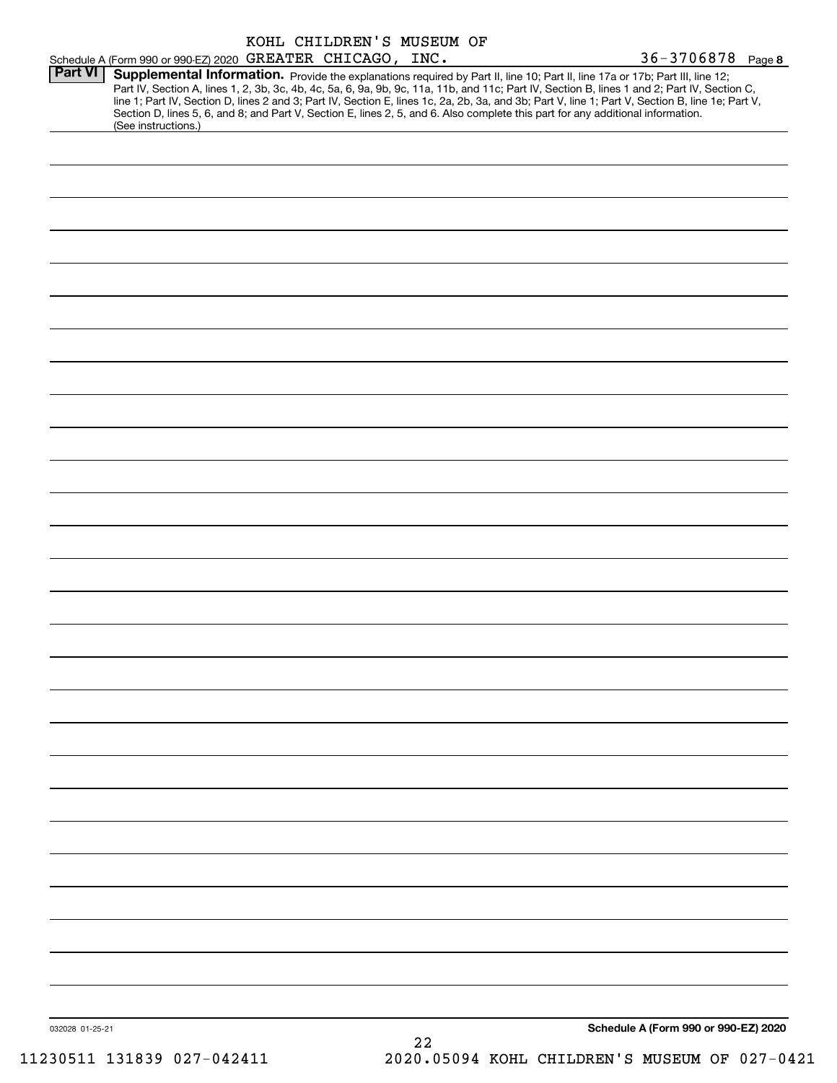|                |                                                                                                                                                                                                                                                                                                                                                                                                                                                                                                                                                                                             |  |  | KOHL CHILDREN'S MUSEUM OF |  |  |                       |                                      |
|----------------|---------------------------------------------------------------------------------------------------------------------------------------------------------------------------------------------------------------------------------------------------------------------------------------------------------------------------------------------------------------------------------------------------------------------------------------------------------------------------------------------------------------------------------------------------------------------------------------------|--|--|---------------------------|--|--|-----------------------|--------------------------------------|
|                | Schedule A (Form 990 or 990-EZ) 2020 GREATER CHICAGO, INC.                                                                                                                                                                                                                                                                                                                                                                                                                                                                                                                                  |  |  |                           |  |  | $36 - 3706878$ Page 8 |                                      |
| <b>Part VI</b> | Supplemental Information. Provide the explanations required by Part II, line 10; Part II, line 17a or 17b; Part III, line 12;<br>Part IV, Section A, lines 1, 2, 3b, 3c, 4b, 4c, 5a, 6, 9a, 9b, 9c, 11a, 11b, and 11c; Part IV, Section B, lines 1 and 2; Part IV, Section C,<br>line 1; Part IV, Section D, lines 2 and 3; Part IV, Section E, lines 1c, 2a, 2b, 3a, and 3b; Part V, line 1; Part V, Section B, line 1e; Part V,<br>Section D, lines 5, 6, and 8; and Part V, Section E, lines 2, 5, and 6. Also complete this part for any additional information.<br>(See instructions.) |  |  |                           |  |  |                       |                                      |
|                |                                                                                                                                                                                                                                                                                                                                                                                                                                                                                                                                                                                             |  |  |                           |  |  |                       |                                      |
|                |                                                                                                                                                                                                                                                                                                                                                                                                                                                                                                                                                                                             |  |  |                           |  |  |                       |                                      |
|                |                                                                                                                                                                                                                                                                                                                                                                                                                                                                                                                                                                                             |  |  |                           |  |  |                       |                                      |
|                |                                                                                                                                                                                                                                                                                                                                                                                                                                                                                                                                                                                             |  |  |                           |  |  |                       |                                      |
|                |                                                                                                                                                                                                                                                                                                                                                                                                                                                                                                                                                                                             |  |  |                           |  |  |                       |                                      |
|                |                                                                                                                                                                                                                                                                                                                                                                                                                                                                                                                                                                                             |  |  |                           |  |  |                       |                                      |
|                |                                                                                                                                                                                                                                                                                                                                                                                                                                                                                                                                                                                             |  |  |                           |  |  |                       |                                      |
|                |                                                                                                                                                                                                                                                                                                                                                                                                                                                                                                                                                                                             |  |  |                           |  |  |                       |                                      |
|                |                                                                                                                                                                                                                                                                                                                                                                                                                                                                                                                                                                                             |  |  |                           |  |  |                       |                                      |
|                |                                                                                                                                                                                                                                                                                                                                                                                                                                                                                                                                                                                             |  |  |                           |  |  |                       |                                      |
|                |                                                                                                                                                                                                                                                                                                                                                                                                                                                                                                                                                                                             |  |  |                           |  |  |                       |                                      |
|                |                                                                                                                                                                                                                                                                                                                                                                                                                                                                                                                                                                                             |  |  |                           |  |  |                       |                                      |
|                |                                                                                                                                                                                                                                                                                                                                                                                                                                                                                                                                                                                             |  |  |                           |  |  |                       |                                      |
|                |                                                                                                                                                                                                                                                                                                                                                                                                                                                                                                                                                                                             |  |  |                           |  |  |                       |                                      |
|                |                                                                                                                                                                                                                                                                                                                                                                                                                                                                                                                                                                                             |  |  |                           |  |  |                       |                                      |
|                |                                                                                                                                                                                                                                                                                                                                                                                                                                                                                                                                                                                             |  |  |                           |  |  |                       |                                      |
|                |                                                                                                                                                                                                                                                                                                                                                                                                                                                                                                                                                                                             |  |  |                           |  |  |                       |                                      |
|                |                                                                                                                                                                                                                                                                                                                                                                                                                                                                                                                                                                                             |  |  |                           |  |  |                       |                                      |
|                |                                                                                                                                                                                                                                                                                                                                                                                                                                                                                                                                                                                             |  |  |                           |  |  |                       |                                      |
|                |                                                                                                                                                                                                                                                                                                                                                                                                                                                                                                                                                                                             |  |  |                           |  |  |                       |                                      |
|                |                                                                                                                                                                                                                                                                                                                                                                                                                                                                                                                                                                                             |  |  |                           |  |  |                       |                                      |
|                |                                                                                                                                                                                                                                                                                                                                                                                                                                                                                                                                                                                             |  |  |                           |  |  |                       |                                      |
|                |                                                                                                                                                                                                                                                                                                                                                                                                                                                                                                                                                                                             |  |  |                           |  |  |                       |                                      |
|                |                                                                                                                                                                                                                                                                                                                                                                                                                                                                                                                                                                                             |  |  |                           |  |  |                       |                                      |
|                |                                                                                                                                                                                                                                                                                                                                                                                                                                                                                                                                                                                             |  |  |                           |  |  |                       |                                      |
|                |                                                                                                                                                                                                                                                                                                                                                                                                                                                                                                                                                                                             |  |  |                           |  |  |                       |                                      |
|                |                                                                                                                                                                                                                                                                                                                                                                                                                                                                                                                                                                                             |  |  |                           |  |  |                       |                                      |
|                |                                                                                                                                                                                                                                                                                                                                                                                                                                                                                                                                                                                             |  |  |                           |  |  |                       |                                      |
|                |                                                                                                                                                                                                                                                                                                                                                                                                                                                                                                                                                                                             |  |  |                           |  |  |                       |                                      |
|                |                                                                                                                                                                                                                                                                                                                                                                                                                                                                                                                                                                                             |  |  |                           |  |  |                       | Schedule A (Form 990 or 990-EZ) 2020 |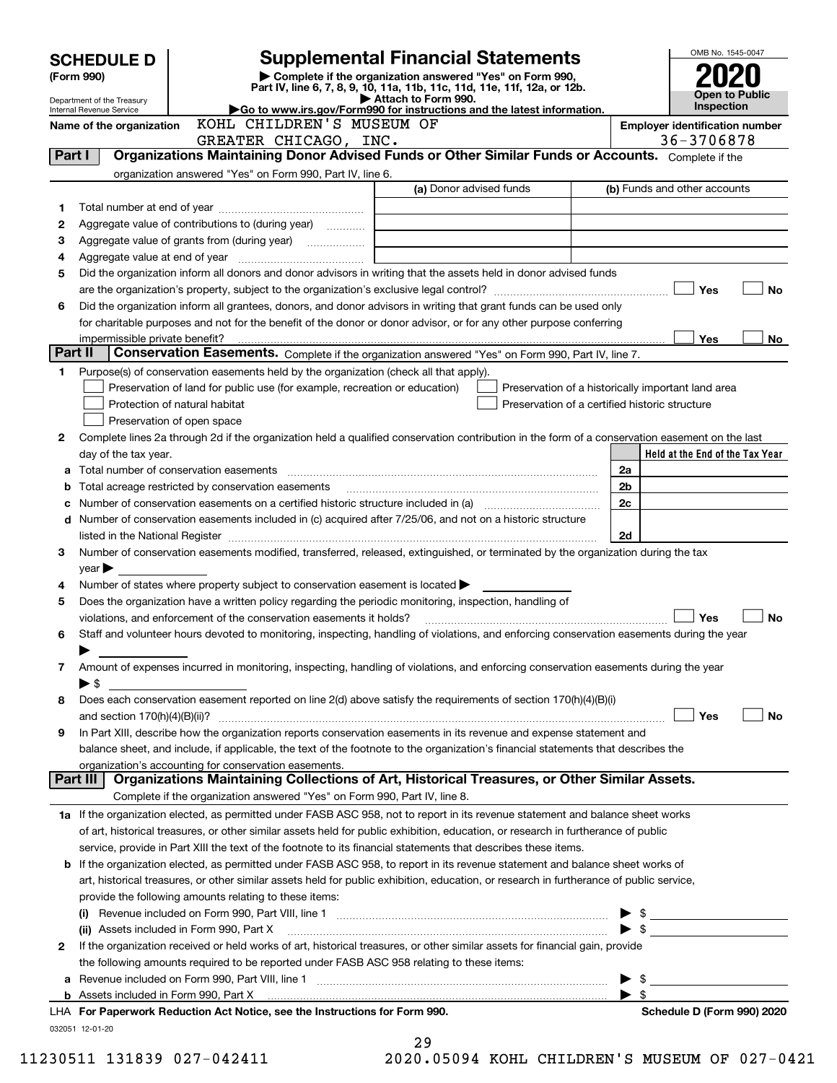|         | <b>SCHEDULE D</b>          |                                                                                                                                                | <b>Supplemental Financial Statements</b>                                                        |                                                    |                          | OMB No. 1545-0047               |  |    |
|---------|----------------------------|------------------------------------------------------------------------------------------------------------------------------------------------|-------------------------------------------------------------------------------------------------|----------------------------------------------------|--------------------------|---------------------------------|--|----|
|         | (Form 990)                 |                                                                                                                                                | Complete if the organization answered "Yes" on Form 990,                                        |                                                    |                          |                                 |  |    |
|         | Department of the Treasury |                                                                                                                                                | Part IV, line 6, 7, 8, 9, 10, 11a, 11b, 11c, 11d, 11e, 11f, 12a, or 12b.<br>Attach to Form 990. |                                                    |                          | <b>Open to Public</b>           |  |    |
|         | Internal Revenue Service   | Go to www.irs.gov/Form990 for instructions and the latest information.                                                                         |                                                                                                 |                                                    |                          | Inspection                      |  |    |
|         | Name of the organization   | KOHL CHILDREN'S MUSEUM OF<br><b>Employer identification number</b>                                                                             |                                                                                                 |                                                    |                          |                                 |  |    |
| Part I  |                            | GREATER CHICAGO, INC.<br>Organizations Maintaining Donor Advised Funds or Other Similar Funds or Accounts. Complete if the                     |                                                                                                 |                                                    |                          | 36-3706878                      |  |    |
|         |                            | organization answered "Yes" on Form 990, Part IV, line 6.                                                                                      |                                                                                                 |                                                    |                          |                                 |  |    |
|         |                            |                                                                                                                                                | (a) Donor advised funds                                                                         |                                                    |                          | (b) Funds and other accounts    |  |    |
| 1       |                            |                                                                                                                                                |                                                                                                 |                                                    |                          |                                 |  |    |
| 2       |                            | Aggregate value of contributions to (during year)                                                                                              |                                                                                                 |                                                    |                          |                                 |  |    |
| З       |                            |                                                                                                                                                |                                                                                                 |                                                    |                          |                                 |  |    |
| 4       |                            |                                                                                                                                                |                                                                                                 |                                                    |                          |                                 |  |    |
| 5       |                            | Did the organization inform all donors and donor advisors in writing that the assets held in donor advised funds                               |                                                                                                 |                                                    |                          |                                 |  |    |
|         |                            |                                                                                                                                                |                                                                                                 |                                                    |                          | Yes                             |  | No |
| 6       |                            | Did the organization inform all grantees, donors, and donor advisors in writing that grant funds can be used only                              |                                                                                                 |                                                    |                          |                                 |  |    |
|         |                            | for charitable purposes and not for the benefit of the donor or donor advisor, or for any other purpose conferring                             |                                                                                                 |                                                    |                          |                                 |  |    |
|         |                            |                                                                                                                                                |                                                                                                 |                                                    |                          | Yes                             |  | No |
| Part II |                            | Conservation Easements. Complete if the organization answered "Yes" on Form 990, Part IV, line 7.                                              |                                                                                                 |                                                    |                          |                                 |  |    |
| 1       |                            | Purpose(s) of conservation easements held by the organization (check all that apply).                                                          |                                                                                                 |                                                    |                          |                                 |  |    |
|         |                            | Preservation of land for public use (for example, recreation or education)                                                                     |                                                                                                 | Preservation of a historically important land area |                          |                                 |  |    |
|         |                            | Protection of natural habitat                                                                                                                  |                                                                                                 | Preservation of a certified historic structure     |                          |                                 |  |    |
|         |                            | Preservation of open space                                                                                                                     |                                                                                                 |                                                    |                          |                                 |  |    |
| 2       |                            | Complete lines 2a through 2d if the organization held a qualified conservation contribution in the form of a conservation easement on the last |                                                                                                 |                                                    |                          |                                 |  |    |
|         | day of the tax year.       |                                                                                                                                                |                                                                                                 |                                                    |                          | Held at the End of the Tax Year |  |    |
| а       |                            |                                                                                                                                                |                                                                                                 |                                                    | 2a                       |                                 |  |    |
| b       |                            | Total acreage restricted by conservation easements                                                                                             |                                                                                                 |                                                    | 2b                       |                                 |  |    |
| c       |                            |                                                                                                                                                |                                                                                                 |                                                    | 2c                       |                                 |  |    |
|         |                            | d Number of conservation easements included in (c) acquired after 7/25/06, and not on a historic structure                                     |                                                                                                 |                                                    |                          |                                 |  |    |
|         |                            |                                                                                                                                                |                                                                                                 |                                                    | 2d                       |                                 |  |    |
| 3       |                            | Number of conservation easements modified, transferred, released, extinguished, or terminated by the organization during the tax               |                                                                                                 |                                                    |                          |                                 |  |    |
|         | $\gamma$ ear               |                                                                                                                                                |                                                                                                 |                                                    |                          |                                 |  |    |
| 4       |                            | Number of states where property subject to conservation easement is located $\blacktriangleright$                                              |                                                                                                 |                                                    |                          |                                 |  |    |
| 5       |                            | Does the organization have a written policy regarding the periodic monitoring, inspection, handling of                                         |                                                                                                 |                                                    |                          |                                 |  |    |
|         |                            | violations, and enforcement of the conservation easements it holds?                                                                            |                                                                                                 |                                                    |                          | <b>Yes</b>                      |  | No |
| 6       |                            | Staff and volunteer hours devoted to monitoring, inspecting, handling of violations, and enforcing conservation easements during the year      |                                                                                                 |                                                    |                          |                                 |  |    |
|         | ▶                          |                                                                                                                                                |                                                                                                 |                                                    |                          |                                 |  |    |
| 7       |                            | Amount of expenses incurred in monitoring, inspecting, handling of violations, and enforcing conservation easements during the year            |                                                                                                 |                                                    |                          |                                 |  |    |
|         | $\blacktriangleright$ \$   | Does each conservation easement reported on line 2(d) above satisfy the requirements of section 170(h)(4)(B)(i)                                |                                                                                                 |                                                    |                          |                                 |  |    |
| 8       |                            |                                                                                                                                                |                                                                                                 |                                                    |                          | Yes                             |  | No |
| 9       |                            | In Part XIII, describe how the organization reports conservation easements in its revenue and expense statement and                            |                                                                                                 |                                                    |                          |                                 |  |    |
|         |                            | balance sheet, and include, if applicable, the text of the footnote to the organization's financial statements that describes the              |                                                                                                 |                                                    |                          |                                 |  |    |
|         |                            | organization's accounting for conservation easements.                                                                                          |                                                                                                 |                                                    |                          |                                 |  |    |
|         | Part III                   | Organizations Maintaining Collections of Art, Historical Treasures, or Other Similar Assets.                                                   |                                                                                                 |                                                    |                          |                                 |  |    |
|         |                            | Complete if the organization answered "Yes" on Form 990, Part IV, line 8.                                                                      |                                                                                                 |                                                    |                          |                                 |  |    |
|         |                            | 1a If the organization elected, as permitted under FASB ASC 958, not to report in its revenue statement and balance sheet works                |                                                                                                 |                                                    |                          |                                 |  |    |
|         |                            | of art, historical treasures, or other similar assets held for public exhibition, education, or research in furtherance of public              |                                                                                                 |                                                    |                          |                                 |  |    |
|         |                            | service, provide in Part XIII the text of the footnote to its financial statements that describes these items.                                 |                                                                                                 |                                                    |                          |                                 |  |    |
|         |                            | <b>b</b> If the organization elected, as permitted under FASB ASC 958, to report in its revenue statement and balance sheet works of           |                                                                                                 |                                                    |                          |                                 |  |    |
|         |                            | art, historical treasures, or other similar assets held for public exhibition, education, or research in furtherance of public service,        |                                                                                                 |                                                    |                          |                                 |  |    |
|         |                            | provide the following amounts relating to these items:                                                                                         |                                                                                                 |                                                    |                          |                                 |  |    |
|         |                            |                                                                                                                                                |                                                                                                 |                                                    | - \$                     |                                 |  |    |
|         |                            | (ii) Assets included in Form 990, Part X                                                                                                       |                                                                                                 |                                                    | $\blacktriangleright$ \$ |                                 |  |    |
| 2       |                            | If the organization received or held works of art, historical treasures, or other similar assets for financial gain, provide                   |                                                                                                 |                                                    |                          |                                 |  |    |
|         |                            | the following amounts required to be reported under FASB ASC 958 relating to these items:                                                      |                                                                                                 |                                                    |                          |                                 |  |    |
| а       |                            |                                                                                                                                                |                                                                                                 |                                                    | - \$                     |                                 |  |    |
|         |                            |                                                                                                                                                |                                                                                                 |                                                    | $\blacktriangleright$ s  |                                 |  |    |
|         |                            | LHA For Paperwork Reduction Act Notice, see the Instructions for Form 990.                                                                     |                                                                                                 |                                                    |                          | Schedule D (Form 990) 2020      |  |    |
|         | 032051 12-01-20            |                                                                                                                                                |                                                                                                 |                                                    |                          |                                 |  |    |
|         |                            |                                                                                                                                                | 29                                                                                              |                                                    |                          |                                 |  |    |

| 49       |  |  |   |
|----------|--|--|---|
| OO AEAQA |  |  | v |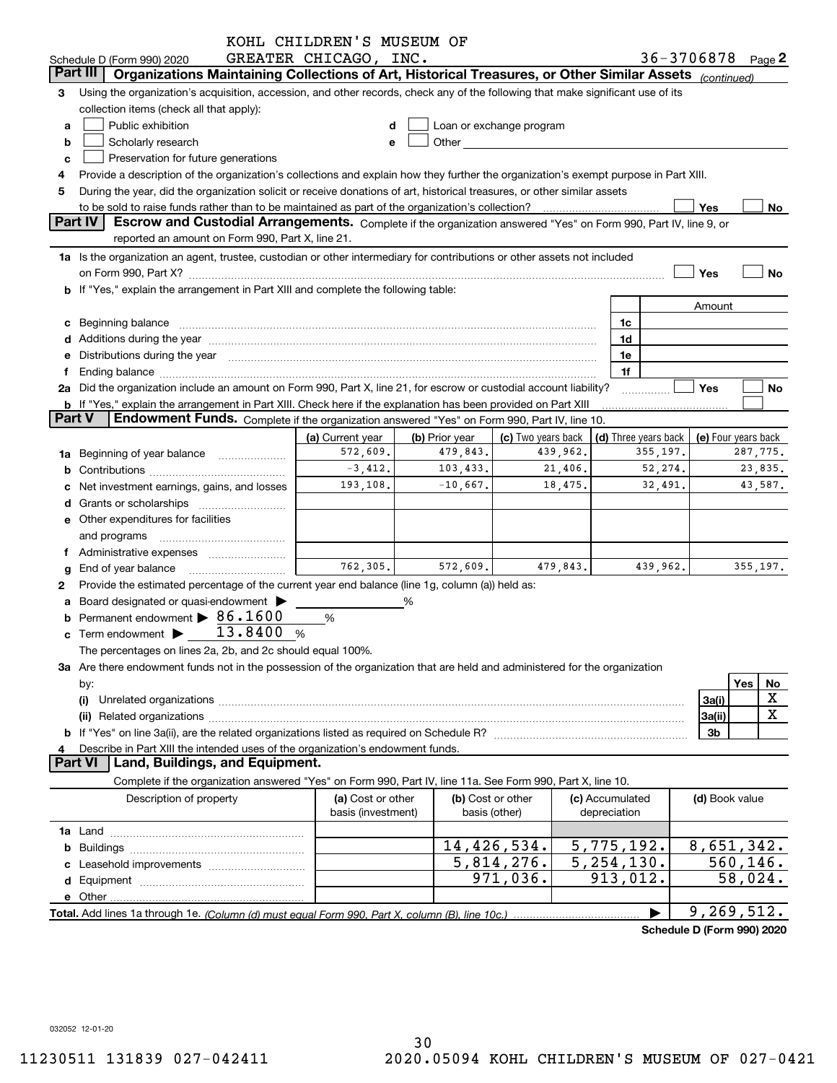|               |                                                                                                                                                                                                                                | KOHL CHILDREN'S MUSEUM OF |                |                                                                                                                                                                                                                               |          |                                              |          |                            |           |         |
|---------------|--------------------------------------------------------------------------------------------------------------------------------------------------------------------------------------------------------------------------------|---------------------------|----------------|-------------------------------------------------------------------------------------------------------------------------------------------------------------------------------------------------------------------------------|----------|----------------------------------------------|----------|----------------------------|-----------|---------|
|               | Schedule D (Form 990) 2020                                                                                                                                                                                                     | GREATER CHICAGO, INC.     |                |                                                                                                                                                                                                                               |          |                                              |          | 36-3706878 Page 2          |           |         |
|               | Part III<br>Organizations Maintaining Collections of Art, Historical Treasures, or Other Similar Assets (continued)                                                                                                            |                           |                |                                                                                                                                                                                                                               |          |                                              |          |                            |           |         |
| з             | Using the organization's acquisition, accession, and other records, check any of the following that make significant use of its                                                                                                |                           |                |                                                                                                                                                                                                                               |          |                                              |          |                            |           |         |
|               | collection items (check all that apply):                                                                                                                                                                                       |                           |                |                                                                                                                                                                                                                               |          |                                              |          |                            |           |         |
| a             | Public exhibition                                                                                                                                                                                                              |                           |                | Loan or exchange program                                                                                                                                                                                                      |          |                                              |          |                            |           |         |
| b             | Scholarly research                                                                                                                                                                                                             | е                         |                | Other and the contract of the contract of the contract of the contract of the contract of the contract of the contract of the contract of the contract of the contract of the contract of the contract of the contract of the |          |                                              |          |                            |           |         |
| c             | Preservation for future generations                                                                                                                                                                                            |                           |                |                                                                                                                                                                                                                               |          |                                              |          |                            |           |         |
|               | Provide a description of the organization's collections and explain how they further the organization's exempt purpose in Part XIII.                                                                                           |                           |                |                                                                                                                                                                                                                               |          |                                              |          |                            |           |         |
| 5             | During the year, did the organization solicit or receive donations of art, historical treasures, or other similar assets                                                                                                       |                           |                |                                                                                                                                                                                                                               |          |                                              |          |                            |           |         |
|               |                                                                                                                                                                                                                                |                           |                |                                                                                                                                                                                                                               |          |                                              |          | Yes                        |           | No      |
|               | <b>Part IV</b><br>Escrow and Custodial Arrangements. Complete if the organization answered "Yes" on Form 990, Part IV, line 9, or                                                                                              |                           |                |                                                                                                                                                                                                                               |          |                                              |          |                            |           |         |
|               | reported an amount on Form 990, Part X, line 21.                                                                                                                                                                               |                           |                |                                                                                                                                                                                                                               |          |                                              |          |                            |           |         |
|               | 1a Is the organization an agent, trustee, custodian or other intermediary for contributions or other assets not included                                                                                                       |                           |                |                                                                                                                                                                                                                               |          |                                              |          |                            |           |         |
|               | on Form 990, Part X? [11] matter continuum matter contract to the contract of the contract of the contract of the contract of the contract of the contract of the contract of the contract of the contract of the contract of  |                           |                |                                                                                                                                                                                                                               |          |                                              |          | Yes                        |           | No      |
|               | b If "Yes," explain the arrangement in Part XIII and complete the following table:                                                                                                                                             |                           |                |                                                                                                                                                                                                                               |          |                                              |          |                            |           |         |
|               |                                                                                                                                                                                                                                |                           |                |                                                                                                                                                                                                                               |          |                                              |          | Amount                     |           |         |
|               | c Beginning balance entrance and the contract of the balance of the contract of the contract of the contract of the contract of the contract of the contract of the contract of the contract of the contract of the contract o |                           |                |                                                                                                                                                                                                                               |          | 1c                                           |          |                            |           |         |
|               |                                                                                                                                                                                                                                |                           |                |                                                                                                                                                                                                                               |          | 1d                                           |          |                            |           |         |
|               | e Distributions during the year manufactured and continuum and contract the year manufactured and contract the                                                                                                                 |                           |                |                                                                                                                                                                                                                               |          | 1e                                           |          |                            |           |         |
| Ť.            |                                                                                                                                                                                                                                |                           |                |                                                                                                                                                                                                                               |          | 1f                                           |          |                            |           |         |
|               | 2a Did the organization include an amount on Form 990, Part X, line 21, for escrow or custodial account liability?                                                                                                             |                           |                |                                                                                                                                                                                                                               |          |                                              |          | Yes                        |           | No      |
|               | <b>b</b> If "Yes," explain the arrangement in Part XIII. Check here if the explanation has been provided on Part XIII                                                                                                          |                           |                |                                                                                                                                                                                                                               |          |                                              |          |                            |           |         |
| <b>Part V</b> | Endowment Funds. Complete if the organization answered "Yes" on Form 990, Part IV, line 10.                                                                                                                                    |                           |                |                                                                                                                                                                                                                               |          |                                              |          |                            |           |         |
|               |                                                                                                                                                                                                                                | (a) Current year          | (b) Prior year | (c) Two years back                                                                                                                                                                                                            |          | (d) Three years back $ $ (e) Four years back |          |                            |           |         |
|               |                                                                                                                                                                                                                                | 572,609.                  | 479,843.       |                                                                                                                                                                                                                               | 439,962. |                                              | 355,197. |                            | 287,775.  |         |
|               | 1a Beginning of year balance                                                                                                                                                                                                   | $-3,412.$                 | 103, 433.      |                                                                                                                                                                                                                               | 21,406.  |                                              | 52,274.  |                            |           | 23,835. |
|               |                                                                                                                                                                                                                                | 193,108.                  | $-10,667.$     |                                                                                                                                                                                                                               | 18,475.  |                                              | 32,491.  |                            |           | 43,587. |
|               | c Net investment earnings, gains, and losses                                                                                                                                                                                   |                           |                |                                                                                                                                                                                                                               |          |                                              |          |                            |           |         |
|               |                                                                                                                                                                                                                                |                           |                |                                                                                                                                                                                                                               |          |                                              |          |                            |           |         |
|               | e Other expenditures for facilities                                                                                                                                                                                            |                           |                |                                                                                                                                                                                                                               |          |                                              |          |                            |           |         |
|               | and programs                                                                                                                                                                                                                   |                           |                |                                                                                                                                                                                                                               |          |                                              |          |                            |           |         |
|               | f Administrative expenses <i>manually</i> and the Administrative expenses                                                                                                                                                      |                           |                |                                                                                                                                                                                                                               |          |                                              |          |                            |           |         |
|               | g End of year balance                                                                                                                                                                                                          | 762.305.                  | 572,609.       |                                                                                                                                                                                                                               | 479,843. |                                              | 439,962. |                            | 355, 197. |         |
| 2             | Provide the estimated percentage of the current year end balance (line 1g, column (a)) held as:                                                                                                                                |                           |                |                                                                                                                                                                                                                               |          |                                              |          |                            |           |         |
|               | a Board designated or quasi-endowment >                                                                                                                                                                                        |                           | %              |                                                                                                                                                                                                                               |          |                                              |          |                            |           |         |
|               | Permanent endowment $\triangleright$ 86.1600                                                                                                                                                                                   | %                         |                |                                                                                                                                                                                                                               |          |                                              |          |                            |           |         |
|               | c Term endowment $\blacktriangleright$ 13.8400                                                                                                                                                                                 | %                         |                |                                                                                                                                                                                                                               |          |                                              |          |                            |           |         |
|               | The percentages on lines 2a, 2b, and 2c should equal 100%.                                                                                                                                                                     |                           |                |                                                                                                                                                                                                                               |          |                                              |          |                            |           |         |
|               | 3a Are there endowment funds not in the possession of the organization that are held and administered for the organization                                                                                                     |                           |                |                                                                                                                                                                                                                               |          |                                              |          |                            |           |         |
|               | by:                                                                                                                                                                                                                            |                           |                |                                                                                                                                                                                                                               |          |                                              |          |                            | Yes       | No      |
|               | (i)                                                                                                                                                                                                                            |                           |                |                                                                                                                                                                                                                               |          |                                              |          | 3a(i)                      |           | X       |
|               |                                                                                                                                                                                                                                |                           |                |                                                                                                                                                                                                                               |          |                                              |          | 3a(ii)                     |           | X       |
|               |                                                                                                                                                                                                                                |                           |                |                                                                                                                                                                                                                               |          |                                              |          | 3b                         |           |         |
| 4             | Describe in Part XIII the intended uses of the organization's endowment funds.                                                                                                                                                 |                           |                |                                                                                                                                                                                                                               |          |                                              |          |                            |           |         |
|               | Land, Buildings, and Equipment.<br><b>Part VI</b>                                                                                                                                                                              |                           |                |                                                                                                                                                                                                                               |          |                                              |          |                            |           |         |
|               | Complete if the organization answered "Yes" on Form 990, Part IV, line 11a. See Form 990, Part X, line 10.                                                                                                                     |                           |                |                                                                                                                                                                                                                               |          |                                              |          |                            |           |         |
|               | Description of property                                                                                                                                                                                                        | (a) Cost or other         |                | (b) Cost or other                                                                                                                                                                                                             |          | (c) Accumulated                              |          | (d) Book value             |           |         |
|               |                                                                                                                                                                                                                                | basis (investment)        |                | basis (other)                                                                                                                                                                                                                 |          | depreciation                                 |          |                            |           |         |
|               |                                                                                                                                                                                                                                |                           |                |                                                                                                                                                                                                                               |          |                                              |          |                            |           |         |
|               |                                                                                                                                                                                                                                |                           |                |                                                                                                                                                                                                                               |          |                                              |          |                            |           |         |
|               |                                                                                                                                                                                                                                |                           |                | 14,426,534.                                                                                                                                                                                                                   |          | 5,775,192.                                   |          | 8,651,342.                 |           |         |
|               |                                                                                                                                                                                                                                |                           |                | 5,814,276.                                                                                                                                                                                                                    |          | 5, 254, 130.                                 |          |                            | 560, 146. |         |
|               |                                                                                                                                                                                                                                |                           |                | 971,036.                                                                                                                                                                                                                      |          | 913,012.                                     |          |                            | 58,024.   |         |
|               |                                                                                                                                                                                                                                |                           |                |                                                                                                                                                                                                                               |          |                                              |          |                            |           |         |
|               |                                                                                                                                                                                                                                |                           |                |                                                                                                                                                                                                                               |          |                                              |          | 9, 269, 512.               |           |         |
|               |                                                                                                                                                                                                                                |                           |                |                                                                                                                                                                                                                               |          |                                              |          | Schedule D (Form 990) 2020 |           |         |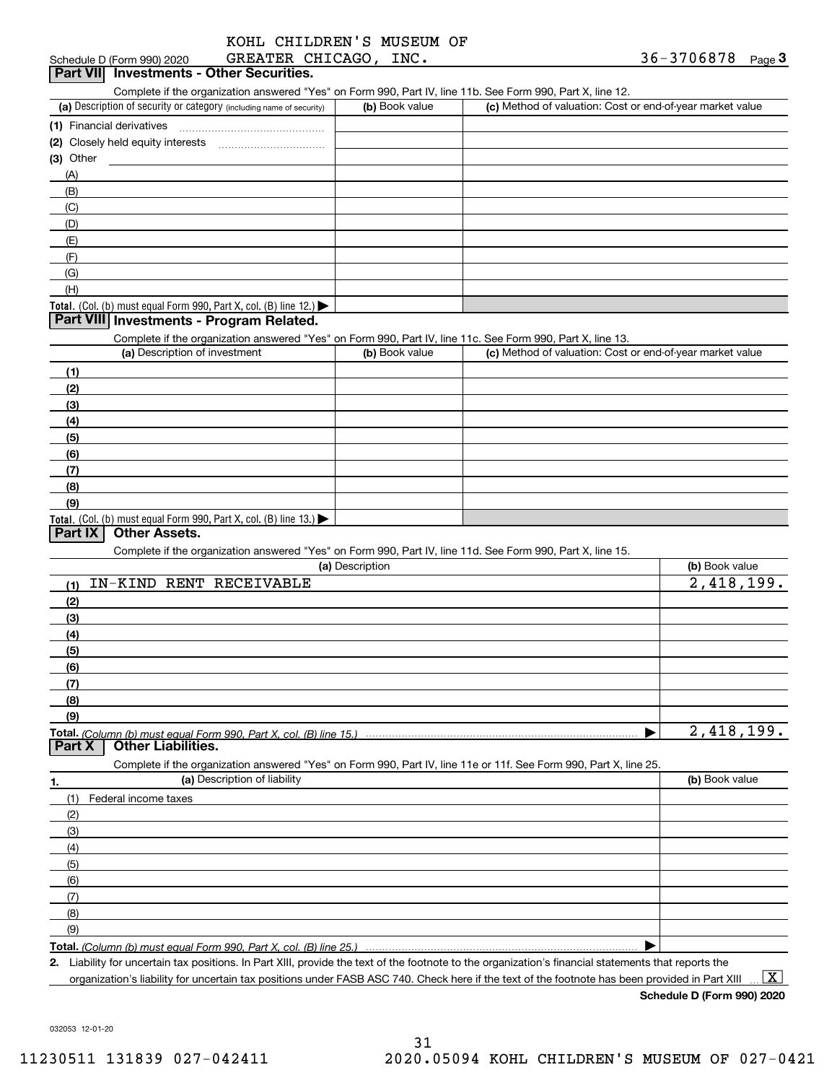| KOHL CHILDREN'S MUSEUM OF |  |
|---------------------------|--|
| GREATER CHICAGO, INC.     |  |

#### Schedule D (Form 990) 2020 **Part VII Investments - Other Securities.**

Complete if the organization answered "Yes" on Form 990, Part IV, line 11b. See Form 990, Part X, line 12.

| (a) Description of security or category (including name of security)       | (b) Book value | (c) Method of valuation: Cost or end-of-year market value |
|----------------------------------------------------------------------------|----------------|-----------------------------------------------------------|
| (1) Financial derivatives                                                  |                |                                                           |
| (2) Closely held equity interests                                          |                |                                                           |
| $(3)$ Other                                                                |                |                                                           |
| (A)                                                                        |                |                                                           |
| (B)                                                                        |                |                                                           |
| (C)                                                                        |                |                                                           |
| (D)                                                                        |                |                                                           |
| (E)                                                                        |                |                                                           |
| (F)                                                                        |                |                                                           |
| (G)                                                                        |                |                                                           |
| (H)                                                                        |                |                                                           |
| <b>Total.</b> (Col. (b) must equal Form 990, Part X, col. (B) line $12$ .) |                |                                                           |

#### **Part VIII Investments - Program Related.**

Complete if the organization answered "Yes" on Form 990, Part IV, line 11c. See Form 990, Part X, line 13.

| (a) Description of investment                                    | (b) Book value | (c) Method of valuation: Cost or end-of-year market value |
|------------------------------------------------------------------|----------------|-----------------------------------------------------------|
| (1)                                                              |                |                                                           |
| (2)                                                              |                |                                                           |
| $\frac{1}{2}$                                                    |                |                                                           |
| (4)                                                              |                |                                                           |
| $\frac{1}{2}$                                                    |                |                                                           |
| (6)                                                              |                |                                                           |
| $\sqrt{(7)}$                                                     |                |                                                           |
| (8)                                                              |                |                                                           |
| (9)                                                              |                |                                                           |
| Total. (Col. (b) must equal Form 990, Part X, col. (B) line 13.) |                |                                                           |

### **Part IX Other Assets.**

Complete if the organization answered "Yes" on Form 990, Part IV, line 11d. See Form 990, Part X, line 15.

|     | (a) Description                                                                                                   | (b) Book value |
|-----|-------------------------------------------------------------------------------------------------------------------|----------------|
| (1) | IN-KIND<br>RENT RECEIVABLE                                                                                        | 2,418,199.     |
| (2) |                                                                                                                   |                |
| (3) |                                                                                                                   |                |
| (4) |                                                                                                                   |                |
| (5) |                                                                                                                   |                |
| (6) |                                                                                                                   |                |
| (7) |                                                                                                                   |                |
| (8) |                                                                                                                   |                |
| (9) |                                                                                                                   |                |
|     |                                                                                                                   | 2,418,199.     |
|     |                                                                                                                   |                |
|     | Complete if the organization answered "Yes" on Form 990, Part IV, line 11e or 11f. See Form 990, Part X, line 25. |                |
| 1.  | (a) Description of liability                                                                                      | (b) Book value |
| (1) | Federal income taxes                                                                                              |                |
| (2) |                                                                                                                   |                |
| (3) |                                                                                                                   |                |
| (4) |                                                                                                                   |                |
| (5) |                                                                                                                   |                |
| (6) |                                                                                                                   |                |
| (7) |                                                                                                                   |                |
| (8) |                                                                                                                   |                |
| (9) |                                                                                                                   |                |

**Total.**  *(Column (b) must equal Form 990, Part X, col. (B) line 25.)* 

**2.**Liability for uncertain tax positions. In Part XIII, provide the text of the footnote to the organization's financial statements that reports the organization's liability for uncertain tax positions under FASB ASC 740. Check here if the text of the footnote has been provided in Part XIII

 $\boxed{\text{X}}$ 

**Schedule D (Form 990) 2020**

 $\blacktriangleright$ 

032053 12-01-20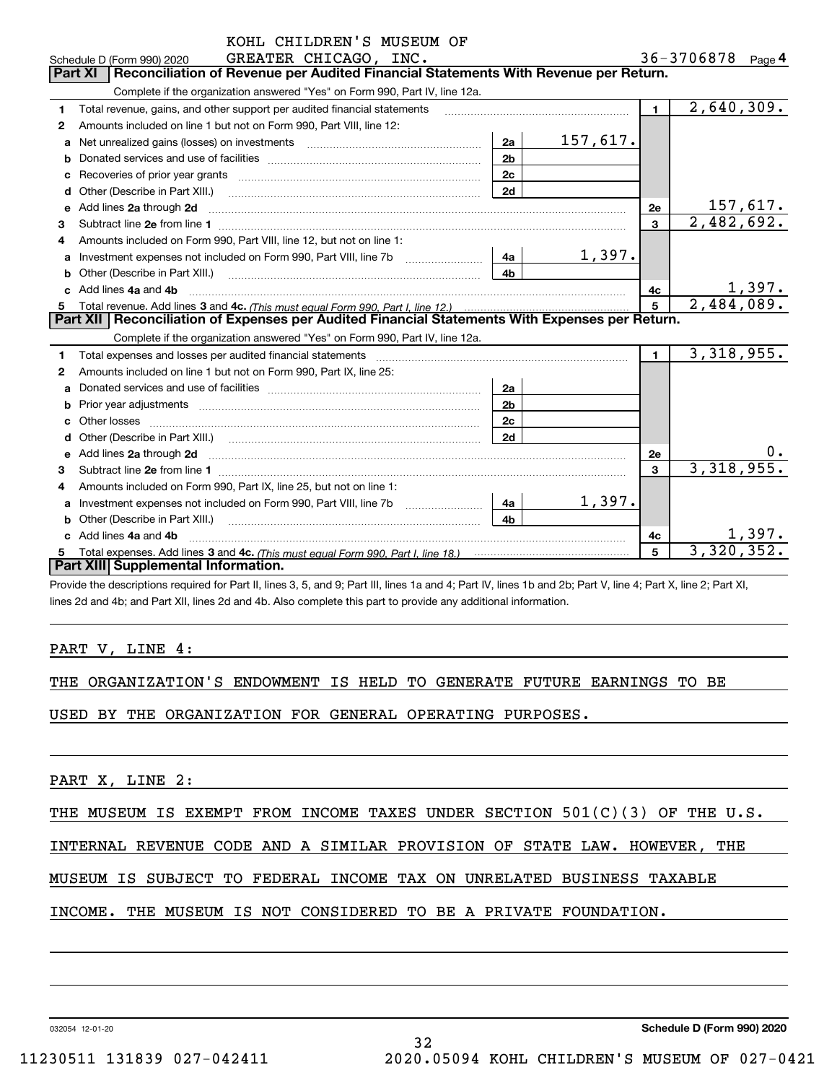|    | KOHL CHILDREN'S MUSEUM OF                                                                                                                                                                                                           |                |              |                |                   |          |  |  |
|----|-------------------------------------------------------------------------------------------------------------------------------------------------------------------------------------------------------------------------------------|----------------|--------------|----------------|-------------------|----------|--|--|
|    | GREATER CHICAGO, INC.<br>Schedule D (Form 990) 2020                                                                                                                                                                                 |                |              |                | 36-3706878 Page 4 |          |  |  |
|    | Reconciliation of Revenue per Audited Financial Statements With Revenue per Return.<br><b>Part XI</b>                                                                                                                               |                |              |                |                   |          |  |  |
|    | Complete if the organization answered "Yes" on Form 990, Part IV, line 12a.                                                                                                                                                         |                |              |                |                   |          |  |  |
| 1  | Total revenue, gains, and other support per audited financial statements                                                                                                                                                            |                | $\mathbf{1}$ | 2,640,309.     |                   |          |  |  |
| 2  | Amounts included on line 1 but not on Form 990, Part VIII, line 12:                                                                                                                                                                 |                |              |                |                   |          |  |  |
| a  |                                                                                                                                                                                                                                     | 2a             | 157,617.     |                |                   |          |  |  |
| b  |                                                                                                                                                                                                                                     | 2 <sub>b</sub> |              |                |                   |          |  |  |
| с  |                                                                                                                                                                                                                                     | 2c             |              |                |                   |          |  |  |
| d  |                                                                                                                                                                                                                                     | 2d             |              |                |                   |          |  |  |
| е  | Add lines 2a through 2d                                                                                                                                                                                                             |                |              | 2е             |                   | 157,617. |  |  |
| 3  |                                                                                                                                                                                                                                     |                |              | $\overline{3}$ | 2,482,692.        |          |  |  |
| 4  | Amounts included on Form 990, Part VIII, line 12, but not on line 1:                                                                                                                                                                |                |              |                |                   |          |  |  |
| a  | Investment expenses not included on Form 990, Part VIII, line 7b [1000000000000000000000000000000000                                                                                                                                | 4a l           | 1,397.       |                |                   |          |  |  |
| b  | Other (Describe in Part XIII.) <b>Construction</b> and the construction of the construction of the construction of the construction of the construction of the construction of the construction of the construction of the construc | 4b             |              |                |                   |          |  |  |
|    | Add lines 4a and 4b                                                                                                                                                                                                                 |                |              | 4с             |                   | 1,397.   |  |  |
| 5  |                                                                                                                                                                                                                                     | 5              | 2,484,089.   |                |                   |          |  |  |
|    | Part XII   Reconciliation of Expenses per Audited Financial Statements With Expenses per Return.                                                                                                                                    |                |              |                |                   |          |  |  |
|    | Complete if the organization answered "Yes" on Form 990, Part IV, line 12a.                                                                                                                                                         |                |              |                |                   |          |  |  |
| 1  | Total expenses and losses per audited financial statements [11] [11] Total expenses and losses per audited financial statements [11] [11] Total expenses and losses per audited financial statements                                |                |              | $\mathbf{1}$   | 3,318,955.        |          |  |  |
| 2  | Amounts included on line 1 but not on Form 990, Part IX, line 25:                                                                                                                                                                   |                |              |                |                   |          |  |  |
| a  |                                                                                                                                                                                                                                     | 2a             |              |                |                   |          |  |  |
|    |                                                                                                                                                                                                                                     | 2 <sub>b</sub> |              |                |                   |          |  |  |
| c. |                                                                                                                                                                                                                                     | 2c             |              |                |                   |          |  |  |
| d  |                                                                                                                                                                                                                                     | 2d             |              |                |                   |          |  |  |
| е  | Add lines 2a through 2d                                                                                                                                                                                                             |                |              | 2e             |                   | 0.       |  |  |
| 3  |                                                                                                                                                                                                                                     |                |              | $\overline{3}$ | 3,318,955.        |          |  |  |
| 4  | Amounts included on Form 990, Part IX, line 25, but not on line 1:                                                                                                                                                                  |                |              |                |                   |          |  |  |
| a  |                                                                                                                                                                                                                                     | 4a l           | 1,397.       |                |                   |          |  |  |
| b  | Other (Describe in Part XIII.) <b>Construction Contract Construction</b> Chemistry Chemistry Chemistry Chemistry Chemistry                                                                                                          | 4 <sub>h</sub> |              |                |                   |          |  |  |
|    | Add lines 4a and 4b                                                                                                                                                                                                                 |                |              | 4с             |                   | 1,397.   |  |  |
| 5  |                                                                                                                                                                                                                                     |                |              | 5              | 3,320,352.        |          |  |  |
|    | Part XIII Supplemental Information.                                                                                                                                                                                                 |                |              |                |                   |          |  |  |

Provide the descriptions required for Part II, lines 3, 5, and 9; Part III, lines 1a and 4; Part IV, lines 1b and 2b; Part V, line 4; Part X, line 2; Part XI, lines 2d and 4b; and Part XII, lines 2d and 4b. Also complete this part to provide any additional information.

#### PART V, LINE 4:

|  | THE ORGANIZATION'S ENDOWMENT IS HELD TO GENERATE FUTURE EARNINGS TO BE |  |  |  |  |  |  |  |  |  |
|--|------------------------------------------------------------------------|--|--|--|--|--|--|--|--|--|
|--|------------------------------------------------------------------------|--|--|--|--|--|--|--|--|--|

USED BY THE ORGANIZATION FOR GENERAL OPERATING PURPOSES.

PART X, LINE 2:

THE MUSEUM IS EXEMPT FROM INCOME TAXES UNDER SECTION 501(C)(3) OF THE U.S.

32

INTERNAL REVENUE CODE AND A SIMILAR PROVISION OF STATE LAW. HOWEVER, THE

MUSEUM IS SUBJECT TO FEDERAL INCOME TAX ON UNRELATED BUSINESS TAXABLE

INCOME. THE MUSEUM IS NOT CONSIDERED TO BE A PRIVATE FOUNDATION.

032054 12-01-20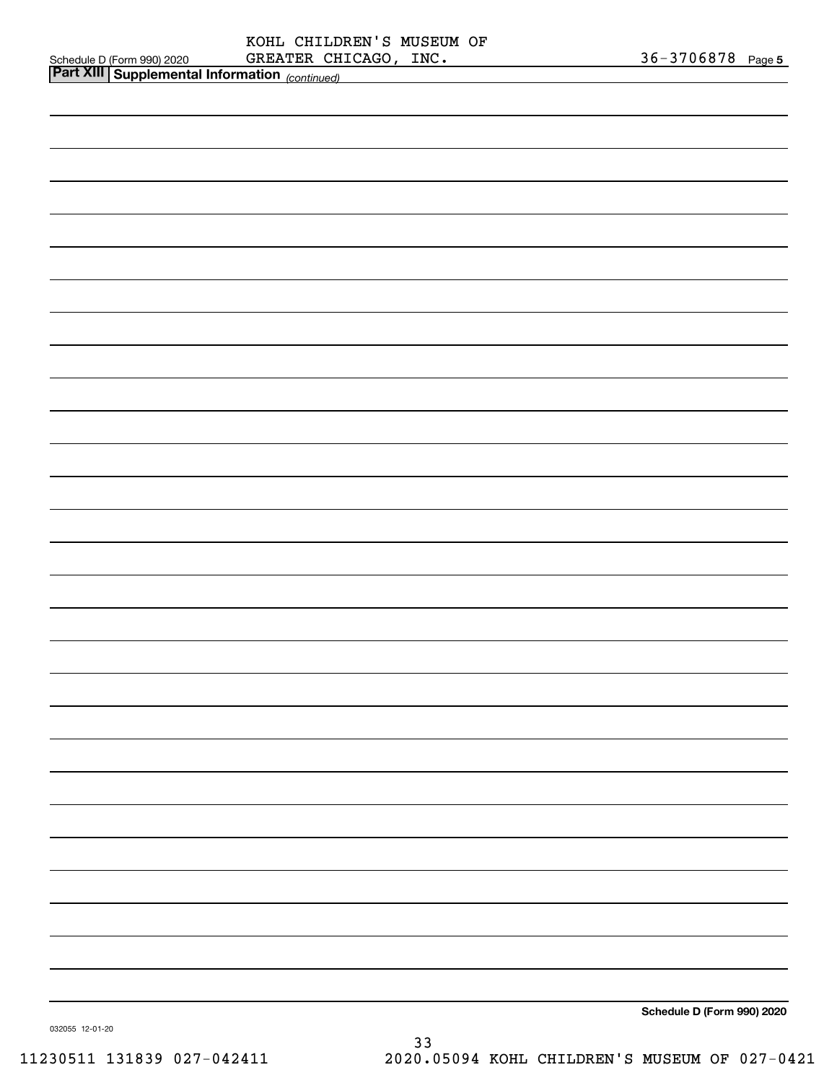|  |                                                                                                                            |  | <u>36-3706878 Page 5</u>   |  |
|--|----------------------------------------------------------------------------------------------------------------------------|--|----------------------------|--|
|  | Schedule D (Form 990) 2020     GREATER CHICAGO , INC <b>.</b><br>Part XIII Supplemental Information <sub>(continued)</sub> |  |                            |  |
|  |                                                                                                                            |  |                            |  |
|  |                                                                                                                            |  |                            |  |
|  |                                                                                                                            |  |                            |  |
|  |                                                                                                                            |  |                            |  |
|  |                                                                                                                            |  |                            |  |
|  |                                                                                                                            |  |                            |  |
|  |                                                                                                                            |  |                            |  |
|  |                                                                                                                            |  |                            |  |
|  |                                                                                                                            |  |                            |  |
|  |                                                                                                                            |  |                            |  |
|  |                                                                                                                            |  |                            |  |
|  |                                                                                                                            |  |                            |  |
|  |                                                                                                                            |  |                            |  |
|  |                                                                                                                            |  |                            |  |
|  |                                                                                                                            |  |                            |  |
|  |                                                                                                                            |  |                            |  |
|  |                                                                                                                            |  |                            |  |
|  |                                                                                                                            |  |                            |  |
|  |                                                                                                                            |  |                            |  |
|  |                                                                                                                            |  |                            |  |
|  |                                                                                                                            |  |                            |  |
|  |                                                                                                                            |  |                            |  |
|  |                                                                                                                            |  |                            |  |
|  |                                                                                                                            |  |                            |  |
|  |                                                                                                                            |  |                            |  |
|  |                                                                                                                            |  |                            |  |
|  |                                                                                                                            |  |                            |  |
|  |                                                                                                                            |  |                            |  |
|  |                                                                                                                            |  |                            |  |
|  |                                                                                                                            |  |                            |  |
|  |                                                                                                                            |  |                            |  |
|  |                                                                                                                            |  |                            |  |
|  |                                                                                                                            |  |                            |  |
|  |                                                                                                                            |  |                            |  |
|  |                                                                                                                            |  |                            |  |
|  |                                                                                                                            |  |                            |  |
|  |                                                                                                                            |  |                            |  |
|  |                                                                                                                            |  |                            |  |
|  |                                                                                                                            |  |                            |  |
|  |                                                                                                                            |  |                            |  |
|  |                                                                                                                            |  |                            |  |
|  |                                                                                                                            |  |                            |  |
|  |                                                                                                                            |  |                            |  |
|  |                                                                                                                            |  |                            |  |
|  |                                                                                                                            |  |                            |  |
|  |                                                                                                                            |  |                            |  |
|  |                                                                                                                            |  |                            |  |
|  |                                                                                                                            |  |                            |  |
|  |                                                                                                                            |  |                            |  |
|  |                                                                                                                            |  |                            |  |
|  |                                                                                                                            |  |                            |  |
|  |                                                                                                                            |  |                            |  |
|  |                                                                                                                            |  |                            |  |
|  |                                                                                                                            |  |                            |  |
|  |                                                                                                                            |  |                            |  |
|  |                                                                                                                            |  |                            |  |
|  |                                                                                                                            |  |                            |  |
|  |                                                                                                                            |  |                            |  |
|  |                                                                                                                            |  |                            |  |
|  |                                                                                                                            |  |                            |  |
|  |                                                                                                                            |  |                            |  |
|  |                                                                                                                            |  | Cabadule D (Faum 000) 0000 |  |

**Schedule D (Form 990) 2020**

032055 12-01-20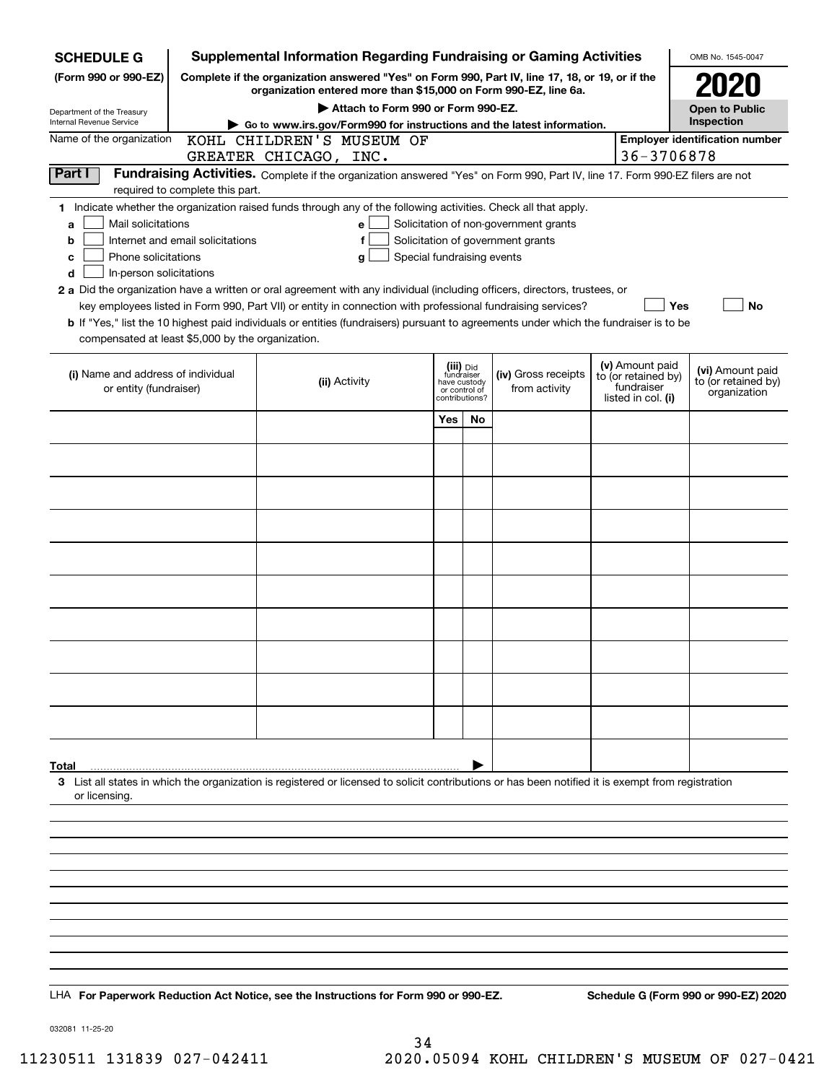| <b>SCHEDULE G</b>                                                                                                                             |                                                                                                 | <b>Supplemental Information Regarding Fundraising or Gaming Activities</b>                                                                                                                                                                                                                                                                                                                                                                                                                                                  |                                |                                          |                                                                            |  |                                                                            | OMB No. 1545-0047                                       |
|-----------------------------------------------------------------------------------------------------------------------------------------------|-------------------------------------------------------------------------------------------------|-----------------------------------------------------------------------------------------------------------------------------------------------------------------------------------------------------------------------------------------------------------------------------------------------------------------------------------------------------------------------------------------------------------------------------------------------------------------------------------------------------------------------------|--------------------------------|------------------------------------------|----------------------------------------------------------------------------|--|----------------------------------------------------------------------------|---------------------------------------------------------|
| (Form 990 or 990-EZ)                                                                                                                          | Complete if the organization answered "Yes" on Form 990, Part IV, line 17, 18, or 19, or if the |                                                                                                                                                                                                                                                                                                                                                                                                                                                                                                                             |                                |                                          |                                                                            |  |                                                                            |                                                         |
|                                                                                                                                               | organization entered more than \$15,000 on Form 990-EZ, line 6a.                                |                                                                                                                                                                                                                                                                                                                                                                                                                                                                                                                             | <b>Open to Public</b>          |                                          |                                                                            |  |                                                                            |                                                         |
| Department of the Treasury<br>Internal Revenue Service                                                                                        |                                                                                                 | Attach to Form 990 or Form 990-EZ.<br>Go to www.irs.gov/Form990 for instructions and the latest information.                                                                                                                                                                                                                                                                                                                                                                                                                |                                |                                          |                                                                            |  |                                                                            | Inspection                                              |
| Name of the organization                                                                                                                      |                                                                                                 | KOHL CHILDREN'S MUSEUM OF                                                                                                                                                                                                                                                                                                                                                                                                                                                                                                   |                                |                                          |                                                                            |  | 36-3706878                                                                 | <b>Employer identification number</b>                   |
| Part I                                                                                                                                        |                                                                                                 | GREATER CHICAGO, INC.<br>Fundraising Activities. Complete if the organization answered "Yes" on Form 990, Part IV, line 17. Form 990-EZ filers are not                                                                                                                                                                                                                                                                                                                                                                      |                                |                                          |                                                                            |  |                                                                            |                                                         |
|                                                                                                                                               | required to complete this part.                                                                 |                                                                                                                                                                                                                                                                                                                                                                                                                                                                                                                             |                                |                                          |                                                                            |  |                                                                            |                                                         |
| Mail solicitations<br>a<br>b<br>Phone solicitations<br>с<br>In-person solicitations<br>d<br>compensated at least \$5,000 by the organization. | Internet and email solicitations                                                                | 1 Indicate whether the organization raised funds through any of the following activities. Check all that apply.<br>e<br>f<br>a<br>2 a Did the organization have a written or oral agreement with any individual (including officers, directors, trustees, or<br>key employees listed in Form 990, Part VII) or entity in connection with professional fundraising services?<br><b>b</b> If "Yes," list the 10 highest paid individuals or entities (fundraisers) pursuant to agreements under which the fundraiser is to be | Special fundraising events     |                                          | Solicitation of non-government grants<br>Solicitation of government grants |  | Yes                                                                        | No                                                      |
| (i) Name and address of individual<br>or entity (fundraiser)                                                                                  |                                                                                                 | (ii) Activity                                                                                                                                                                                                                                                                                                                                                                                                                                                                                                               | have custody<br>contributions? | (iii) Did<br>fundraiser<br>or control of | (iv) Gross receipts<br>from activity                                       |  | (v) Amount paid<br>to (or retained by)<br>fundraiser<br>listed in col. (i) | (vi) Amount paid<br>to (or retained by)<br>organization |
|                                                                                                                                               |                                                                                                 |                                                                                                                                                                                                                                                                                                                                                                                                                                                                                                                             | Yes                            | <b>No</b>                                |                                                                            |  |                                                                            |                                                         |
|                                                                                                                                               |                                                                                                 |                                                                                                                                                                                                                                                                                                                                                                                                                                                                                                                             |                                |                                          |                                                                            |  |                                                                            |                                                         |
|                                                                                                                                               |                                                                                                 |                                                                                                                                                                                                                                                                                                                                                                                                                                                                                                                             |                                |                                          |                                                                            |  |                                                                            |                                                         |
|                                                                                                                                               |                                                                                                 |                                                                                                                                                                                                                                                                                                                                                                                                                                                                                                                             |                                |                                          |                                                                            |  |                                                                            |                                                         |
|                                                                                                                                               |                                                                                                 |                                                                                                                                                                                                                                                                                                                                                                                                                                                                                                                             |                                |                                          |                                                                            |  |                                                                            |                                                         |
|                                                                                                                                               |                                                                                                 |                                                                                                                                                                                                                                                                                                                                                                                                                                                                                                                             |                                |                                          |                                                                            |  |                                                                            |                                                         |
|                                                                                                                                               |                                                                                                 |                                                                                                                                                                                                                                                                                                                                                                                                                                                                                                                             |                                |                                          |                                                                            |  |                                                                            |                                                         |
|                                                                                                                                               |                                                                                                 |                                                                                                                                                                                                                                                                                                                                                                                                                                                                                                                             |                                |                                          |                                                                            |  |                                                                            |                                                         |
|                                                                                                                                               |                                                                                                 |                                                                                                                                                                                                                                                                                                                                                                                                                                                                                                                             |                                |                                          |                                                                            |  |                                                                            |                                                         |
|                                                                                                                                               |                                                                                                 |                                                                                                                                                                                                                                                                                                                                                                                                                                                                                                                             |                                |                                          |                                                                            |  |                                                                            |                                                         |
|                                                                                                                                               |                                                                                                 |                                                                                                                                                                                                                                                                                                                                                                                                                                                                                                                             |                                |                                          |                                                                            |  |                                                                            |                                                         |
|                                                                                                                                               |                                                                                                 |                                                                                                                                                                                                                                                                                                                                                                                                                                                                                                                             |                                |                                          |                                                                            |  |                                                                            |                                                         |
| Total<br>or licensing.                                                                                                                        |                                                                                                 | 3 List all states in which the organization is registered or licensed to solicit contributions or has been notified it is exempt from registration                                                                                                                                                                                                                                                                                                                                                                          |                                |                                          |                                                                            |  |                                                                            |                                                         |
|                                                                                                                                               |                                                                                                 |                                                                                                                                                                                                                                                                                                                                                                                                                                                                                                                             |                                |                                          |                                                                            |  |                                                                            |                                                         |
|                                                                                                                                               |                                                                                                 |                                                                                                                                                                                                                                                                                                                                                                                                                                                                                                                             |                                |                                          |                                                                            |  |                                                                            |                                                         |
|                                                                                                                                               |                                                                                                 |                                                                                                                                                                                                                                                                                                                                                                                                                                                                                                                             |                                |                                          |                                                                            |  |                                                                            |                                                         |
|                                                                                                                                               |                                                                                                 |                                                                                                                                                                                                                                                                                                                                                                                                                                                                                                                             |                                |                                          |                                                                            |  |                                                                            |                                                         |
|                                                                                                                                               |                                                                                                 |                                                                                                                                                                                                                                                                                                                                                                                                                                                                                                                             |                                |                                          |                                                                            |  |                                                                            |                                                         |
|                                                                                                                                               |                                                                                                 |                                                                                                                                                                                                                                                                                                                                                                                                                                                                                                                             |                                |                                          |                                                                            |  |                                                                            |                                                         |
|                                                                                                                                               |                                                                                                 |                                                                                                                                                                                                                                                                                                                                                                                                                                                                                                                             |                                |                                          |                                                                            |  |                                                                            |                                                         |
|                                                                                                                                               |                                                                                                 | LHA For Paperwork Reduction Act Notice, see the Instructions for Form 990 or 990-EZ.                                                                                                                                                                                                                                                                                                                                                                                                                                        |                                |                                          |                                                                            |  |                                                                            | Schedule G (Form 990 or 990-EZ) 2020                    |

032081 11-25-20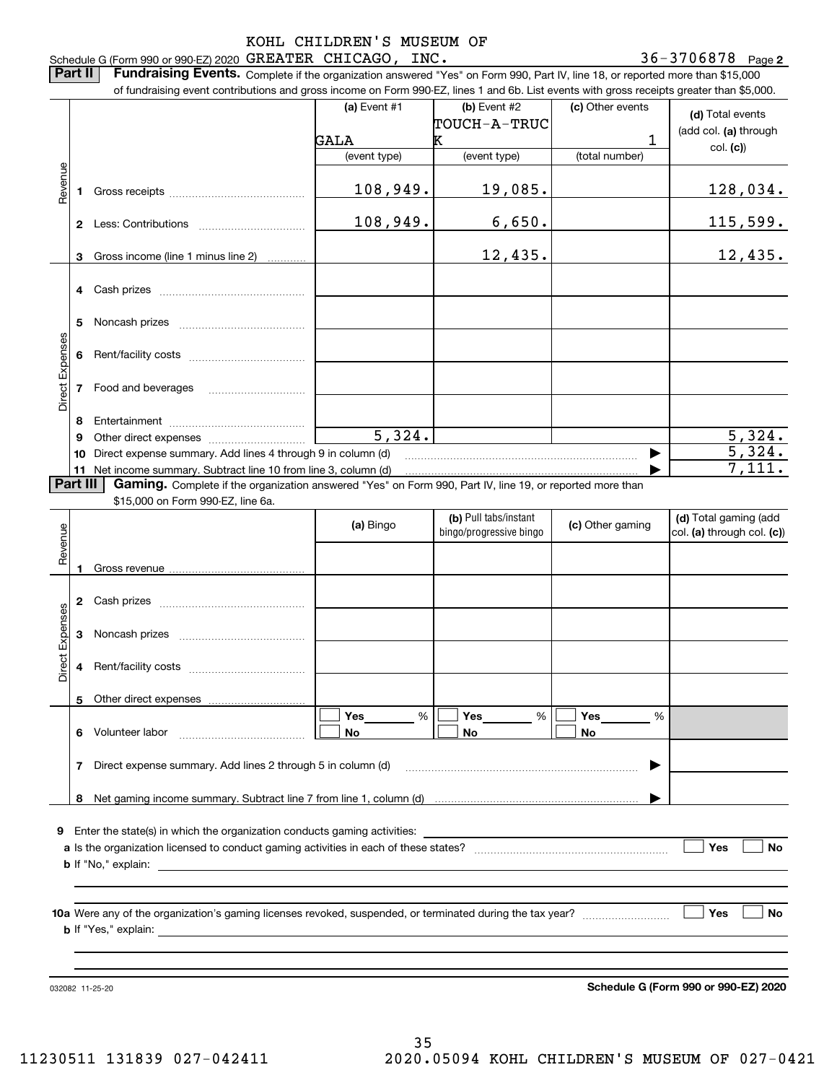**2** Schedule G (Form 990 or 990-EZ) 2020 Page GREATER CHICAGO, INC. 36-3706878

**Part II** | Fundraising Events. Complete if the organization answered "Yes" on Form 990, Part IV, line 18, or reported more than \$15,000 of fundraising event contributions and gross income on Form 990-EZ, lines 1 and 6b. List events with gross receipts greater than \$5,000.

|                 |          | .000.or rundraising event contributions and gross income on Form 990-EZ, lines 1 and 6b. List events with gross receipts greater than \$5,000. |                      |                         |                  |                                      |
|-----------------|----------|------------------------------------------------------------------------------------------------------------------------------------------------|----------------------|-------------------------|------------------|--------------------------------------|
|                 |          |                                                                                                                                                | (a) Event $#1$       | (b) Event $#2$          | (c) Other events | (d) Total events                     |
|                 |          |                                                                                                                                                |                      | TOUCH-A-TRUC            |                  |                                      |
|                 |          |                                                                                                                                                | GALA                 | Κ                       | 1                | (add col. (a) through                |
|                 |          |                                                                                                                                                | (event type)         | (event type)            | (total number)   | col. (c)                             |
|                 |          |                                                                                                                                                |                      |                         |                  |                                      |
| Revenue         |          |                                                                                                                                                |                      |                         |                  |                                      |
|                 | 1.       |                                                                                                                                                | 108,949.             | 19,085.                 |                  | 128,034.                             |
|                 |          |                                                                                                                                                |                      |                         |                  |                                      |
|                 |          |                                                                                                                                                | 108,949.             | 6,650.                  |                  | <u> 115,599.</u>                     |
|                 |          |                                                                                                                                                |                      |                         |                  |                                      |
|                 | 3        | Gross income (line 1 minus line 2)                                                                                                             |                      | 12,435.                 |                  | 12,435.                              |
|                 |          |                                                                                                                                                |                      |                         |                  |                                      |
|                 |          |                                                                                                                                                |                      |                         |                  |                                      |
|                 |          |                                                                                                                                                |                      |                         |                  |                                      |
|                 |          |                                                                                                                                                |                      |                         |                  |                                      |
|                 | 5        |                                                                                                                                                |                      |                         |                  |                                      |
|                 |          |                                                                                                                                                |                      |                         |                  |                                      |
|                 | 6        |                                                                                                                                                |                      |                         |                  |                                      |
|                 |          |                                                                                                                                                |                      |                         |                  |                                      |
|                 |          | 7 Food and beverages                                                                                                                           |                      |                         |                  |                                      |
| Direct Expenses |          |                                                                                                                                                |                      |                         |                  |                                      |
|                 | 8        |                                                                                                                                                |                      |                         |                  |                                      |
|                 | 9        |                                                                                                                                                | $\overline{5,324}$ . |                         |                  | 5,324.                               |
|                 |          |                                                                                                                                                |                      |                         |                  | $\overline{5}$ , 324.                |
|                 | 10       | Direct expense summary. Add lines 4 through 9 in column (d)                                                                                    |                      |                         |                  |                                      |
|                 |          | 11 Net income summary. Subtract line 10 from line 3, column (d)                                                                                |                      |                         |                  | 7,111.                               |
|                 | Part III | Gaming. Complete if the organization answered "Yes" on Form 990, Part IV, line 19, or reported more than                                       |                      |                         |                  |                                      |
|                 |          | \$15,000 on Form 990-EZ, line 6a.                                                                                                              |                      |                         |                  |                                      |
|                 |          |                                                                                                                                                | (a) Bingo            | (b) Pull tabs/instant   | (c) Other gaming | (d) Total gaming (add                |
| Revenue         |          |                                                                                                                                                |                      | bingo/progressive bingo |                  | col. (a) through col. (c))           |
|                 |          |                                                                                                                                                |                      |                         |                  |                                      |
|                 | 1        |                                                                                                                                                |                      |                         |                  |                                      |
|                 |          |                                                                                                                                                |                      |                         |                  |                                      |
|                 |          |                                                                                                                                                |                      |                         |                  |                                      |
|                 |          |                                                                                                                                                |                      |                         |                  |                                      |
|                 |          |                                                                                                                                                |                      |                         |                  |                                      |
| Direct Expenses | 3        |                                                                                                                                                |                      |                         |                  |                                      |
|                 |          |                                                                                                                                                |                      |                         |                  |                                      |
|                 | 4        |                                                                                                                                                |                      |                         |                  |                                      |
|                 |          |                                                                                                                                                |                      |                         |                  |                                      |
|                 |          | 5 Other direct expenses                                                                                                                        |                      |                         |                  |                                      |
|                 |          |                                                                                                                                                | Yes<br>$\%$          | Yes<br>%                | Yes<br>%         |                                      |
|                 | 6.       | Volunteer labor                                                                                                                                | No                   | No                      | No               |                                      |
|                 |          |                                                                                                                                                |                      |                         |                  |                                      |
|                 |          |                                                                                                                                                |                      |                         |                  |                                      |
|                 | 7        | Direct expense summary. Add lines 2 through 5 in column (d)                                                                                    |                      |                         |                  |                                      |
|                 |          |                                                                                                                                                |                      |                         |                  |                                      |
|                 |          |                                                                                                                                                |                      |                         |                  |                                      |
|                 |          |                                                                                                                                                |                      |                         |                  |                                      |
|                 |          | <b>9</b> Enter the state(s) in which the organization conducts gaming activities:                                                              |                      |                         |                  |                                      |
|                 |          |                                                                                                                                                |                      |                         |                  | Yes<br>No                            |
|                 |          |                                                                                                                                                |                      |                         |                  |                                      |
|                 |          |                                                                                                                                                |                      |                         |                  |                                      |
|                 |          |                                                                                                                                                |                      |                         |                  |                                      |
|                 |          |                                                                                                                                                |                      |                         |                  |                                      |
|                 |          |                                                                                                                                                |                      |                         |                  | <b>Yes</b><br>No                     |
|                 |          | <b>b</b> If "Yes," explain:                                                                                                                    |                      |                         |                  |                                      |
|                 |          |                                                                                                                                                |                      |                         |                  |                                      |
|                 |          |                                                                                                                                                |                      |                         |                  |                                      |
|                 |          |                                                                                                                                                |                      |                         |                  |                                      |
|                 |          | 032082 11-25-20                                                                                                                                |                      |                         |                  | Schedule G (Form 990 or 990-EZ) 2020 |

**Schedule G (Form 990 or 990-EZ) 2020**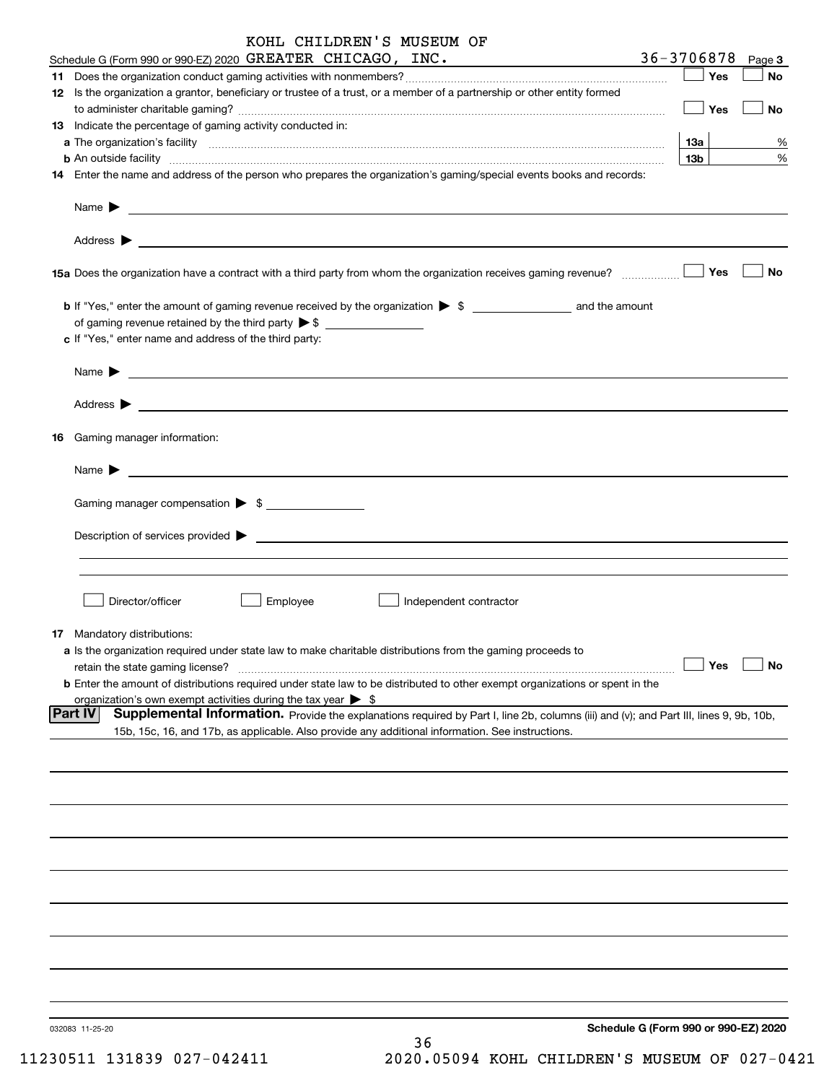|    | KOHL CHILDREN'S MUSEUM OF                                                                                                                                                                                                                 |                 |            |        |
|----|-------------------------------------------------------------------------------------------------------------------------------------------------------------------------------------------------------------------------------------------|-----------------|------------|--------|
|    | Schedule G (Form 990 or 990-EZ) 2020 GREATER CHICAGO, INC.                                                                                                                                                                                | 36-3706878      |            | Page 3 |
|    |                                                                                                                                                                                                                                           |                 | — ∣ Yes    | No     |
|    | 12 Is the organization a grantor, beneficiary or trustee of a trust, or a member of a partnership or other entity formed                                                                                                                  |                 |            |        |
|    |                                                                                                                                                                                                                                           |                 | $\Box$ Yes | No     |
|    | 13 Indicate the percentage of gaming activity conducted in:                                                                                                                                                                               |                 |            |        |
|    |                                                                                                                                                                                                                                           | 13а             |            | %      |
|    | <b>b</b> An outside facility <b>contained and the contract of the contract of the contract of the contract of the contract of the contract of the contract of the contract of the contract of the contract of the contract of the con</b> | 13 <sub>b</sub> |            | %      |
|    | 14 Enter the name and address of the person who prepares the organization's gaming/special events books and records:                                                                                                                      |                 |            |        |
|    |                                                                                                                                                                                                                                           |                 |            |        |
|    |                                                                                                                                                                                                                                           |                 |            |        |
|    |                                                                                                                                                                                                                                           |                 |            | No     |
|    | <b>b</b> If "Yes," enter the amount of gaming revenue received by the organization $\triangleright$ \$                                                                                                                                    |                 |            |        |
|    |                                                                                                                                                                                                                                           |                 |            |        |
|    | c If "Yes," enter name and address of the third party:                                                                                                                                                                                    |                 |            |        |
|    |                                                                                                                                                                                                                                           |                 |            |        |
|    | Name $\blacktriangleright$ $\qquad \qquad$                                                                                                                                                                                                |                 |            |        |
|    |                                                                                                                                                                                                                                           |                 |            |        |
| 16 | Gaming manager information:                                                                                                                                                                                                               |                 |            |        |
|    | <u> 1989 - Andrea Stadt Britain, amerikansk politiker (</u><br>Name $\blacktriangleright$                                                                                                                                                 |                 |            |        |
|    | Gaming manager compensation > \$                                                                                                                                                                                                          |                 |            |        |
|    |                                                                                                                                                                                                                                           |                 |            |        |
|    | $\blacksquare$ Description of services provided $\blacktriangleright$                                                                                                                                                                     |                 |            |        |
|    |                                                                                                                                                                                                                                           |                 |            |        |
|    |                                                                                                                                                                                                                                           |                 |            |        |
|    | Director/officer<br>Employee<br>Independent contractor                                                                                                                                                                                    |                 |            |        |
|    | 17 Mandatory distributions:                                                                                                                                                                                                               |                 |            |        |
|    | a Is the organization required under state law to make charitable distributions from the gaming proceeds to                                                                                                                               |                 |            |        |
|    | retain the state gaming license?                                                                                                                                                                                                          |                 | Yes        | No     |
|    | <b>b</b> Enter the amount of distributions required under state law to be distributed to other exempt organizations or spent in the                                                                                                       |                 |            |        |
|    | organization's own exempt activities during the tax year $\triangleright$ \$                                                                                                                                                              |                 |            |        |
|    | Supplemental Information. Provide the explanations required by Part I, line 2b, columns (iii) and (v); and Part III, lines 9, 9b, 10b,<br><b>Part IV</b>                                                                                  |                 |            |        |
|    | 15b, 15c, 16, and 17b, as applicable. Also provide any additional information. See instructions.                                                                                                                                          |                 |            |        |
|    |                                                                                                                                                                                                                                           |                 |            |        |
|    |                                                                                                                                                                                                                                           |                 |            |        |
|    |                                                                                                                                                                                                                                           |                 |            |        |
|    |                                                                                                                                                                                                                                           |                 |            |        |
|    |                                                                                                                                                                                                                                           |                 |            |        |
|    |                                                                                                                                                                                                                                           |                 |            |        |
|    |                                                                                                                                                                                                                                           |                 |            |        |
|    |                                                                                                                                                                                                                                           |                 |            |        |
|    |                                                                                                                                                                                                                                           |                 |            |        |

36

032083 11-25-20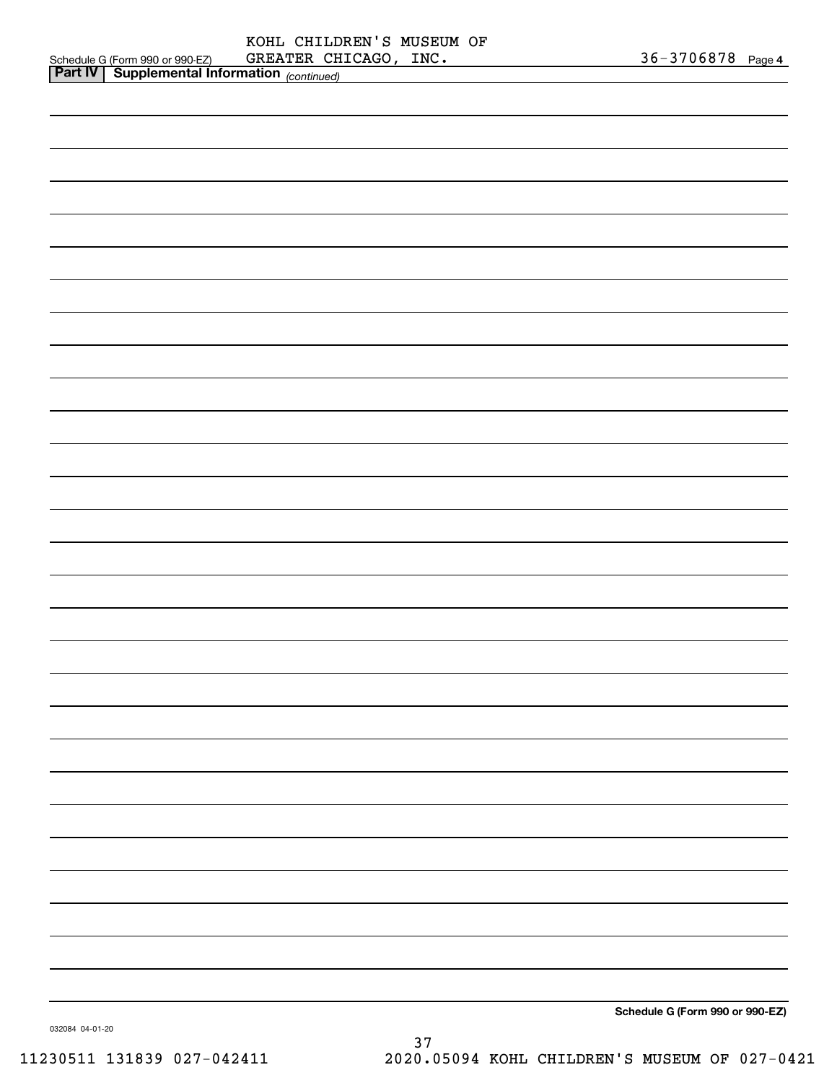| <b>Part IV   Supplemental Information</b> (continued) |                                 |
|-------------------------------------------------------|---------------------------------|
|                                                       |                                 |
|                                                       |                                 |
|                                                       |                                 |
|                                                       |                                 |
|                                                       |                                 |
|                                                       |                                 |
|                                                       |                                 |
|                                                       |                                 |
|                                                       |                                 |
|                                                       |                                 |
|                                                       |                                 |
|                                                       |                                 |
|                                                       |                                 |
|                                                       |                                 |
|                                                       |                                 |
|                                                       |                                 |
|                                                       |                                 |
|                                                       |                                 |
|                                                       |                                 |
|                                                       |                                 |
|                                                       |                                 |
|                                                       |                                 |
|                                                       |                                 |
|                                                       |                                 |
|                                                       |                                 |
|                                                       |                                 |
|                                                       |                                 |
|                                                       |                                 |
|                                                       |                                 |
|                                                       | Schedule G (Form 990 or 990-EZ) |

032084 04-01-20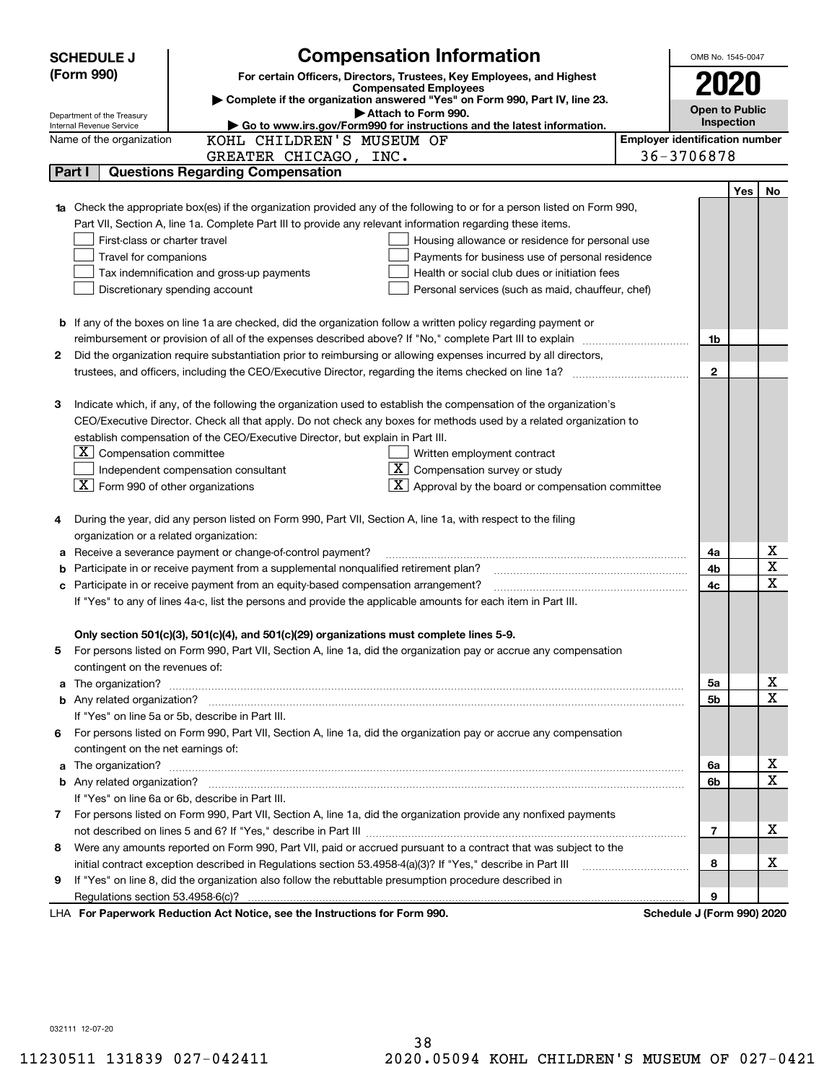|   | <b>SCHEDULE J</b>                                      | <b>Compensation Information</b>                                                                                                                                                                                                      | OMB No. 1545-0047                     |     |             |
|---|--------------------------------------------------------|--------------------------------------------------------------------------------------------------------------------------------------------------------------------------------------------------------------------------------------|---------------------------------------|-----|-------------|
|   | (Form 990)                                             | For certain Officers, Directors, Trustees, Key Employees, and Highest                                                                                                                                                                |                                       |     |             |
|   |                                                        | <b>Compensated Employees</b>                                                                                                                                                                                                         | 2020                                  |     |             |
|   |                                                        | Complete if the organization answered "Yes" on Form 990, Part IV, line 23.<br>Attach to Form 990.                                                                                                                                    | <b>Open to Public</b>                 |     |             |
|   | Department of the Treasury<br>Internal Revenue Service | Go to www.irs.gov/Form990 for instructions and the latest information.                                                                                                                                                               | Inspection                            |     |             |
|   | Name of the organization                               | KOHL CHILDREN'S MUSEUM OF                                                                                                                                                                                                            | <b>Employer identification number</b> |     |             |
|   |                                                        | GREATER CHICAGO, INC.                                                                                                                                                                                                                | 36-3706878                            |     |             |
|   | Part I                                                 | <b>Questions Regarding Compensation</b>                                                                                                                                                                                              |                                       |     |             |
|   |                                                        |                                                                                                                                                                                                                                      |                                       | Yes | No          |
|   |                                                        | Check the appropriate box(es) if the organization provided any of the following to or for a person listed on Form 990,                                                                                                               |                                       |     |             |
|   |                                                        | Part VII, Section A, line 1a. Complete Part III to provide any relevant information regarding these items.                                                                                                                           |                                       |     |             |
|   | First-class or charter travel                          | Housing allowance or residence for personal use                                                                                                                                                                                      |                                       |     |             |
|   | Travel for companions                                  | Payments for business use of personal residence                                                                                                                                                                                      |                                       |     |             |
|   |                                                        | Tax indemnification and gross-up payments<br>Health or social club dues or initiation fees                                                                                                                                           |                                       |     |             |
|   |                                                        | Discretionary spending account<br>Personal services (such as maid, chauffeur, chef)                                                                                                                                                  |                                       |     |             |
|   |                                                        |                                                                                                                                                                                                                                      |                                       |     |             |
|   |                                                        | <b>b</b> If any of the boxes on line 1a are checked, did the organization follow a written policy regarding payment or                                                                                                               |                                       |     |             |
|   |                                                        |                                                                                                                                                                                                                                      | 1b                                    |     |             |
| 2 |                                                        | Did the organization require substantiation prior to reimbursing or allowing expenses incurred by all directors,                                                                                                                     |                                       |     |             |
|   |                                                        |                                                                                                                                                                                                                                      | $\mathbf{2}$                          |     |             |
|   |                                                        |                                                                                                                                                                                                                                      |                                       |     |             |
| З |                                                        | Indicate which, if any, of the following the organization used to establish the compensation of the organization's                                                                                                                   |                                       |     |             |
|   |                                                        | CEO/Executive Director. Check all that apply. Do not check any boxes for methods used by a related organization to                                                                                                                   |                                       |     |             |
|   |                                                        | establish compensation of the CEO/Executive Director, but explain in Part III.                                                                                                                                                       |                                       |     |             |
|   | $ \mathbf{X} $ Compensation committee                  | Written employment contract                                                                                                                                                                                                          |                                       |     |             |
|   |                                                        | $\overline{X}$ Compensation survey or study<br>Independent compensation consultant                                                                                                                                                   |                                       |     |             |
|   | $ \mathbf{X} $ Form 990 of other organizations         | $\boxed{\textbf{X}}$ Approval by the board or compensation committee                                                                                                                                                                 |                                       |     |             |
|   |                                                        |                                                                                                                                                                                                                                      |                                       |     |             |
| 4 | organization or a related organization:                | During the year, did any person listed on Form 990, Part VII, Section A, line 1a, with respect to the filing                                                                                                                         |                                       |     |             |
|   |                                                        | Receive a severance payment or change-of-control payment?                                                                                                                                                                            | 4a                                    |     | х           |
| а |                                                        | Participate in or receive payment from a supplemental nonqualified retirement plan?                                                                                                                                                  | 4b                                    |     | X           |
|   |                                                        | Participate in or receive payment from an equity-based compensation arrangement?                                                                                                                                                     | 4c                                    |     | $\mathbf x$ |
|   |                                                        | If "Yes" to any of lines 4a-c, list the persons and provide the applicable amounts for each item in Part III.                                                                                                                        |                                       |     |             |
|   |                                                        |                                                                                                                                                                                                                                      |                                       |     |             |
|   |                                                        | Only section 501(c)(3), 501(c)(4), and 501(c)(29) organizations must complete lines 5-9.                                                                                                                                             |                                       |     |             |
|   |                                                        | For persons listed on Form 990, Part VII, Section A, line 1a, did the organization pay or accrue any compensation                                                                                                                    |                                       |     |             |
|   | contingent on the revenues of:                         |                                                                                                                                                                                                                                      |                                       |     |             |
| a |                                                        |                                                                                                                                                                                                                                      | 5a                                    |     | x           |
|   |                                                        |                                                                                                                                                                                                                                      | 5b                                    |     | $\mathbf X$ |
|   |                                                        | If "Yes" on line 5a or 5b, describe in Part III.                                                                                                                                                                                     |                                       |     |             |
|   |                                                        | 6 For persons listed on Form 990, Part VII, Section A, line 1a, did the organization pay or accrue any compensation                                                                                                                  |                                       |     |             |
|   | contingent on the net earnings of:                     |                                                                                                                                                                                                                                      |                                       |     |             |
| a |                                                        | The organization? <b>With the contract of the contract of the contract of the contract of the contract of the contract of the contract of the contract of the contract of the contract of the contract of the contract of the co</b> | 6a                                    |     | х           |
|   |                                                        |                                                                                                                                                                                                                                      | 6b                                    |     | $\mathbf X$ |
|   |                                                        | If "Yes" on line 6a or 6b, describe in Part III.                                                                                                                                                                                     |                                       |     |             |
|   |                                                        | 7 For persons listed on Form 990, Part VII, Section A, line 1a, did the organization provide any nonfixed payments                                                                                                                   |                                       |     |             |
|   |                                                        |                                                                                                                                                                                                                                      | 7                                     |     | х           |
| 8 |                                                        | Were any amounts reported on Form 990, Part VII, paid or accrued pursuant to a contract that was subject to the                                                                                                                      |                                       |     |             |
|   |                                                        | initial contract exception described in Regulations section 53.4958-4(a)(3)? If "Yes," describe in Part III                                                                                                                          | 8                                     |     | х           |
| 9 |                                                        | If "Yes" on line 8, did the organization also follow the rebuttable presumption procedure described in                                                                                                                               |                                       |     |             |
|   |                                                        |                                                                                                                                                                                                                                      | 9                                     |     |             |
|   |                                                        | LHA For Paperwork Reduction Act Notice, see the Instructions for Form 990.                                                                                                                                                           | Schedule J (Form 990) 2020            |     |             |

032111 12-07-20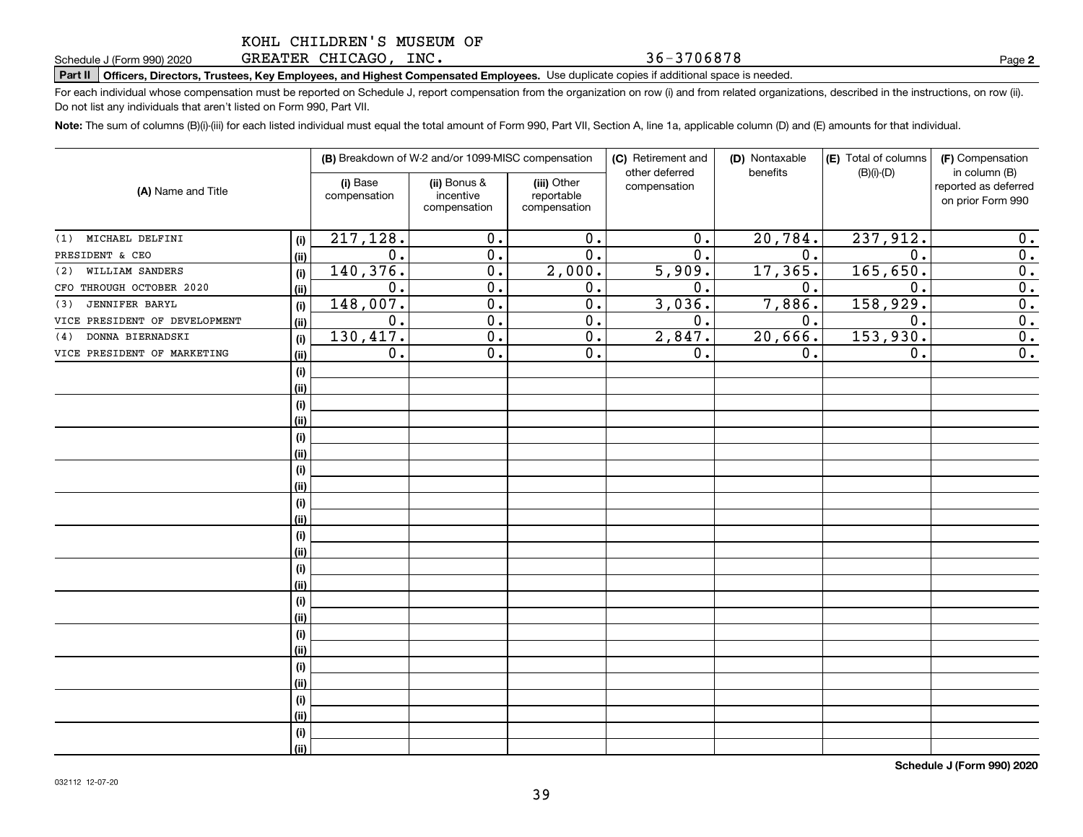GREATER CHICAGO, INC.

Schedule J (Form 990) 2020 GREATER CHICAGO **,** INC **. 5 b − 3 7 U b 8 7 8**<br>Part II │Officers, Directors, Trustees, Key Employees, and Highest Compensated Employees. Use duplicate copies if additional s

For each individual whose compensation must be reported on Schedule J, report compensation from the organization on row (i) and from related organizations, described in the instructions, on row (ii). Do not list any individuals that aren't listed on Form 990, Part VII.

36-3706878

**Note:**  The sum of columns (B)(i)-(iii) for each listed individual must equal the total amount of Form 990, Part VII, Section A, line 1a, applicable column (D) and (E) amounts for that individual.

|                               |             |                          | (B) Breakdown of W-2 and/or 1099-MISC compensation |                                           | (C) Retirement and<br>other deferred | (D) Nontaxable<br>benefits | (E) Total of columns<br>$(B)(i)-(D)$ | (F) Compensation<br>in column (B)         |
|-------------------------------|-------------|--------------------------|----------------------------------------------------|-------------------------------------------|--------------------------------------|----------------------------|--------------------------------------|-------------------------------------------|
| (A) Name and Title            |             | (i) Base<br>compensation | (ii) Bonus &<br>incentive<br>compensation          | (iii) Other<br>reportable<br>compensation | compensation                         |                            |                                      | reported as deferred<br>on prior Form 990 |
| MICHAEL DELFINI<br>(1)        | (i)         | 217,128.                 | 0.                                                 | 0.                                        | 0.                                   | 20,784.                    | 237,912.                             | 0.                                        |
| PRESIDENT & CEO               | (ii)        | 0.                       | 0.                                                 | 0.                                        | 0.                                   | 0.                         | $\mathbf 0$                          | 0.                                        |
| WILLIAM SANDERS<br>(2)        | (i)         | 140,376.                 | 0.                                                 | 2,000.                                    | 5,909.                               | 17,365.                    | 165,650.                             | 0.                                        |
| CFO THROUGH OCTOBER 2020      | (ii)        | 0.                       | 0.                                                 | 0.                                        | 0.                                   | 0.                         | $\mathbf 0$ .                        | $\overline{0}$ .                          |
| <b>JENNIFER BARYL</b><br>(3)  | (i)         | 148,007.                 | 0.                                                 | 0.                                        | 3,036.                               | 7,886.                     | 158,929.                             | $\overline{0}$ .                          |
| VICE PRESIDENT OF DEVELOPMENT | (ii)        | $0$ .                    | 0.                                                 | 0.                                        | 0.                                   | 0.                         | $\mathbf 0$ .                        | $\overline{0}$ .                          |
| DONNA BIERNADSKI<br>(4)       | (i)         | 130, 417.                | 0.                                                 | 0.                                        | 2,847.                               | 20,666.                    | 153,930.                             | $\overline{0}$ .                          |
| VICE PRESIDENT OF MARKETING   | (ii)        | $0$ .                    | 0.                                                 | 0.                                        | 0.                                   | 0.                         | 0.                                   | $\overline{0}$ .                          |
|                               | (i)         |                          |                                                    |                                           |                                      |                            |                                      |                                           |
|                               | (ii)        |                          |                                                    |                                           |                                      |                            |                                      |                                           |
|                               | (i)         |                          |                                                    |                                           |                                      |                            |                                      |                                           |
|                               | (ii)        |                          |                                                    |                                           |                                      |                            |                                      |                                           |
|                               | (i)         |                          |                                                    |                                           |                                      |                            |                                      |                                           |
|                               | (ii)        |                          |                                                    |                                           |                                      |                            |                                      |                                           |
|                               | (i)         |                          |                                                    |                                           |                                      |                            |                                      |                                           |
|                               | (ii)        |                          |                                                    |                                           |                                      |                            |                                      |                                           |
|                               | (i)         |                          |                                                    |                                           |                                      |                            |                                      |                                           |
|                               | (ii)        |                          |                                                    |                                           |                                      |                            |                                      |                                           |
|                               | (i)         |                          |                                                    |                                           |                                      |                            |                                      |                                           |
|                               | (ii)        |                          |                                                    |                                           |                                      |                            |                                      |                                           |
|                               | (i)         |                          |                                                    |                                           |                                      |                            |                                      |                                           |
|                               | (ii)        |                          |                                                    |                                           |                                      |                            |                                      |                                           |
|                               | (i)         |                          |                                                    |                                           |                                      |                            |                                      |                                           |
|                               | (ii)        |                          |                                                    |                                           |                                      |                            |                                      |                                           |
|                               | (i)         |                          |                                                    |                                           |                                      |                            |                                      |                                           |
|                               | (ii)        |                          |                                                    |                                           |                                      |                            |                                      |                                           |
|                               | (i)         |                          |                                                    |                                           |                                      |                            |                                      |                                           |
|                               | (ii)        |                          |                                                    |                                           |                                      |                            |                                      |                                           |
|                               | (i)<br>(ii) |                          |                                                    |                                           |                                      |                            |                                      |                                           |
|                               |             |                          |                                                    |                                           |                                      |                            |                                      |                                           |
|                               | (i)<br>(ii) |                          |                                                    |                                           |                                      |                            |                                      |                                           |
|                               |             |                          |                                                    |                                           |                                      |                            |                                      |                                           |

**Schedule J (Form 990) 2020**

**2**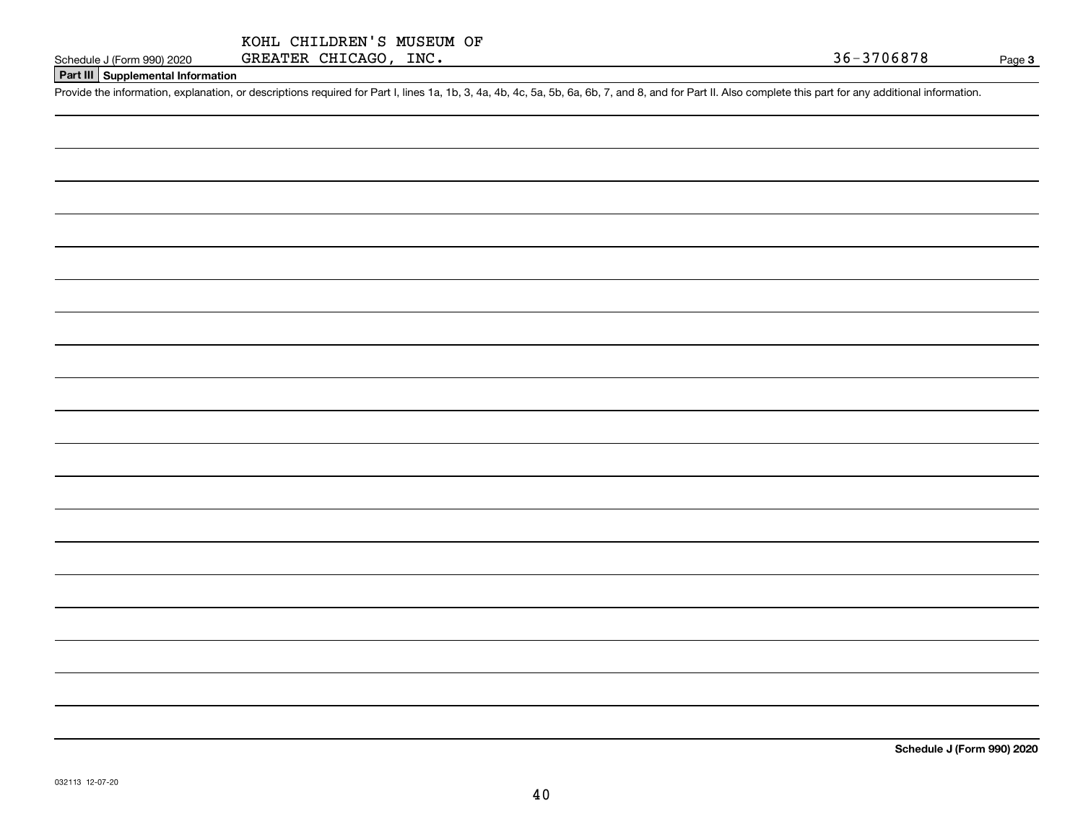# **Part III Supplemental Information**

Schedule J (Form 990) 2020 GREATER CHICAGO, INC.<br>Part III Supplemental Information<br>Provide the information, explanation, or descriptions required for Part I, lines 1a, 1b, 3, 4a, 4b, 4c, 5a, 5b, 6a, 6b, 7, and 8, and for P

**Schedule J (Form 990) 2020**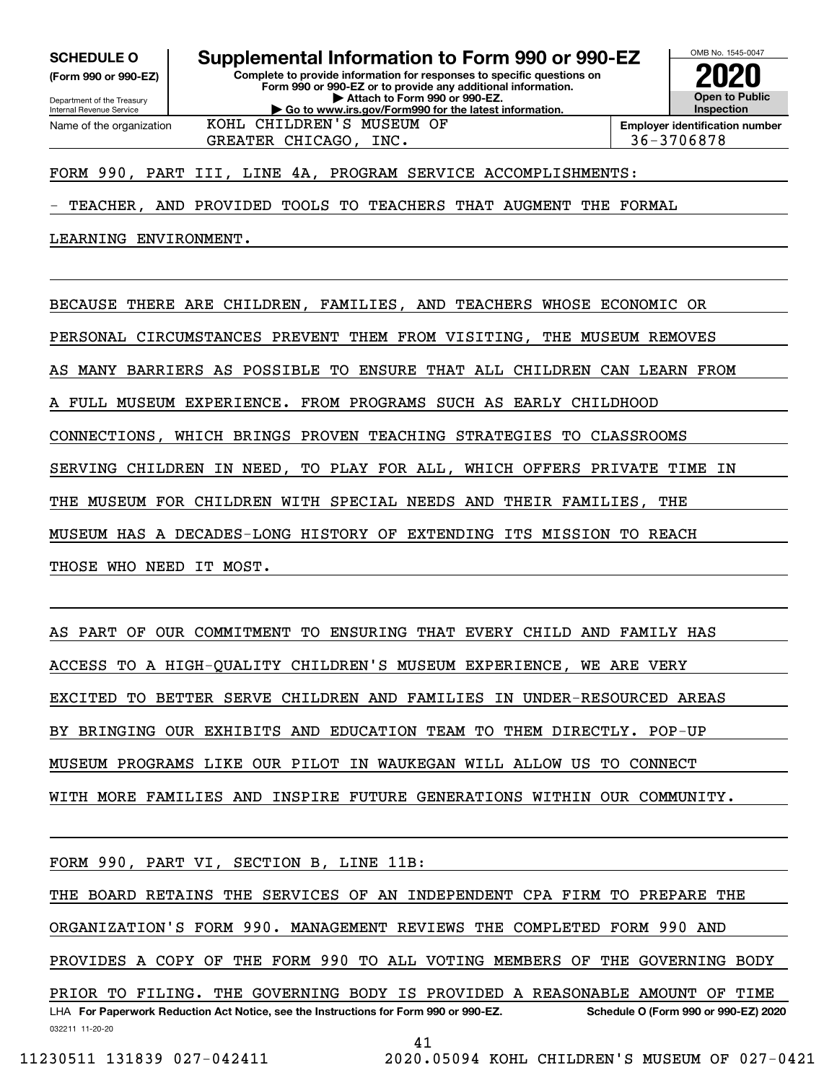**SCHEDULE O Supplemental Information to Form 990 or 990-EZ**

Internal Revenue Service

Department of the Treasury **(Form 990 or 990-EZ)**

Name of the organization

**Complete to provide information for responses to specific questions on Form 990 or 990-EZ or to provide any additional information. | Attach to Form 990 or 990-EZ. | Go to www.irs.gov/Form990 for the latest information.**

**Open to Public InspectionEmployer identification number 2020**

OMB No. 1545-0047

GREATER CHICAGO, INC.  $\begin{array}{|c|c|c|c|c|c|c|c|c|} \hline \end{array}$  36-3706878 KOHL CHILDREN'S MUSEUM OF

# FORM 990, PART III, LINE 4A, PROGRAM SERVICE ACCOMPLISHMENTS:

TEACHER, AND PROVIDED TOOLS TO TEACHERS THAT AUGMENT THE FORMAL

LEARNING ENVIRONMENT.

BECAUSE THERE ARE CHILDREN, FAMILIES, AND TEACHERS WHOSE ECONOMIC OR

PERSONAL CIRCUMSTANCES PREVENT THEM FROM VISITING, THE MUSEUM REMOVES

AS MANY BARRIERS AS POSSIBLE TO ENSURE THAT ALL CHILDREN CAN LEARN FROM

A FULL MUSEUM EXPERIENCE. FROM PROGRAMS SUCH AS EARLY CHILDHOOD

CONNECTIONS, WHICH BRINGS PROVEN TEACHING STRATEGIES TO CLASSROOMS

SERVING CHILDREN IN NEED, TO PLAY FOR ALL, WHICH OFFERS PRIVATE TIME IN

THE MUSEUM FOR CHILDREN WITH SPECIAL NEEDS AND THEIR FAMILIES, THE

MUSEUM HAS A DECADES-LONG HISTORY OF EXTENDING ITS MISSION TO REACH

THOSE WHO NEED IT MOST.

AS PART OF OUR COMMITMENT TO ENSURING THAT EVERY CHILD AND FAMILY HAS ACCESS TO A HIGH-QUALITY CHILDREN'S MUSEUM EXPERIENCE, WE ARE VERY EXCITED TO BETTER SERVE CHILDREN AND FAMILIES IN UNDER-RESOURCED AREAS BY BRINGING OUR EXHIBITS AND EDUCATION TEAM TO THEM DIRECTLY. POP-UP MUSEUM PROGRAMS LIKE OUR PILOT IN WAUKEGAN WILL ALLOW US TO CONNECT WITH MORE FAMILIES AND INSPIRE FUTURE GENERATIONS WITHIN OUR COMMUNITY.

FORM 990, PART VI, SECTION B, LINE 11B:

032211 11-20-20 LHA For Paperwork Reduction Act Notice, see the Instructions for Form 990 or 990-EZ. Schedule O (Form 990 or 990-EZ) 2020 THE BOARD RETAINS THE SERVICES OF AN INDEPENDENT CPA FIRM TO PREPARE THE ORGANIZATION'S FORM 990. MANAGEMENT REVIEWS THE COMPLETED FORM 990 AND PROVIDES A COPY OF THE FORM 990 TO ALL VOTING MEMBERS OF THE GOVERNING BODY PRIOR TO FILING. THE GOVERNING BODY IS PROVIDED A REASONABLE AMOUNT OF TIME

41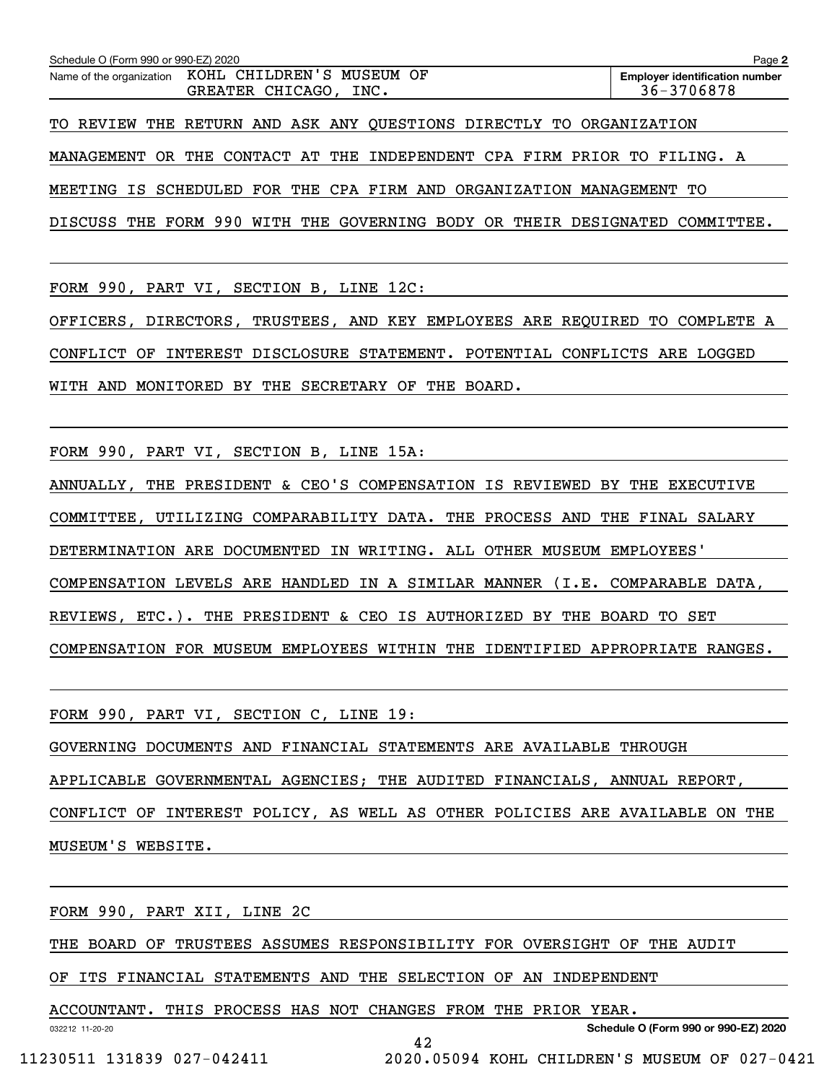| Schedule O (Form 990 or 990-EZ) 2020 |                                                                             | Page 2                                              |
|--------------------------------------|-----------------------------------------------------------------------------|-----------------------------------------------------|
|                                      | Name of the organization KOHL CHILDREN'S MUSEUM OF<br>GREATER CHICAGO, INC. | <b>Employer identification number</b><br>36-3706878 |
|                                      | TO REVIEW THE RETURN AND ASK ANY QUESTIONS DIRECTLY TO ORGANIZATION         |                                                     |
|                                      | MANAGEMENT OR THE CONTACT AT THE INDEPENDENT CPA FIRM PRIOR TO FILING. A    |                                                     |
|                                      | MEETING IS SCHEDULED FOR THE CPA FIRM AND ORGANIZATION MANAGEMENT TO        |                                                     |

DISCUSS THE FORM 990 WITH THE GOVERNING BODY OR THEIR DESIGNATED COMMITTEE.

FORM 990, PART VI, SECTION B, LINE 12C:

OFFICERS, DIRECTORS, TRUSTEES, AND KEY EMPLOYEES ARE REQUIRED TO COMPLETE A CONFLICT OF INTEREST DISCLOSURE STATEMENT. POTENTIAL CONFLICTS ARE LOGGED WITH AND MONITORED BY THE SECRETARY OF THE BOARD.

FORM 990, PART VI, SECTION B, LINE 15A:

ANNUALLY, THE PRESIDENT & CEO'S COMPENSATION IS REVIEWED BY THE EXECUTIVE COMMITTEE, UTILIZING COMPARABILITY DATA. THE PROCESS AND THE FINAL SALARY DETERMINATION ARE DOCUMENTED IN WRITING. ALL OTHER MUSEUM EMPLOYEES' COMPENSATION LEVELS ARE HANDLED IN A SIMILAR MANNER (I.E. COMPARABLE DATA, REVIEWS, ETC.). THE PRESIDENT & CEO IS AUTHORIZED BY THE BOARD TO SET COMPENSATION FOR MUSEUM EMPLOYEES WITHIN THE IDENTIFIED APPROPRIATE RANGES.

FORM 990, PART VI, SECTION C, LINE 19:

GOVERNING DOCUMENTS AND FINANCIAL STATEMENTS ARE AVAILABLE THROUGH APPLICABLE GOVERNMENTAL AGENCIES; THE AUDITED FINANCIALS, ANNUAL REPORT, CONFLICT OF INTEREST POLICY, AS WELL AS OTHER POLICIES ARE AVAILABLE ON THE MUSEUM'S WEBSITE.

FORM 990, PART XII, LINE 2C

THE BOARD OF TRUSTEES ASSUMES RESPONSIBILITY FOR OVERSIGHT OF THE AUDIT

OF ITS FINANCIAL STATEMENTS AND THE SELECTION OF AN INDEPENDENT

ACCOUNTANT. THIS PROCESS HAS NOT CHANGES FROM THE PRIOR YEAR.

**Schedule O (Form 990 or 990-EZ) 2020**

11230511 131839 027-042411 2020.05094 KOHL CHILDREN'S MUSEUM OF 027-0421

032212 11-20-20

42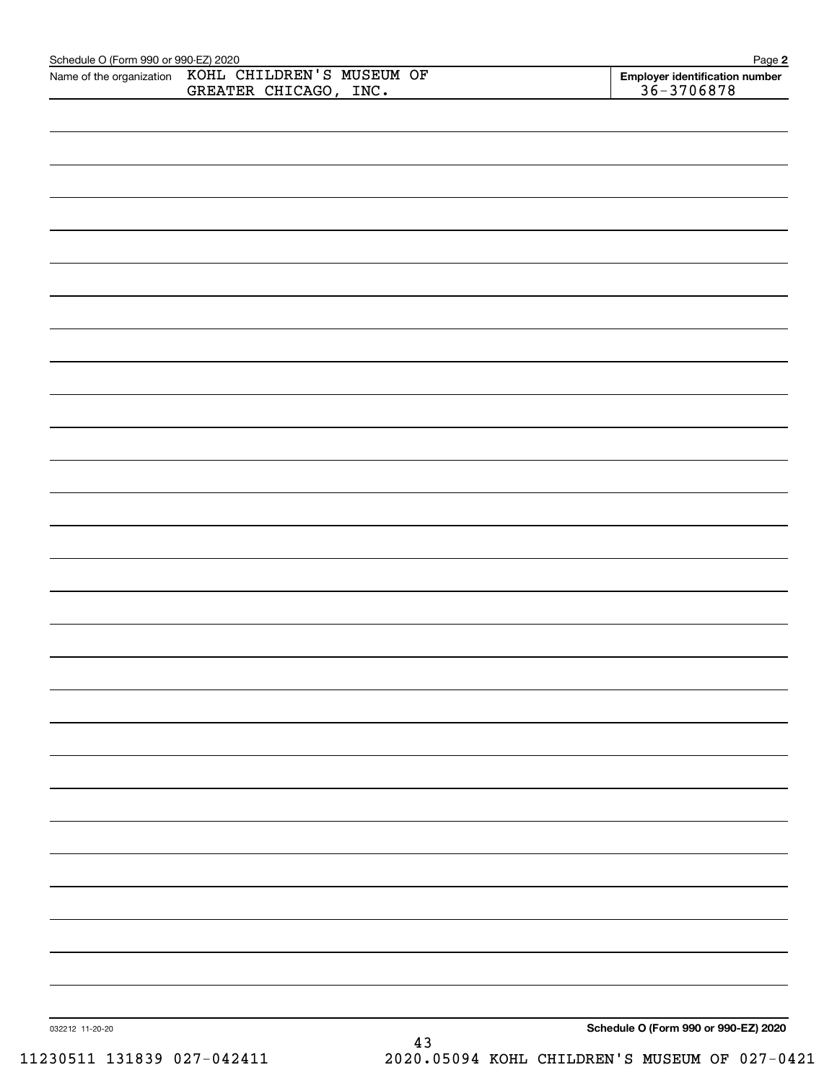| Schedule O (Form 990 or 990-EZ) 2020<br>Name of the organization | KOHL CHILDREN'S MUSEUM OF | Page 2                                           |
|------------------------------------------------------------------|---------------------------|--------------------------------------------------|
|                                                                  | GREATER CHICAGO, INC.     | Employer identification number<br>$36 - 3706878$ |
|                                                                  |                           |                                                  |
|                                                                  |                           |                                                  |
|                                                                  |                           |                                                  |
|                                                                  |                           |                                                  |
|                                                                  |                           |                                                  |
|                                                                  |                           |                                                  |
|                                                                  |                           |                                                  |
|                                                                  |                           |                                                  |
|                                                                  |                           |                                                  |
|                                                                  |                           |                                                  |
|                                                                  |                           |                                                  |
|                                                                  |                           |                                                  |
|                                                                  |                           |                                                  |
|                                                                  |                           |                                                  |
|                                                                  |                           |                                                  |
|                                                                  |                           |                                                  |
|                                                                  |                           |                                                  |
|                                                                  |                           |                                                  |
|                                                                  |                           |                                                  |
|                                                                  |                           |                                                  |
|                                                                  |                           |                                                  |
|                                                                  |                           |                                                  |
|                                                                  |                           |                                                  |
|                                                                  |                           |                                                  |
|                                                                  |                           |                                                  |
|                                                                  |                           |                                                  |
|                                                                  |                           |                                                  |
|                                                                  |                           |                                                  |
|                                                                  |                           |                                                  |
|                                                                  |                           |                                                  |
|                                                                  |                           |                                                  |
|                                                                  |                           |                                                  |
|                                                                  |                           |                                                  |
|                                                                  |                           |                                                  |
|                                                                  |                           |                                                  |
|                                                                  |                           |                                                  |
|                                                                  |                           |                                                  |
|                                                                  |                           |                                                  |
|                                                                  |                           |                                                  |
| 032212 11-20-20                                                  |                           | Schedule O (Form 990 or 990-EZ) 2020             |
|                                                                  | 43                        |                                                  |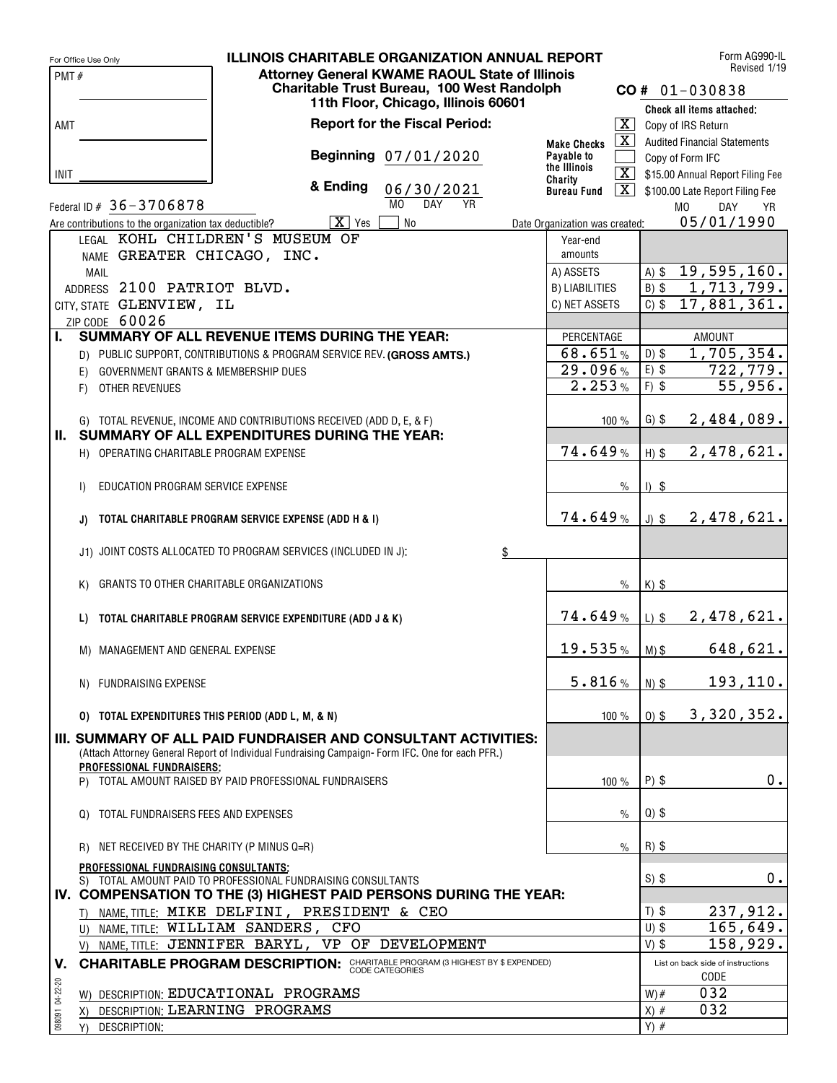|                 | For Office Use Only                                   | <b>ILLINOIS CHARITABLE ORGANIZATION ANNUAL REPORT</b>                                                                                                                    |                                |                          | Form AG990-IL                             |
|-----------------|-------------------------------------------------------|--------------------------------------------------------------------------------------------------------------------------------------------------------------------------|--------------------------------|--------------------------|-------------------------------------------|
| PMT#            |                                                       | <b>Attorney General KWAME RAOUL State of Illinois</b>                                                                                                                    |                                |                          | Revised 1/19                              |
|                 |                                                       | Charitable Trust Bureau, 100 West Randolph                                                                                                                               |                                |                          | $CO # 01-030838$                          |
|                 |                                                       | 11th Floor, Chicago, Illinois 60601                                                                                                                                      |                                |                          | Check all items attached:                 |
| AMT             |                                                       | <b>Report for the Fiscal Period:</b>                                                                                                                                     |                                |                          | $\overline{X}$ Copy of IRS Return         |
|                 |                                                       |                                                                                                                                                                          | <b>Make Checks</b>             | $\overline{\mathbf{X}}$  | <b>Audited Financial Statements</b>       |
|                 |                                                       | Beginning 07/01/2020                                                                                                                                                     | Payable to<br>the Illinois     |                          | Copy of Form IFC                          |
| <b>INIT</b>     |                                                       |                                                                                                                                                                          | Charity                        | $\overline{\mathbf{X}}$  | \$15.00 Annual Report Filing Fee          |
|                 |                                                       | & Ending<br>06/30/2021                                                                                                                                                   | <b>Bureau Fund</b>             | $\mathbf{X}$             | \$100.00 Late Report Filing Fee           |
|                 | Federal ID # 36-3706878                               | M <sub>0</sub><br><b>DAY</b><br>YR                                                                                                                                       |                                |                          | M <sub>0</sub><br>DAY<br>YR               |
|                 | Are contributions to the organization tax deductible? | $\overline{X}$ Yes<br><b>No</b>                                                                                                                                          | Date Organization was created: |                          | 05/01/1990                                |
|                 |                                                       | LEGAL KOHL CHILDREN'S MUSEUM OF                                                                                                                                          | Year-end                       |                          |                                           |
|                 | NAME GREATER CHICAGO, INC.                            |                                                                                                                                                                          | amounts                        |                          |                                           |
|                 | <b>MAIL</b>                                           |                                                                                                                                                                          | A) ASSETS                      | $A)$ \$                  | $\overline{19,595,160.}$                  |
|                 | ADDRESS 2100 PATRIOT BLVD.                            |                                                                                                                                                                          | <b>B) LIABILITIES</b>          | $B)$ \$<br>$C)$ \$       | 1,713,799.<br>17,881,361.                 |
|                 | CITY, STATE GLENVIEW, IL<br>ZIP CODE 60026            |                                                                                                                                                                          | C) NET ASSETS                  |                          |                                           |
| L.              |                                                       | SUMMARY OF ALL REVENUE ITEMS DURING THE YEAR:                                                                                                                            | PERCENTAGE                     |                          | <b>AMOUNT</b>                             |
|                 |                                                       | D) PUBLIC SUPPORT, CONTRIBUTIONS & PROGRAM SERVICE REV. (GROSS AMTS.)                                                                                                    | 68.651%                        | $D)$ \$                  | 1,705,354.                                |
|                 | GOVERNMENT GRANTS & MEMBERSHIP DUES<br>E)             |                                                                                                                                                                          | 29.096%                        | $E)$ \$                  | 722, 779.                                 |
|                 | OTHER REVENUES<br>F)                                  |                                                                                                                                                                          | 2.253%                         | $F)$ \$                  | 55,956.                                   |
|                 |                                                       |                                                                                                                                                                          |                                |                          |                                           |
|                 |                                                       | G) TOTAL REVENUE, INCOME AND CONTRIBUTIONS RECEIVED (ADD D, E, & F)                                                                                                      | 100%                           | $G)$ \$                  | 2,484,089.                                |
|                 |                                                       | II. SUMMARY OF ALL EXPENDITURES DURING THE YEAR:                                                                                                                         |                                |                          |                                           |
|                 | H) OPERATING CHARITABLE PROGRAM EXPENSE               |                                                                                                                                                                          | 74.649%                        | $H)$ \$                  | 2,478,621.                                |
|                 |                                                       |                                                                                                                                                                          |                                |                          |                                           |
|                 | EDUCATION PROGRAM SERVICE EXPENSE<br>$\mathsf{I}$     |                                                                                                                                                                          |                                | $\frac{0}{0}$<br>$1)$ \$ |                                           |
|                 |                                                       |                                                                                                                                                                          |                                |                          |                                           |
|                 | J)                                                    | TOTAL CHARITABLE PROGRAM SERVICE EXPENSE (ADD H & I)                                                                                                                     | 74.649%                        | $J)$ \$                  | 2,478,621.                                |
|                 |                                                       |                                                                                                                                                                          |                                |                          |                                           |
|                 |                                                       | J1) JOINT COSTS ALLOCATED TO PROGRAM SERVICES (INCLUDED IN J):<br>$\frac{6}{5}$                                                                                          |                                |                          |                                           |
|                 |                                                       |                                                                                                                                                                          |                                |                          |                                           |
|                 | GRANTS TO OTHER CHARITABLE ORGANIZATIONS<br>K)        |                                                                                                                                                                          |                                | $\frac{0}{0}$<br>$K)$ \$ |                                           |
|                 |                                                       |                                                                                                                                                                          | 74.649%                        |                          | 2,478,621.                                |
|                 | L)                                                    | TOTAL CHARITABLE PROGRAM SERVICE EXPENDITURE (ADD J & K)                                                                                                                 |                                | $L)$ \$                  |                                           |
|                 | M) MANAGEMENT AND GENERAL EXPENSE                     |                                                                                                                                                                          | 19.535%                        | $M)$ \$                  | 648,621.                                  |
|                 |                                                       |                                                                                                                                                                          |                                |                          |                                           |
|                 | N) FUNDRAISING EXPENSE                                |                                                                                                                                                                          | 5.816%                         | $N)$ \$                  | 193, 110.                                 |
|                 |                                                       |                                                                                                                                                                          |                                |                          |                                           |
|                 | 0) TOTAL EXPENDITURES THIS PERIOD (ADD L, M, & N)     |                                                                                                                                                                          | 100 %                          | $0)$ \$                  | 3,320,352.                                |
|                 |                                                       |                                                                                                                                                                          |                                |                          |                                           |
|                 |                                                       | <b>III. SUMMARY OF ALL PAID FUNDRAISER AND CONSULTANT ACTIVITIES:</b><br>(Attach Attorney General Report of Individual Fundraising Campaign-Form IFC. One for each PFR.) |                                |                          |                                           |
|                 | <b>PROFESSIONAL FUNDRAISERS:</b>                      |                                                                                                                                                                          |                                |                          |                                           |
|                 |                                                       | P) TOTAL AMOUNT RAISED BY PAID PROFESSIONAL FUNDRAISERS                                                                                                                  | 100 $%$                        | $P)$ \$                  | $0$ .                                     |
|                 |                                                       |                                                                                                                                                                          |                                |                          |                                           |
|                 | TOTAL FUNDRAISERS FEES AND EXPENSES<br>$\Omega$       |                                                                                                                                                                          |                                | $Q)$ \$<br>$\frac{0}{0}$ |                                           |
|                 |                                                       |                                                                                                                                                                          |                                |                          |                                           |
|                 | NET RECEIVED BY THE CHARITY (P MINUS Q=R)<br>R)       |                                                                                                                                                                          |                                | $R)$ \$<br>$\%$          |                                           |
|                 | PROFESSIONAL FUNDRAISING CONSULTANTS:                 |                                                                                                                                                                          |                                |                          |                                           |
|                 |                                                       | S) TOTAL AMOUNT PAID TO PROFESSIONAL FUNDRAISING CONSULTANTS                                                                                                             |                                | $S)$ \$                  | 0.                                        |
|                 |                                                       | IV. COMPENSATION TO THE (3) HIGHEST PAID PERSONS DURING THE YEAR:                                                                                                        |                                |                          |                                           |
|                 |                                                       | T) NAME, TITLE: MIKE DELFINI, PRESIDENT & CEO                                                                                                                            |                                | $T)$ \$                  | 237,912.                                  |
|                 |                                                       | U) NAME, TITLE: WILLIAM SANDERS, CFO                                                                                                                                     |                                | $U)$ \$                  | 165,649.                                  |
|                 |                                                       | V) NAME, TITLE: JENNIFER BARYL, VP OF DEVELOPMENT                                                                                                                        |                                | $V)$ \$                  | 158,929.                                  |
| v.              |                                                       | <b>CHARITABLE PROGRAM DESCRIPTION:</b> CHARITABLE PROGRAM (3 HIGHEST BY \$ EXPENDED)                                                                                     |                                |                          | List on back side of instructions<br>CODE |
|                 |                                                       | W) DESCRIPTION: EDUCATIONAL PROGRAMS                                                                                                                                     |                                | $W)$ #                   | 032                                       |
|                 |                                                       | DESCRIPTION: LEARNING PROGRAMS                                                                                                                                           |                                | $X)$ #                   | 032                                       |
| 098091 04-22-20 | X)<br>DESCRIPTION:<br>Y)                              |                                                                                                                                                                          |                                | $Y)$ #                   |                                           |
|                 |                                                       |                                                                                                                                                                          |                                |                          |                                           |